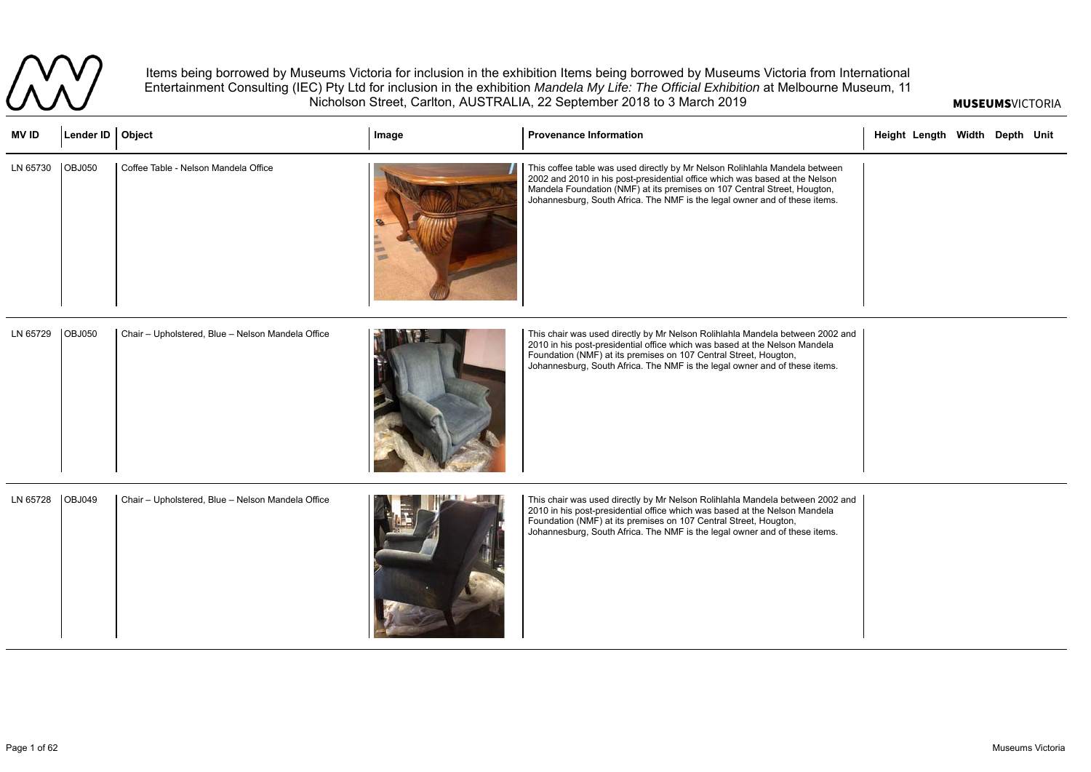## MUSEUMSVICTORIA



Items being borrowed by Museums Victoria for inclusion in the exhibition Items being borrowed by Museums Victoria from International Entertainment Consulting (IEC) Pty Ltd for inclusion in the exhibition *Mandela My Life: The Official Exhibition* at Melbourne Museum, 11 Nicholson Street, Carlton, AUSTRALIA, 22 September 2018 to 3 March 2019

| <b>MVID</b> | Lender ID   Object |                                                   | Image | <b>Provenance Information</b>                                                                                                                                                                                                                                                                                        | Height Length Width Depth Unit |  |  |
|-------------|--------------------|---------------------------------------------------|-------|----------------------------------------------------------------------------------------------------------------------------------------------------------------------------------------------------------------------------------------------------------------------------------------------------------------------|--------------------------------|--|--|
| LN 65730    | <b>OBJ050</b>      | Coffee Table - Nelson Mandela Office              |       | This coffee table was used directly by Mr Nelson Rolihlahla Mandela between<br>2002 and 2010 in his post-presidential office which was based at the Nelson<br>Mandela Foundation (NMF) at its premises on 107 Central Street, Hougton,<br>Johannesburg, South Africa. The NMF is the legal owner and of these items. |                                |  |  |
| LN 65729    | <b>OBJ050</b>      | Chair - Upholstered, Blue - Nelson Mandela Office |       | This chair was used directly by Mr Nelson Rolihlahla Mandela between 2002 and<br>2010 in his post-presidential office which was based at the Nelson Mandela<br>Foundation (NMF) at its premises on 107 Central Street, Hougton,<br>Johannesburg, South Africa. The NMF is the legal owner and of these items.        |                                |  |  |
| LN 65728    | <b>OBJ049</b>      | Chair - Upholstered, Blue - Nelson Mandela Office |       | This chair was used directly by Mr Nelson Rolihlahla Mandela between 2002 and<br>2010 in his post-presidential office which was based at the Nelson Mandela<br>Foundation (NMF) at its premises on 107 Central Street, Hougton,<br>Johannesburg, South Africa. The NMF is the legal owner and of these items.        |                                |  |  |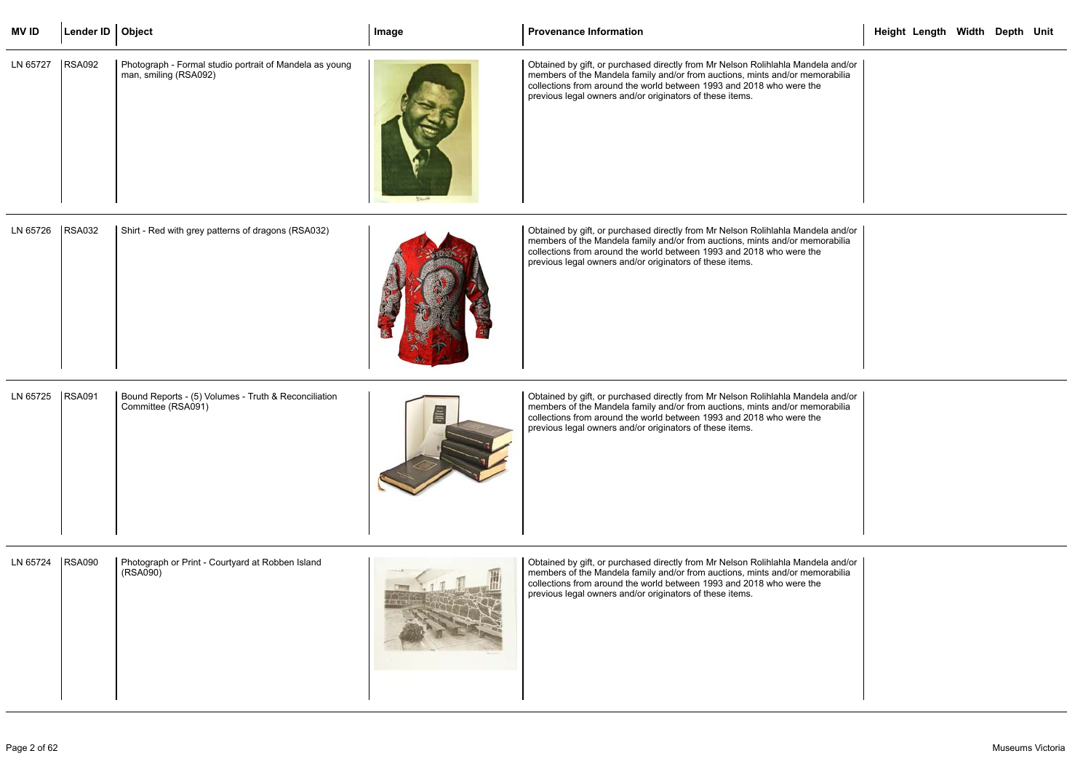| <b>MVID</b> | Lender ID   Object |                                                                                  | Image | <b>Provenance Information</b>                                                                                                                                                                                                                                                                        | Height Length Width Depth Unit |  |  |
|-------------|--------------------|----------------------------------------------------------------------------------|-------|------------------------------------------------------------------------------------------------------------------------------------------------------------------------------------------------------------------------------------------------------------------------------------------------------|--------------------------------|--|--|
| LN 65727    | <b>RSA092</b>      | Photograph - Formal studio portrait of Mandela as young<br>man, smiling (RSA092) |       | Obtained by gift, or purchased directly from Mr Nelson Rolihlahla Mandela and/or<br>members of the Mandela family and/or from auctions, mints and/or memorabilia<br>collections from around the world between 1993 and 2018 who were the<br>previous legal owners and/or originators of these items. |                                |  |  |
| LN 65726    | <b>RSA032</b>      | Shirt - Red with grey patterns of dragons (RSA032)                               |       | Obtained by gift, or purchased directly from Mr Nelson Rolihlahla Mandela and/or<br>members of the Mandela family and/or from auctions, mints and/or memorabilia<br>collections from around the world between 1993 and 2018 who were the<br>previous legal owners and/or originators of these items. |                                |  |  |
| LN 65725    | <b>RSA091</b>      | Bound Reports - (5) Volumes - Truth & Reconciliation<br>Committee (RSA091)       | 昌     | Obtained by gift, or purchased directly from Mr Nelson Rolihlahla Mandela and/or<br>members of the Mandela family and/or from auctions, mints and/or memorabilia<br>collections from around the world between 1993 and 2018 who were the<br>previous legal owners and/or originators of these items. |                                |  |  |
| LN 65724    | <b>RSA090</b>      | Photograph or Print - Courtyard at Robben Island<br>(RSA090)                     |       | Obtained by gift, or purchased directly from Mr Nelson Rolihlahla Mandela and/or<br>members of the Mandela family and/or from auctions, mints and/or memorabilia<br>collections from around the world between 1993 and 2018 who were the<br>previous legal owners and/or originators of these items. |                                |  |  |

|                      | Height Length Width Depth Unit |  |  |
|----------------------|--------------------------------|--|--|
| a and/or<br>orabilia |                                |  |  |
| a and/or<br>orabilia |                                |  |  |
| a and/or<br>orabilia |                                |  |  |
| a and/or<br>orabilia |                                |  |  |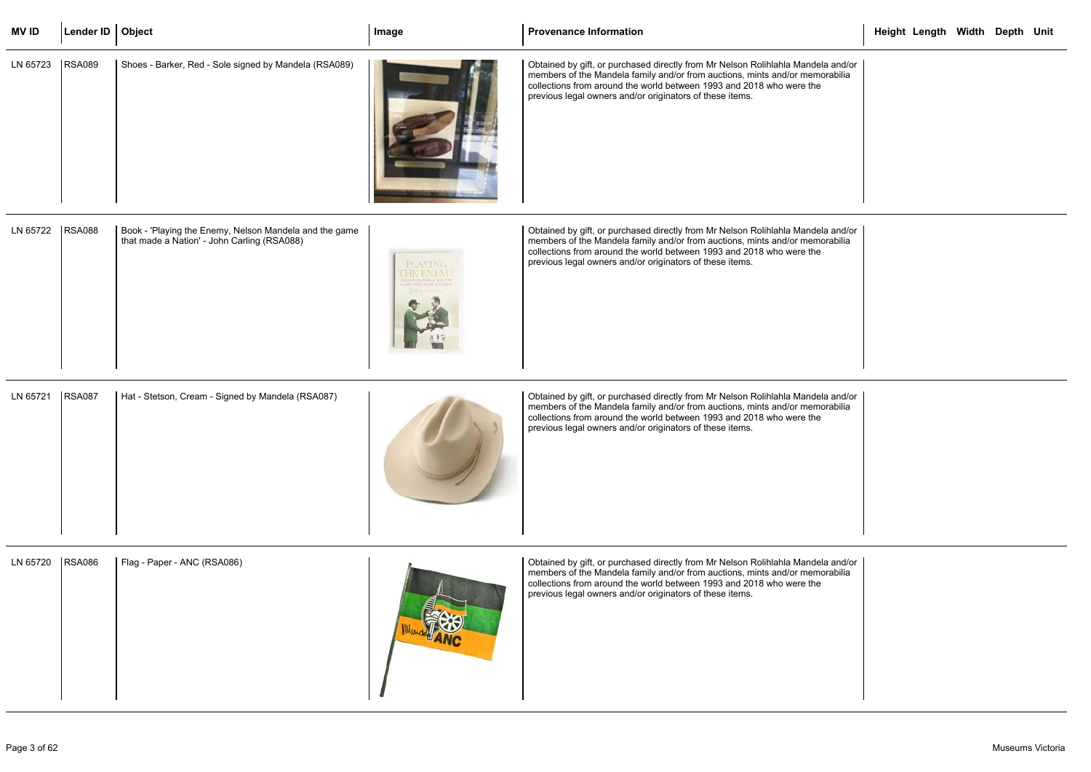| <b>MVID</b> | Lender ID $\vert$ Object |                                                                                                       | Image           | <b>Provenance Information</b>                                                                                                                                                                                                                                                                        | Height Length Width Depth Unit |  |  |
|-------------|--------------------------|-------------------------------------------------------------------------------------------------------|-----------------|------------------------------------------------------------------------------------------------------------------------------------------------------------------------------------------------------------------------------------------------------------------------------------------------------|--------------------------------|--|--|
| LN 65723    | <b>RSA089</b>            | Shoes - Barker, Red - Sole signed by Mandela (RSA089)                                                 |                 | Obtained by gift, or purchased directly from Mr Nelson Rolihlahla Mandela and/or<br>members of the Mandela family and/or from auctions, mints and/or memorabilia<br>collections from around the world between 1993 and 2018 who were the<br>previous legal owners and/or originators of these items. |                                |  |  |
| LN 65722    | <b>RSA088</b>            | Book - 'Playing the Enemy, Nelson Mandela and the game<br>that made a Nation' - John Carling (RSA088) | <b>PLAY INC</b> | Obtained by gift, or purchased directly from Mr Nelson Rolihlahla Mandela and/or<br>members of the Mandela family and/or from auctions, mints and/or memorabilia<br>collections from around the world between 1993 and 2018 who were the<br>previous legal owners and/or originators of these items. |                                |  |  |
| LN 65721    | <b>RSA087</b>            | Hat - Stetson, Cream - Signed by Mandela (RSA087)                                                     |                 | Obtained by gift, or purchased directly from Mr Nelson Rolihlahla Mandela and/or<br>members of the Mandela family and/or from auctions, mints and/or memorabilia<br>collections from around the world between 1993 and 2018 who were the<br>previous legal owners and/or originators of these items. |                                |  |  |
| LN 65720    | <b>RSA086</b>            | Flag - Paper - ANC (RSA086)                                                                           |                 | Obtained by gift, or purchased directly from Mr Nelson Rolihlahla Mandela and/or<br>members of the Mandela family and/or from auctions, mints and/or memorabilia<br>collections from around the world between 1993 and 2018 who were the<br>previous legal owners and/or originators of these items. |                                |  |  |

|                      | Height Length Width Depth Unit |  |  |
|----------------------|--------------------------------|--|--|
| a and/or<br>orabilia |                                |  |  |
| a and/or<br>orabilia |                                |  |  |
| a and/or<br>orabilia |                                |  |  |
| a and/or<br>orabilia |                                |  |  |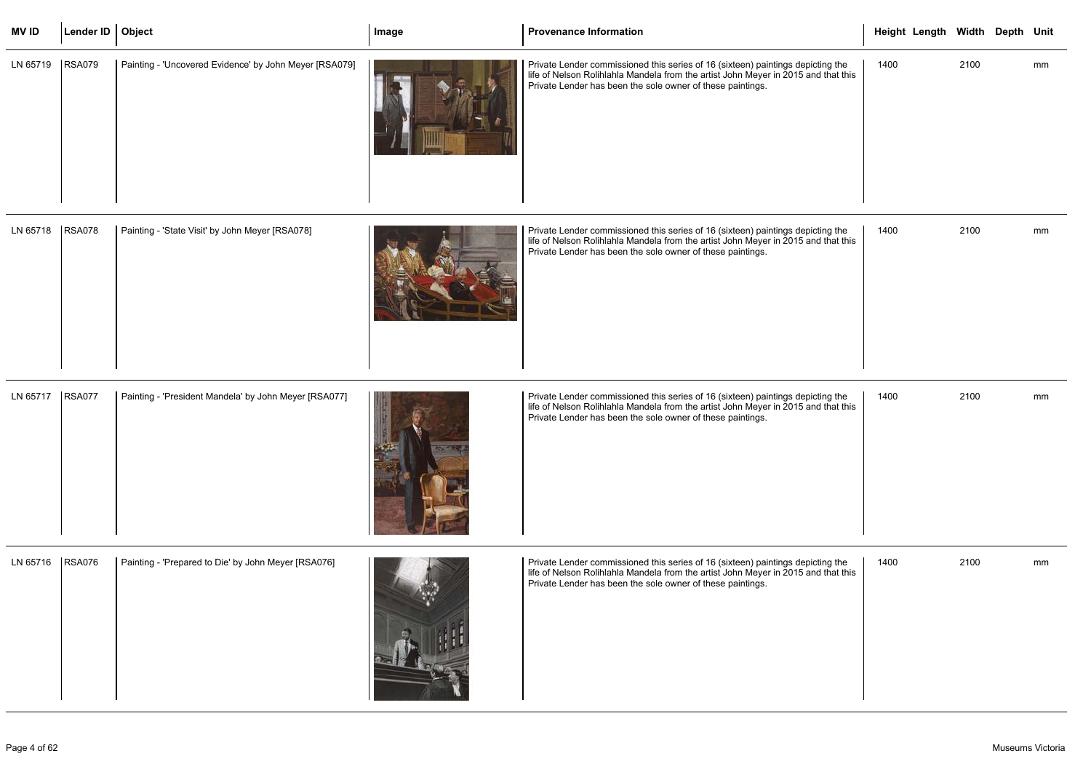| <b>MV ID</b>      | Lender ID   Object |                                                        | Image | <b>Provenance Information</b>                                                                                                                                                                                                       | Height Length Width Depth Unit |      |    |
|-------------------|--------------------|--------------------------------------------------------|-------|-------------------------------------------------------------------------------------------------------------------------------------------------------------------------------------------------------------------------------------|--------------------------------|------|----|
| LN 65719          | <b>RSA079</b>      | Painting - 'Uncovered Evidence' by John Meyer [RSA079] |       | Private Lender commissioned this series of 16 (sixteen) paintings depicting the<br>life of Nelson Rolihlahla Mandela from the artist John Meyer in 2015 and that this<br>Private Lender has been the sole owner of these paintings. | 1400                           | 2100 | mm |
| LN 65718   RSA078 |                    | Painting - 'State Visit' by John Meyer [RSA078]        |       | Private Lender commissioned this series of 16 (sixteen) paintings depicting the<br>life of Nelson Rolihlahla Mandela from the artist John Meyer in 2015 and that this<br>Private Lender has been the sole owner of these paintings. | 1400                           | 2100 | mm |
| LN 65717   RSA077 |                    | Painting - 'President Mandela' by John Meyer [RSA077]  |       | Private Lender commissioned this series of 16 (sixteen) paintings depicting the<br>life of Nelson Rolihlahla Mandela from the artist John Meyer in 2015 and that this<br>Private Lender has been the sole owner of these paintings. | 1400                           | 2100 | mm |
| LN 65716          | <b>RSA076</b>      | Painting - 'Prepared to Die' by John Meyer [RSA076]    |       | Private Lender commissioned this series of 16 (sixteen) paintings depicting the<br>life of Nelson Rolihlahla Mandela from the artist John Meyer in 2015 and that this<br>Private Lender has been the sole owner of these paintings. | 1400                           | 2100 | mm |

|                           |                                                     | THE OF NEISON TWILLIAM REPORT ION INCOLLED AND THE ANGLE OF THE ZUTS AN<br>Private Lender has been the sole owner of these paintings.              |
|---------------------------|-----------------------------------------------------|----------------------------------------------------------------------------------------------------------------------------------------------------|
| <b>RSA076</b><br>LN 65716 | Painting - 'Prepared to Die' by John Meyer [RSA076] | Private Lender commissioned this series of 16 (sixteen) paintings depic<br>life of Naloon Delibleble Mendels from the ortigt John Meyer in 2015 on |

| Painting - 'Prepared to Die' by John Meyer [RSA076] | Private Lender commissioned this series of 16 (sixteen) paintings depictin |
|-----------------------------------------------------|----------------------------------------------------------------------------|
| <b>RSA076</b>                                       | life of Nelson Rolihlahla Mandela from the artist John Meyer in 2015 and   |
| LN 65716                                            | Private Lender has been the sole owner of these paintings.                 |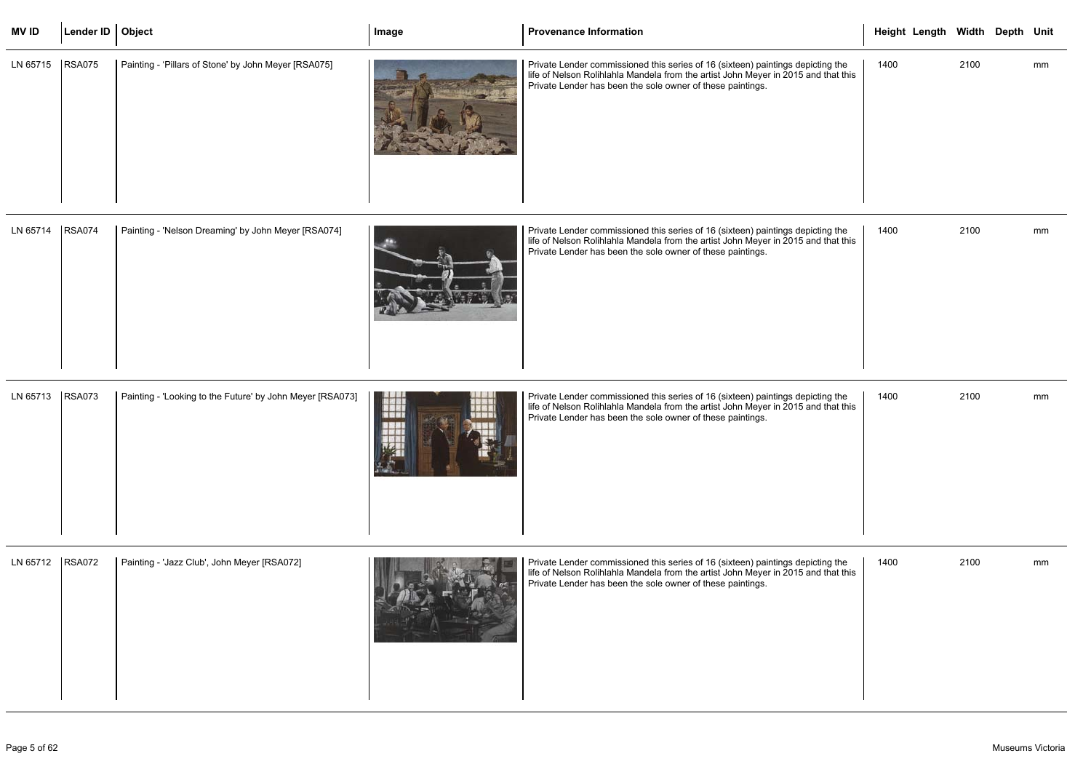| <b>MV ID</b>      | Lender ID   Object |                                                      | Image | Provenance Information                                                                                                                                                                                                              | Height Length Width Depth Unit |      |    |
|-------------------|--------------------|------------------------------------------------------|-------|-------------------------------------------------------------------------------------------------------------------------------------------------------------------------------------------------------------------------------------|--------------------------------|------|----|
| LN 65715   RSA075 |                    | Painting - 'Pillars of Stone' by John Meyer [RSA075] |       | Private Lender commissioned this series of 16 (sixteen) paintings depicting the<br>life of Nelson Rolihlahla Mandela from the artist John Meyer in 2015 and that this<br>Private Lender has been the sole owner of these paintings. | 1400                           | 2100 | mm |

| LN 65714 | <b>RSA074</b> | Painting - 'Nelson Dreaming' by John Meyer [RSA074] |  | Private Lender commissioned this series of 16 (sixteen) paintings depicting the<br>life of Nelson Rolihlahla Mandela from the artist John Meyer in 2015 and that this<br>Private Lender has been the sole owner of these paintings. |
|----------|---------------|-----------------------------------------------------|--|-------------------------------------------------------------------------------------------------------------------------------------------------------------------------------------------------------------------------------------|
|----------|---------------|-----------------------------------------------------|--|-------------------------------------------------------------------------------------------------------------------------------------------------------------------------------------------------------------------------------------|

|                        |      | Height Length Width Depth Unit |      |    |  |
|------------------------|------|--------------------------------|------|----|--|
| ing the<br>I that this | 1400 |                                | 2100 | mm |  |
| ing the<br>I that this | 1400 |                                | 2100 | mm |  |
| ing the<br>I that this | 1400 |                                | 2100 | mm |  |
| ing the<br>I that this | 1400 |                                | 2100 | mm |  |

| <b>RSA073</b><br>LN 65713 |  | Painting - 'Looking to the Future' by John Meyer [RSA073] |  | Private Lender commissioned this series of 16 (sixteen) paintings depicting the<br>life of Nelson Rolihlahla Mandela from the artist John Meyer in 2015 and that this<br>Private Lender has been the sole owner of these paintings. |
|---------------------------|--|-----------------------------------------------------------|--|-------------------------------------------------------------------------------------------------------------------------------------------------------------------------------------------------------------------------------------|
|---------------------------|--|-----------------------------------------------------------|--|-------------------------------------------------------------------------------------------------------------------------------------------------------------------------------------------------------------------------------------|

| LN 65712 | <b>RSA072</b> | Painting - 'Jazz Club', John Meyer [RSA072] |  | Private Lender commissioned this series of 16 (sixteen) paintings depicting the<br>life of Nelson Rolihlahla Mandela from the artist John Meyer in 2015 and that this<br>Private Lender has been the sole owner of these paintings. |
|----------|---------------|---------------------------------------------|--|-------------------------------------------------------------------------------------------------------------------------------------------------------------------------------------------------------------------------------------|
|----------|---------------|---------------------------------------------|--|-------------------------------------------------------------------------------------------------------------------------------------------------------------------------------------------------------------------------------------|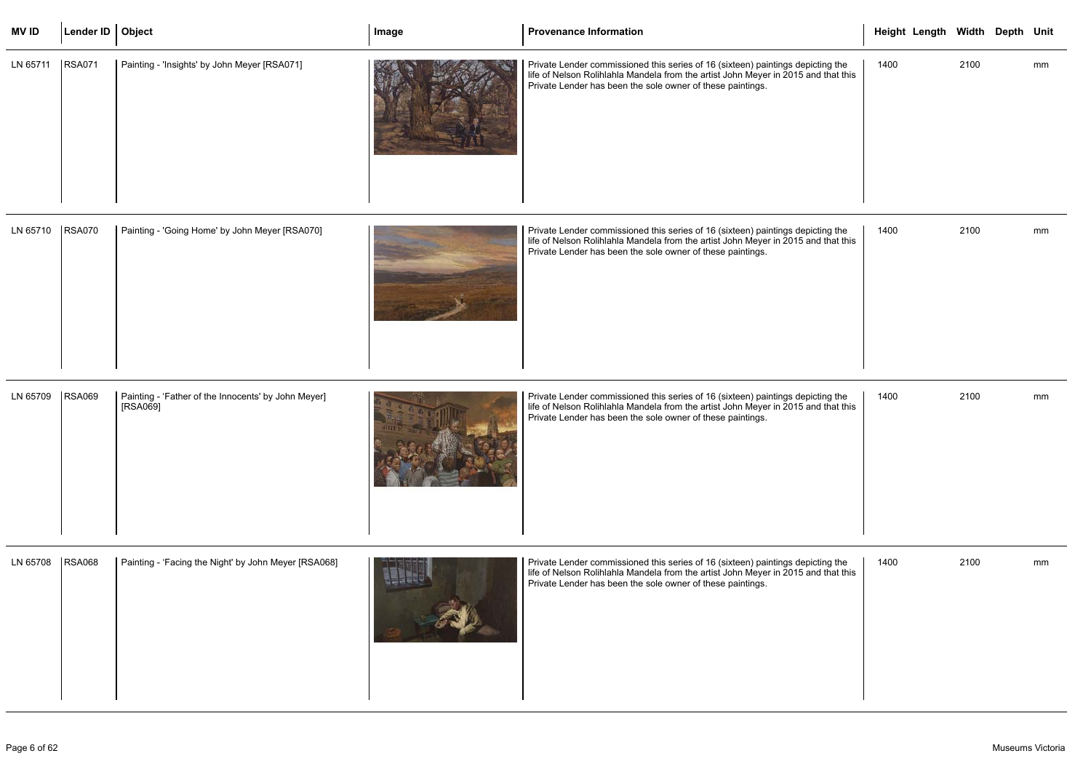| <b>MVID</b>       | Lender ID   Object |                                                                 | Image | <b>Provenance Information</b>                                                                                                                                                                                                       | Height Length Width Depth Unit |      |    |
|-------------------|--------------------|-----------------------------------------------------------------|-------|-------------------------------------------------------------------------------------------------------------------------------------------------------------------------------------------------------------------------------------|--------------------------------|------|----|
| LN 65711   RSA071 |                    | Painting - 'Insights' by John Meyer [RSA071]                    |       | Private Lender commissioned this series of 16 (sixteen) paintings depicting the<br>life of Nelson Rolihlahla Mandela from the artist John Meyer in 2015 and that this<br>Private Lender has been the sole owner of these paintings. | 1400                           | 2100 | mm |
| LN 65710   RSA070 |                    | Painting - 'Going Home' by John Meyer [RSA070]                  |       | Private Lender commissioned this series of 16 (sixteen) paintings depicting the<br>life of Nelson Rolihlahla Mandela from the artist John Meyer in 2015 and that this<br>Private Lender has been the sole owner of these paintings. | 1400                           | 2100 | mm |
| LN 65709          | <b>RSA069</b>      | Painting - 'Father of the Innocents' by John Meyer]<br>[RSA069] |       | Private Lender commissioned this series of 16 (sixteen) paintings depicting the<br>life of Nelson Rolihlahla Mandela from the artist John Meyer in 2015 and that this<br>Private Lender has been the sole owner of these paintings. | 1400                           | 2100 | mm |
| LN 65708          | <b>RSA068</b>      | Painting - 'Facing the Night' by John Meyer [RSA068]            |       | Private Lender commissioned this series of 16 (sixteen) paintings depicting the<br>life of Nelson Rolihlahla Mandela from the artist John Meyer in 2015 and that this<br>Private Lender has been the sole owner of these paintings. | 1400                           | 2100 | mm |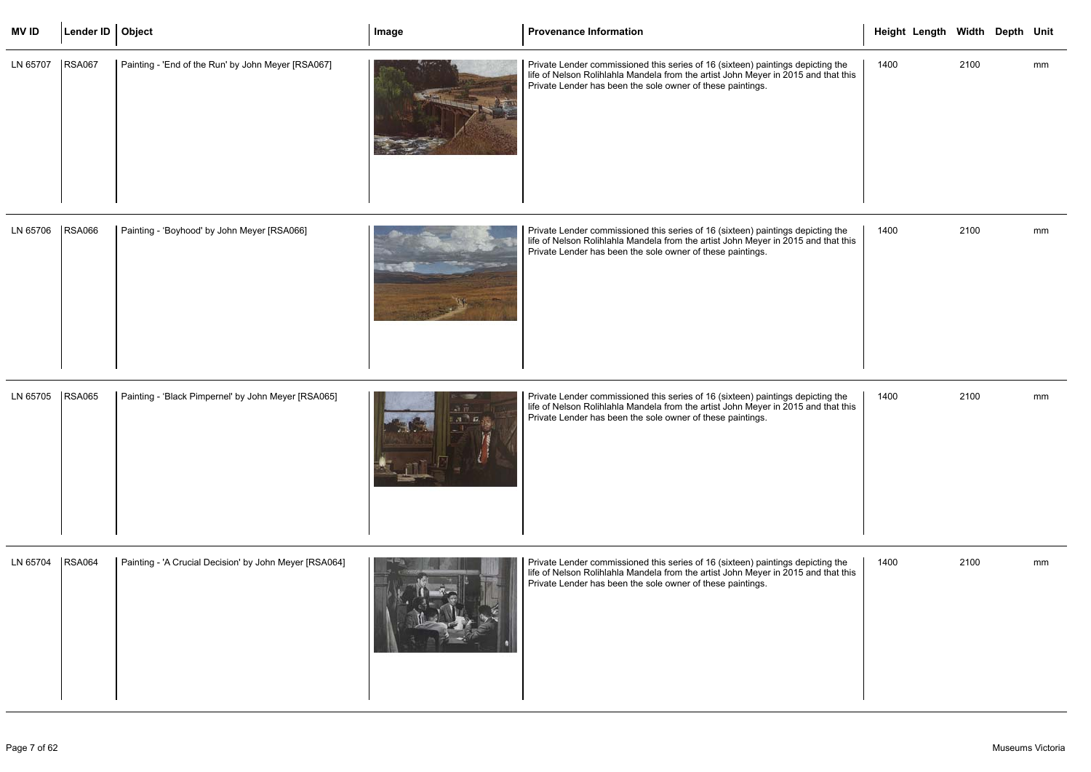| <b>MVID</b> | Lender ID   Object |                                                    | Image | <b>Provenance Information</b>                                                                                                                                                                                                       | Height Length Width Depth Unit |      |    |
|-------------|--------------------|----------------------------------------------------|-------|-------------------------------------------------------------------------------------------------------------------------------------------------------------------------------------------------------------------------------------|--------------------------------|------|----|
| LN 65707    | <b>RSA067</b>      | Painting - 'End of the Run' by John Meyer [RSA067] |       | Private Lender commissioned this series of 16 (sixteen) paintings depicting the<br>life of Nelson Rolihlahla Mandela from the artist John Meyer in 2015 and that this<br>Private Lender has been the sole owner of these paintings. | 1400                           | 2100 | mm |

| LN 65706 | <b>RSA066</b> | Painting - 'Boyhood' by John Meyer [RSA066] |  | Private Lender commissioned this series of 16 (sixteen) paintings depicting the<br>life of Nelson Rolihlahla Mandela from the artist John Meyer in 2015 and that this<br>Private Lender has been the sole owner of these paintings. |
|----------|---------------|---------------------------------------------|--|-------------------------------------------------------------------------------------------------------------------------------------------------------------------------------------------------------------------------------------|
|----------|---------------|---------------------------------------------|--|-------------------------------------------------------------------------------------------------------------------------------------------------------------------------------------------------------------------------------------|

|--|

|                        |      | Height Length Width Depth Unit |      |    |  |
|------------------------|------|--------------------------------|------|----|--|
| ing the<br>I that this | 1400 |                                | 2100 | mm |  |
| ing the<br>I that this | 1400 |                                | 2100 | mm |  |
| ing the<br>I that this | 1400 |                                | 2100 | mm |  |
| ing the<br>I that this | 1400 |                                | 2100 | mm |  |

| LN 65704 | <b>RSA064</b> | Painting - 'A Crucial Decision' by John Meyer [RSA064] |  | Private Lender commissioned this series of 16 (sixteen) paintings depicting the<br>life of Nelson Rolihlahla Mandela from the artist John Meyer in 2015 and that this<br>Private Lender has been the sole owner of these paintings. |
|----------|---------------|--------------------------------------------------------|--|-------------------------------------------------------------------------------------------------------------------------------------------------------------------------------------------------------------------------------------|
|----------|---------------|--------------------------------------------------------|--|-------------------------------------------------------------------------------------------------------------------------------------------------------------------------------------------------------------------------------------|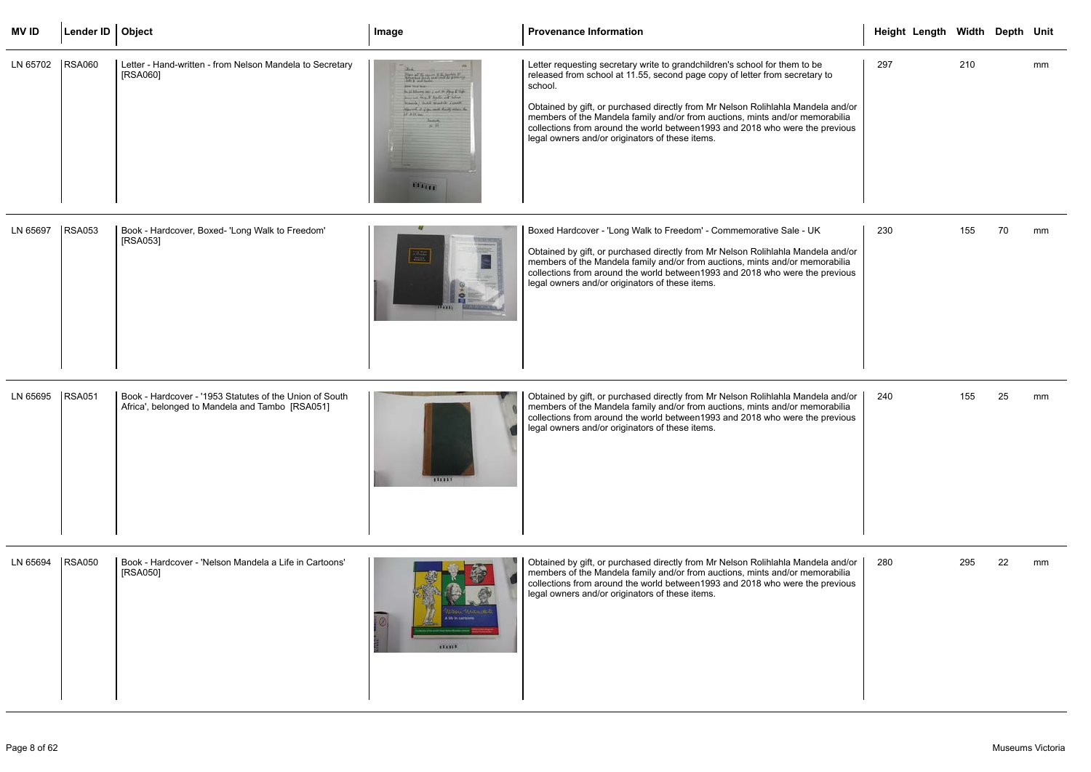| <b>MVID</b> | Lender ID   Object |                                                                                                            | Image                                                                                                                                                                                                                                                               | <b>Provenance Information</b>                                                                                                                                                                                                                                                                                                                                                                                                                                                | Height Length Width Depth Unit |     |    |    |
|-------------|--------------------|------------------------------------------------------------------------------------------------------------|---------------------------------------------------------------------------------------------------------------------------------------------------------------------------------------------------------------------------------------------------------------------|------------------------------------------------------------------------------------------------------------------------------------------------------------------------------------------------------------------------------------------------------------------------------------------------------------------------------------------------------------------------------------------------------------------------------------------------------------------------------|--------------------------------|-----|----|----|
| LN 65702    | <b>RSA060</b>      | Letter - Hand-written - from Nelson Mandela to Secretary<br>[RSA060]                                       | the Supplement .<br><b>Joe Suckard</b><br>Build Adverse pair is not be placed if they<br>Jose and Stop & Radio and Infor-<br>branch   hotel transfer Jacob<br>reported it if the result thanks where the<br>$M = 14 \text{ km}$<br><b>Janey</b><br>ALTRE<br>1111111 | Letter requesting secretary write to grandchildren's school for them to be<br>released from school at 11.55, second page copy of letter from secretary to<br>school.<br>Obtained by gift, or purchased directly from Mr Nelson Rolihlahla Mandela and/or<br>members of the Mandela family and/or from auctions, mints and/or memorabilia<br>collections from around the world between 1993 and 2018 who were the previous<br>legal owners and/or originators of these items. | 297                            | 210 |    | mm |
| LN 65697    | <b>RSA053</b>      | Book - Hardcover, Boxed- 'Long Walk to Freedom'<br>[RSA053]                                                | $\frac{1}{\sqrt{2}}$                                                                                                                                                                                                                                                | Boxed Hardcover - 'Long Walk to Freedom' - Commemorative Sale - UK<br>Obtained by gift, or purchased directly from Mr Nelson Rolihlahla Mandela and/or<br>members of the Mandela family and/or from auctions, mints and/or memorabilia<br>collections from around the world between 1993 and 2018 who were the previous<br>legal owners and/or originators of these items.                                                                                                   | 230                            | 155 | 70 | mm |
| LN 65695    | <b>RSA051</b>      | Book - Hardcover - '1953 Statutes of the Union of South<br>Africa', belonged to Mandela and Tambo [RSA051] | 111111                                                                                                                                                                                                                                                              | Obtained by gift, or purchased directly from Mr Nelson Rolihlahla Mandela and/or<br>members of the Mandela family and/or from auctions, mints and/or memorabilia<br>collections from around the world between 1993 and 2018 who were the previous<br>legal owners and/or originators of these items.                                                                                                                                                                         | 240                            | 155 | 25 | mm |
| LN 65694    | <b>RSA050</b>      | Book - Hardcover - 'Nelson Mandela a Life in Cartoons'<br>[RSA050]                                         | 132333                                                                                                                                                                                                                                                              | Obtained by gift, or purchased directly from Mr Nelson Rolihlahla Mandela and/or<br>members of the Mandela family and/or from auctions, mints and/or memorabilia<br>collections from around the world between 1993 and 2018 who were the previous<br>legal owners and/or originators of these items.                                                                                                                                                                         | 280                            | 295 | 22 | mm |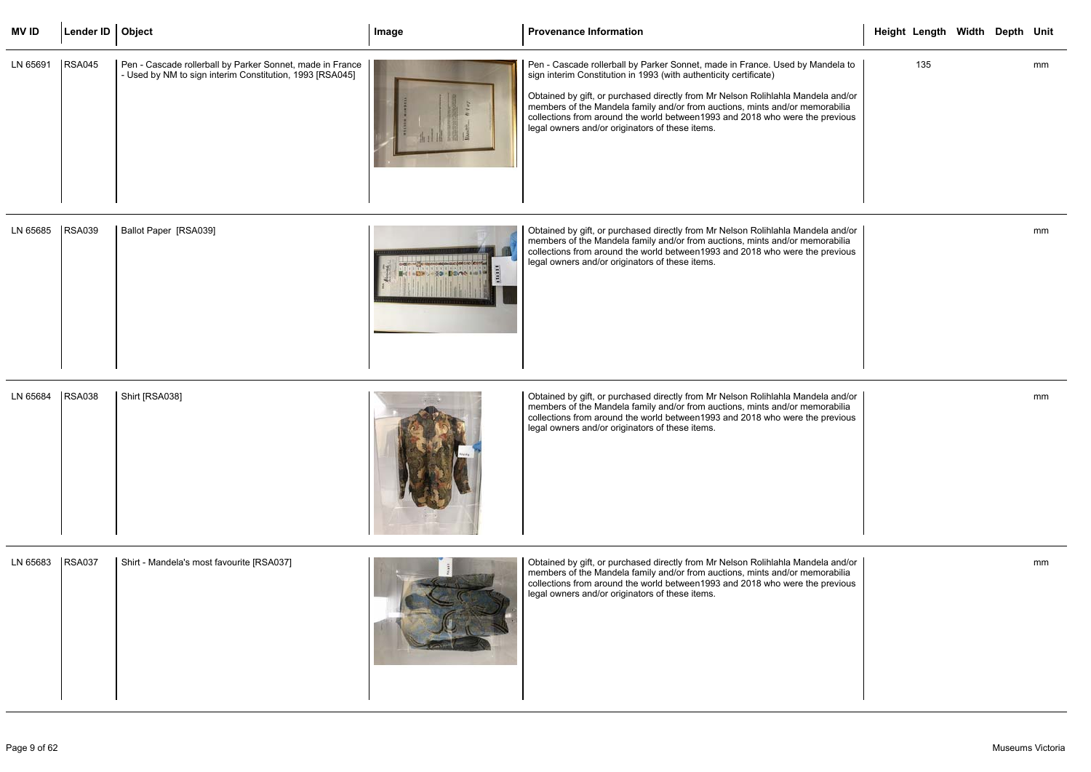| <b>MVID</b> | Lender ID   Object |                                                                                                                       | Image | <b>Provenance Information</b>                                                                                                                                                                                                                                                                                                                                                                                                                             | Height Length Width Depth Unit |  |    |
|-------------|--------------------|-----------------------------------------------------------------------------------------------------------------------|-------|-----------------------------------------------------------------------------------------------------------------------------------------------------------------------------------------------------------------------------------------------------------------------------------------------------------------------------------------------------------------------------------------------------------------------------------------------------------|--------------------------------|--|----|
| LN 65691    | <b>RSA045</b>      | Pen - Cascade rollerball by Parker Sonnet, made in France<br>- Used by NM to sign interim Constitution, 1993 [RSA045] |       | Pen - Cascade rollerball by Parker Sonnet, made in France. Used by Mandela to<br>sign interim Constitution in 1993 (with authenticity certificate)<br>Obtained by gift, or purchased directly from Mr Nelson Rolihlahla Mandela and/or<br>members of the Mandela family and/or from auctions, mints and/or memorabilia<br>collections from around the world between1993 and 2018 who were the previous<br>legal owners and/or originators of these items. | 135                            |  | mm |

| LN 65685 | <b>RSA039</b> | Ballot Paper [RSA039] |  | Obtained by gift, or purchased directly from Mr Nelson Rolihlahla Mandela and/or<br>  members of the Mandela family and/or from auctions, mints and/or memorabilia<br>collections from around the world between1993 and 2018 who were the previous<br>legal owners and/or originators of these items. |
|----------|---------------|-----------------------|--|-------------------------------------------------------------------------------------------------------------------------------------------------------------------------------------------------------------------------------------------------------------------------------------------------------|
|----------|---------------|-----------------------|--|-------------------------------------------------------------------------------------------------------------------------------------------------------------------------------------------------------------------------------------------------------------------------------------------------------|

| LN 65684 | <b>RSA038</b> | Shirt [RSA038] |  | Obtained by gift, or purchased directly from Mr Nelson Rolihlahla Mandela and/or<br>members of the Mandela family and/or from auctions, mints and/or memorabilia<br>collections from around the world between 1993 and 2018 who were the previous<br>legal owners and/or originators of these items. |
|----------|---------------|----------------|--|------------------------------------------------------------------------------------------------------------------------------------------------------------------------------------------------------------------------------------------------------------------------------------------------------|
|----------|---------------|----------------|--|------------------------------------------------------------------------------------------------------------------------------------------------------------------------------------------------------------------------------------------------------------------------------------------------------|

|                                              | Height Length Width Depth Unit |  |    |
|----------------------------------------------|--------------------------------|--|----|
| ndela to<br>a and/or<br>orabilia<br>orevious | 135                            |  | mm |
| a and/or<br>orabilia<br>orevious             |                                |  | mm |
| a and/or<br>orabilia<br>orevious             |                                |  | mm |
| a and/or<br>orabilia<br>orevious             |                                |  | mm |

| LN 65683 | <b>RSA037</b> | Shirt - Mandela's most favourite [RSA037] |  | Obtained by gift, or purchased directly from Mr Nelson Rolihlahla Mandela and/or<br>members of the Mandela family and/or from auctions, mints and/or memorabilia<br>collections from around the world between 1993 and 2018 who were the previous<br>legal owners and/or originators of these items. |
|----------|---------------|-------------------------------------------|--|------------------------------------------------------------------------------------------------------------------------------------------------------------------------------------------------------------------------------------------------------------------------------------------------------|
|----------|---------------|-------------------------------------------|--|------------------------------------------------------------------------------------------------------------------------------------------------------------------------------------------------------------------------------------------------------------------------------------------------------|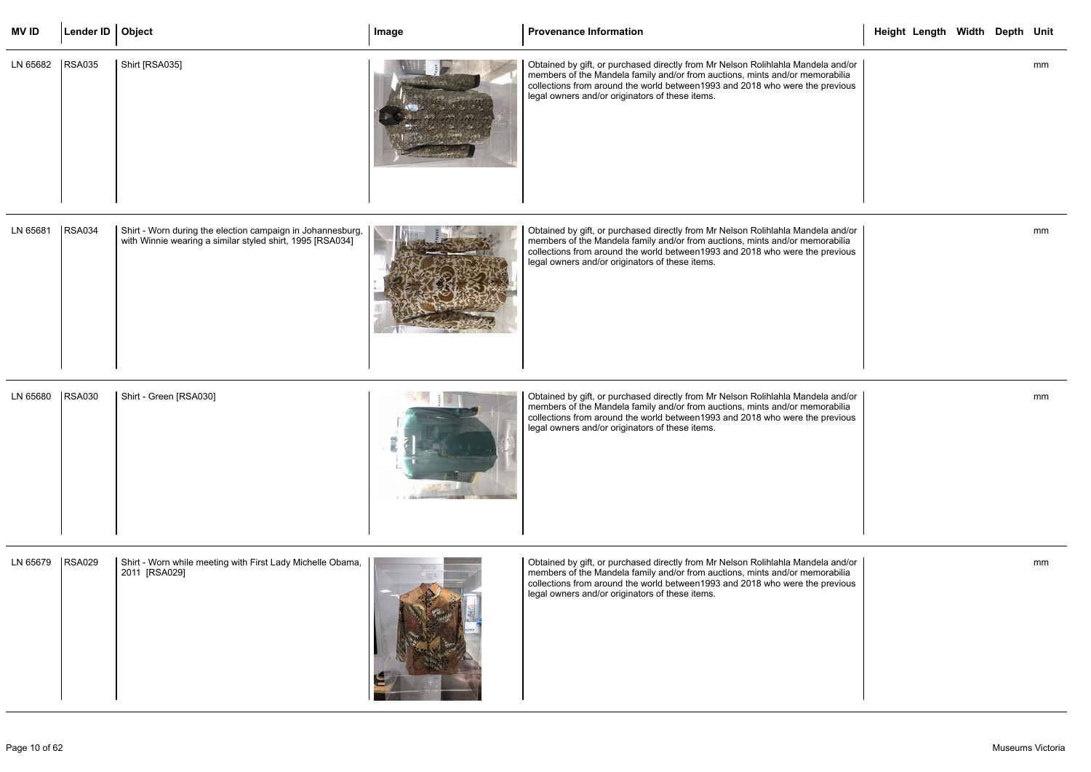| <b>MVID</b>       | Lender ID   Object |                                                                                                                         | Image | <b>Provenance Information</b>                                                                                                                                                                                                                                                                        | Height Length Width Depth Unit |  |    |
|-------------------|--------------------|-------------------------------------------------------------------------------------------------------------------------|-------|------------------------------------------------------------------------------------------------------------------------------------------------------------------------------------------------------------------------------------------------------------------------------------------------------|--------------------------------|--|----|
| LN 65682          | <b>RSA035</b>      | Shirt [RSA035]                                                                                                          |       | Obtained by gift, or purchased directly from Mr Nelson Rolihlahla Mandela and/or<br>members of the Mandela family and/or from auctions, mints and/or memorabilia<br>collections from around the world between 1993 and 2018 who were the previous<br>legal owners and/or originators of these items. |                                |  | mm |
| LN 65681          | <b>RSA034</b>      | Shirt - Worn during the election campaign in Johannesburg,<br>with Winnie wearing a similar styled shirt, 1995 [RSA034] |       | Obtained by gift, or purchased directly from Mr Nelson Rolihlahla Mandela and/or<br>members of the Mandela family and/or from auctions, mints and/or memorabilia<br>collections from around the world between 1993 and 2018 who were the previous<br>legal owners and/or originators of these items. |                                |  | mm |
| LN 65680          | <b>RSA030</b>      | Shirt - Green [RSA030]                                                                                                  |       | Obtained by gift, or purchased directly from Mr Nelson Rolihlahla Mandela and/or<br>members of the Mandela family and/or from auctions, mints and/or memorabilia<br>collections from around the world between 1993 and 2018 who were the previous<br>legal owners and/or originators of these items. |                                |  | mm |
| LN 65679   RSA029 |                    | Shirt - Worn while meeting with First Lady Michelle Obama,<br>2011 [RSA029]                                             |       | Obtained by gift, or purchased directly from Mr Nelson Rolihlahla Mandela and/or<br>members of the Mandela family and/or from auctions, mints and/or memorabilia<br>collections from around the world between 1993 and 2018 who were the previous<br>legal owners and/or originators of these items. |                                |  | mm |

| LIV UUU <i>U</i> | $\overline{\phantom{a}}$ | <b>Stripe Profit Write Hiseary With First Lauy Micrielle Obarria,</b><br>2011 [RSA029] |  | Obtained by gift, or purchased directly from influenciating indirection<br>members of the Mandela family and/or from auctions, mints and/or m<br>collections from around the world between 1993 and 2018 who were t<br>legal owners and/or originators of these items. |
|------------------|--------------------------|----------------------------------------------------------------------------------------|--|------------------------------------------------------------------------------------------------------------------------------------------------------------------------------------------------------------------------------------------------------------------------|
|------------------|--------------------------|----------------------------------------------------------------------------------------|--|------------------------------------------------------------------------------------------------------------------------------------------------------------------------------------------------------------------------------------------------------------------------|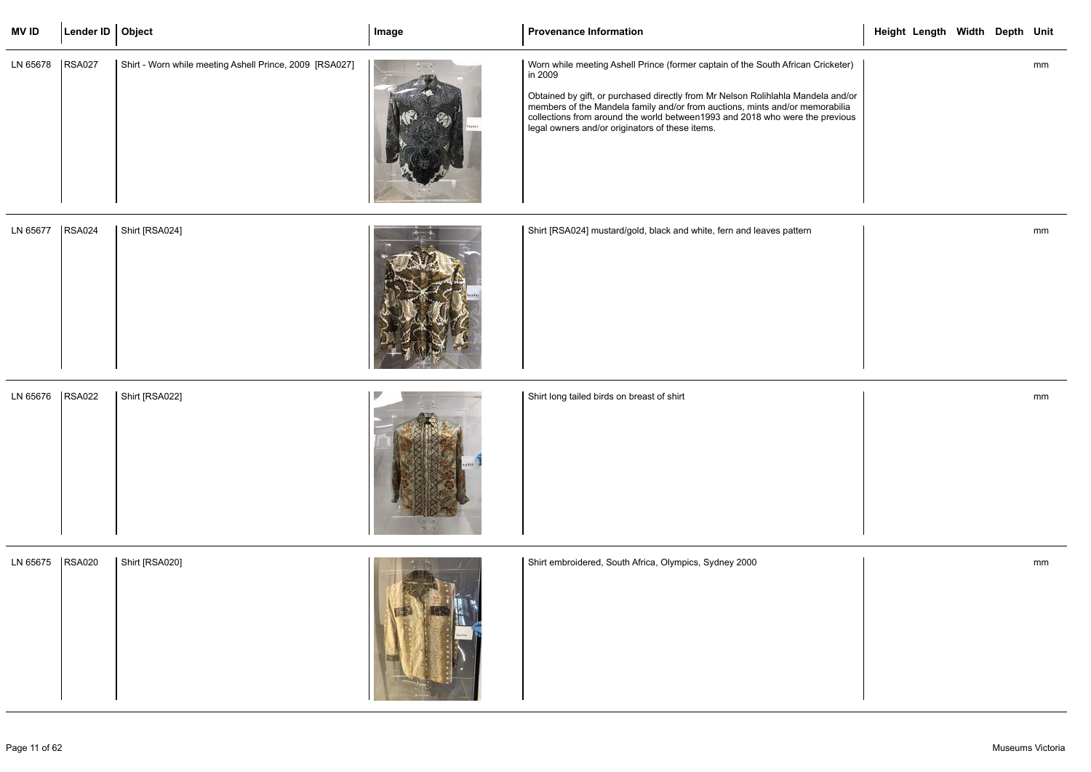| <b>MV ID</b> | Lender ID   Object |                                                         | Image | <b>Provenance Information</b>                                                                                                                                                                                                                                                                                                                                                                    | Height Length Width Depth Unit |
|--------------|--------------------|---------------------------------------------------------|-------|--------------------------------------------------------------------------------------------------------------------------------------------------------------------------------------------------------------------------------------------------------------------------------------------------------------------------------------------------------------------------------------------------|--------------------------------|
| LN 65678     | <b>RSA027</b>      | Shirt - Worn while meeting Ashell Prince, 2009 [RSA027] |       | Worn while meeting Ashell Prince (former captain of the South African Cricketer)<br>in 2009<br>Obtained by gift, or purchased directly from Mr Nelson Rolihlahla Mandela and/or members of the Mandela family and/or from auctions, mints and/or memorabilia<br>collections from around the world between 1993 and 2018 who were the previous<br>legal owners and/or originators of these items. | mm                             |
| LN 65677     | <b>RSA024</b>      | Shirt [RSA024]                                          |       | Shirt [RSA024] mustard/gold, black and white, fern and leaves pattern                                                                                                                                                                                                                                                                                                                            | mm                             |
| LN 65676     | <b>RSA022</b>      | Shirt [RSA022]                                          |       | Shirt long tailed birds on breast of shirt                                                                                                                                                                                                                                                                                                                                                       | mm                             |
| LN 65675     | <b>RSA020</b>      | Shirt [RSA020]                                          |       | Shirt embroidered, South Africa, Olympics, Sydney 2000                                                                                                                                                                                                                                                                                                                                           | mm                             |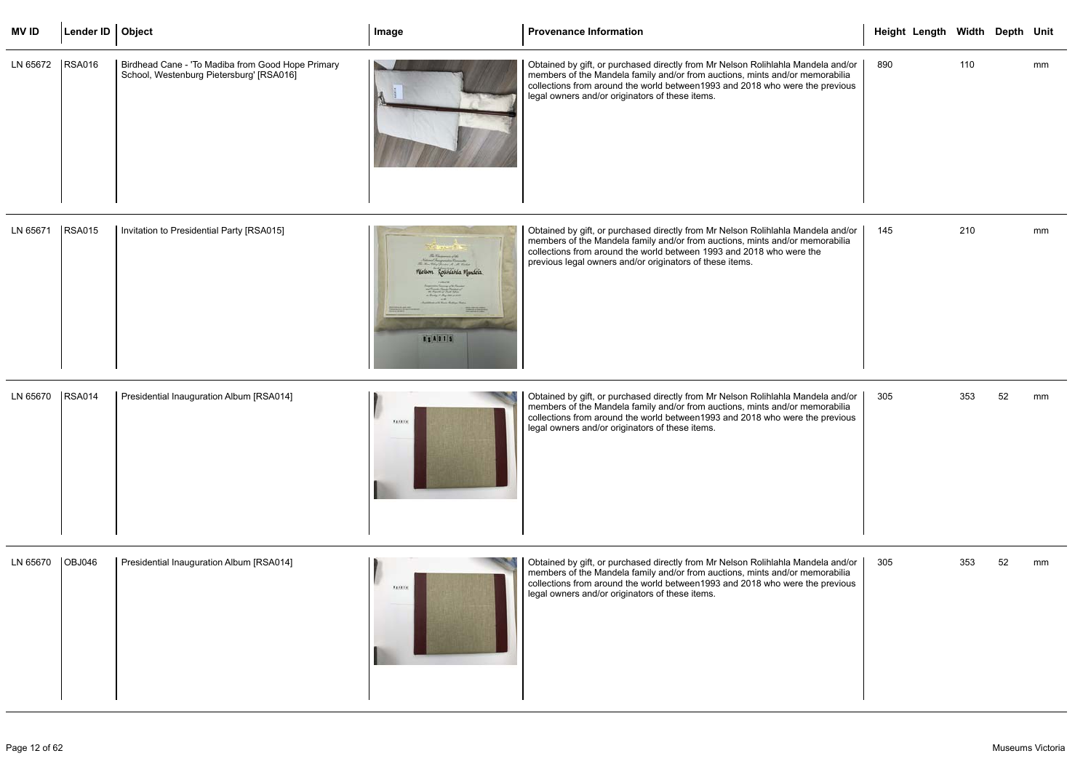| <b>MVID</b>       | Lender ID   Object |                                                                                               | Image | <b>Provenance Information</b>                                                                                                                                                                                                                                                                       | Height Length Width Depth Unit |     |    |
|-------------------|--------------------|-----------------------------------------------------------------------------------------------|-------|-----------------------------------------------------------------------------------------------------------------------------------------------------------------------------------------------------------------------------------------------------------------------------------------------------|--------------------------------|-----|----|
| LN 65672   RSA016 |                    | Birdhead Cane - 'To Madiba from Good Hope Primary<br>School, Westenburg Pietersburg' [RSA016] |       | Obtained by gift, or purchased directly from Mr Nelson Rolihlahla Mandela and/or<br>members of the Mandela family and/or from auctions, mints and/or memorabilia<br>collections from around the world between1993 and 2018 who were the previous<br>legal owners and/or originators of these items. | 890                            | 110 | mm |

| LN 65671 | <b>RSA015</b> | Invitation to Presidential Party [RSA015] | No the man of the lines.<br>The Man Sharp James M. M. States<br>Welson Rountains Mondela<br>of soldier later<br>Property Send Service<br><b>W. Rawling Clark Adam</b><br>as Banks of Algebra account<br><b><i>Australian of the Series Sales</i></b><br><b>Parents and American</b><br><b>BETAIN</b><br>TORONTO, AND IS NOT THE OWNER.<br><b>PERSONAL</b><br><b>BSA015</b> | Obtained by gift, or purchased directly from Mr Nelson Rolihlahla Mandela and/or<br>members of the Mandela family and/or from auctions, mints and/or memorabilia<br>collections from around the world between 1993 and 2018 who were the<br>previous legal owners and/or originators of these items. |
|----------|---------------|-------------------------------------------|----------------------------------------------------------------------------------------------------------------------------------------------------------------------------------------------------------------------------------------------------------------------------------------------------------------------------------------------------------------------------|------------------------------------------------------------------------------------------------------------------------------------------------------------------------------------------------------------------------------------------------------------------------------------------------------|
|----------|---------------|-------------------------------------------|----------------------------------------------------------------------------------------------------------------------------------------------------------------------------------------------------------------------------------------------------------------------------------------------------------------------------------------------------------------------------|------------------------------------------------------------------------------------------------------------------------------------------------------------------------------------------------------------------------------------------------------------------------------------------------------|

| LN 65670 | <b>RSA014</b> | Presidential Inauguration Album [RSA014] | <b>LEARTH</b> | Obtained by gift, or purchased directly from Mr Nelson Rolihlahla Mandela and/or<br>members of the Mandela family and/or from auctions, mints and/or memorabilia<br>collections from around the world between 1993 and 2018 who were the previous<br>legal owners and/or originators of these items. |
|----------|---------------|------------------------------------------|---------------|------------------------------------------------------------------------------------------------------------------------------------------------------------------------------------------------------------------------------------------------------------------------------------------------------|
|----------|---------------|------------------------------------------|---------------|------------------------------------------------------------------------------------------------------------------------------------------------------------------------------------------------------------------------------------------------------------------------------------------------------|

|                                                 |     | Height Length Width Depth Unit |     |    |    |
|-------------------------------------------------|-----|--------------------------------|-----|----|----|
| ela and/or<br>iorabilia<br>previous             | 890 |                                | 110 |    | mm |
| ela and/or<br>iorabilia<br>$\ddot{\phantom{0}}$ | 145 |                                | 210 |    | mm |
| ela and/or<br>iorabilia<br>previous             | 305 |                                | 353 | 52 | mm |
| ela and/or<br>iorabilia<br>previous             | 305 |                                | 353 | 52 | mm |

| OBJ046                                   | Obtained by gift, or purchased directly from Mr Nelson Rolihlahla Mandela and/or |
|------------------------------------------|----------------------------------------------------------------------------------|
| Presidential Inauguration Album [RSA014] | members of the Mandela family and/or from auctions, mints and/or memorabilia     |
| LN 65670                                 | collections from around the world between1993 and 2018 who were the previous     |
| <b>Austria</b>                           | legal owners and/or originators of these items.                                  |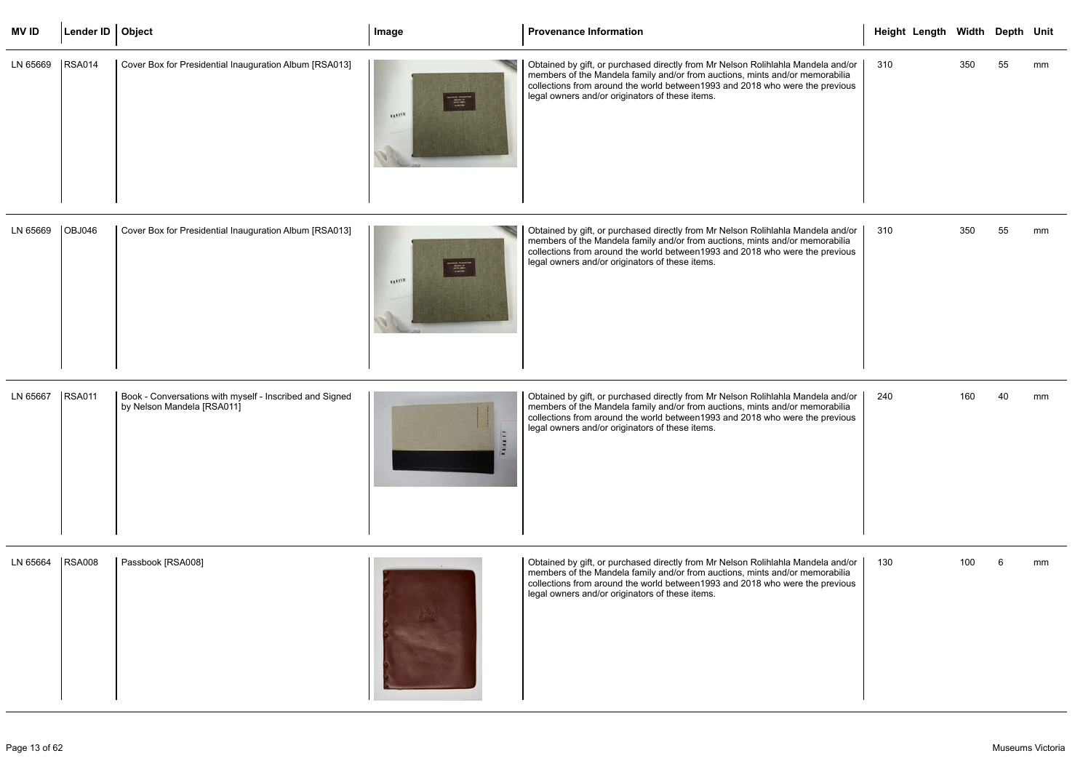| <b>MVID</b>       | Lender ID   Object |                                                        | Image                                  | Provenance Information                                                                                                                                                                                                                                                                              | Height Length Width Depth Unit |     |    |    |
|-------------------|--------------------|--------------------------------------------------------|----------------------------------------|-----------------------------------------------------------------------------------------------------------------------------------------------------------------------------------------------------------------------------------------------------------------------------------------------------|--------------------------------|-----|----|----|
| LN 65669   RSA014 |                    | Cover Box for Presidential Inauguration Album [RSA013] | $\frac{1}{\sqrt{2\pi}}$<br><b>TAXA</b> | Obtained by gift, or purchased directly from Mr Nelson Rolihlahla Mandela and/or<br>members of the Mandela family and/or from auctions, mints and/or memorabilia<br>collections from around the world between1993 and 2018 who were the previous<br>legal owners and/or originators of these items. | 310                            | 350 | 55 | mm |

| LN 65669 | <b>OBJ046</b> | Cover Box for Presidential Inauguration Album [RSA013] | <b>CONTRACTOR</b><br>$200 - 200$<br><b>STATIST</b> | Obtained by gift, or purchased directly from Mr Nelson Rolihlahla Mandela and/or<br>members of the Mandela family and/or from auctions, mints and/or memorabilia<br>collections from around the world between 1993 and 2018 who were the previous<br>legal owners and/or originators of these items. |
|----------|---------------|--------------------------------------------------------|----------------------------------------------------|------------------------------------------------------------------------------------------------------------------------------------------------------------------------------------------------------------------------------------------------------------------------------------------------------|
|----------|---------------|--------------------------------------------------------|----------------------------------------------------|------------------------------------------------------------------------------------------------------------------------------------------------------------------------------------------------------------------------------------------------------------------------------------------------------|

|                                     |     | Height Length Width Depth Unit |     |    |    |
|-------------------------------------|-----|--------------------------------|-----|----|----|
| ela and/or<br>iorabilia<br>previous | 310 |                                | 350 | 55 | mm |
| ela and/or<br>iorabilia<br>previous | 310 |                                | 350 | 55 | mm |
| ela and/or<br>iorabilia<br>previous | 240 |                                | 160 | 40 | mm |
| ela and/or<br>iorabilia<br>previous | 130 |                                | 100 | 6  | mm |

| LN 65667 | <b>RSA011</b> | Book - Conversations with myself - Inscribed and Signed<br>by Nelson Mandela [RSA011] | $\overline{a}$ | Obtained by gift, or purchased directly from Mr Nelson Rolihlahla Mandela and/or<br>members of the Mandela family and/or from auctions, mints and/or memorabilia<br>collections from around the world between 1993 and 2018 who were the previous<br>legal owners and/or originators of these items. |
|----------|---------------|---------------------------------------------------------------------------------------|----------------|------------------------------------------------------------------------------------------------------------------------------------------------------------------------------------------------------------------------------------------------------------------------------------------------------|
|----------|---------------|---------------------------------------------------------------------------------------|----------------|------------------------------------------------------------------------------------------------------------------------------------------------------------------------------------------------------------------------------------------------------------------------------------------------------|

| LN 65664 | <b>RSA008</b> | Passbook [RSA008] |  | Obtained by gift, or purchased directly from Mr Nelson Rolihlahla Mandela and/or<br>members of the Mandela family and/or from auctions, mints and/or memorabilia<br>collections from around the world between 1993 and 2018 who were the previous<br>legal owners and/or originators of these items. |
|----------|---------------|-------------------|--|------------------------------------------------------------------------------------------------------------------------------------------------------------------------------------------------------------------------------------------------------------------------------------------------------|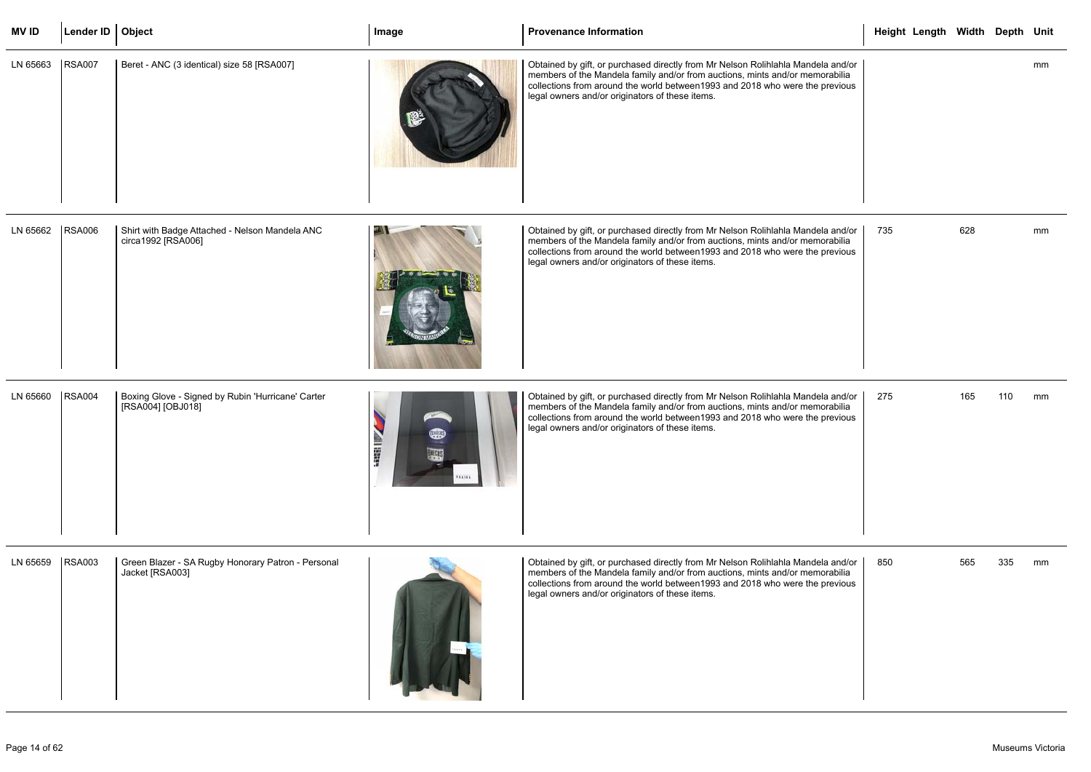| <b>MVID</b> | Lender ID   Object |                                                                        | Image                       | <b>Provenance Information</b>                                                                                                                                                                                                                                                                        | Height Length Width Depth Unit |     |     |    |
|-------------|--------------------|------------------------------------------------------------------------|-----------------------------|------------------------------------------------------------------------------------------------------------------------------------------------------------------------------------------------------------------------------------------------------------------------------------------------------|--------------------------------|-----|-----|----|
| LN 65663    | <b>RSA007</b>      | Beret - ANC (3 identical) size 58 [RSA007]                             |                             | Obtained by gift, or purchased directly from Mr Nelson Rolihlahla Mandela and/or<br>members of the Mandela family and/or from auctions, mints and/or memorabilia<br>collections from around the world between 1993 and 2018 who were the previous<br>legal owners and/or originators of these items. |                                |     |     | mm |
| LN 65662    | <b>RSA006</b>      | Shirt with Badge Attached - Nelson Mandela ANC<br>circa1992 [RSA006]   |                             | Obtained by gift, or purchased directly from Mr Nelson Rolihlahla Mandela and/or<br>members of the Mandela family and/or from auctions, mints and/or memorabilia<br>collections from around the world between 1993 and 2018 who were the previous<br>legal owners and/or originators of these items. | 735                            | 628 |     | mm |
| LN 65660    | <b>RSA004</b>      | Boxing Glove - Signed by Rubin 'Hurricane' Carter<br>[RSA004] [OBJ018] | <b>ALBER</b><br><b>MENS</b> | Obtained by gift, or purchased directly from Mr Nelson Rolihlahla Mandela and/or<br>members of the Mandela family and/or from auctions, mints and/or memorabilia<br>collections from around the world between 1993 and 2018 who were the previous<br>legal owners and/or originators of these items. | 275                            | 165 | 110 | mm |
| LN 65659    | <b>RSA003</b>      | Green Blazer - SA Rugby Honorary Patron - Personal<br>Jacket [RSA003]  |                             | Obtained by gift, or purchased directly from Mr Nelson Rolihlahla Mandela and/or<br>members of the Mandela family and/or from auctions, mints and/or memorabilia<br>collections from around the world between 1993 and 2018 who were the previous<br>legal owners and/or originators of these items. | 850                            | 565 | 335 | mm |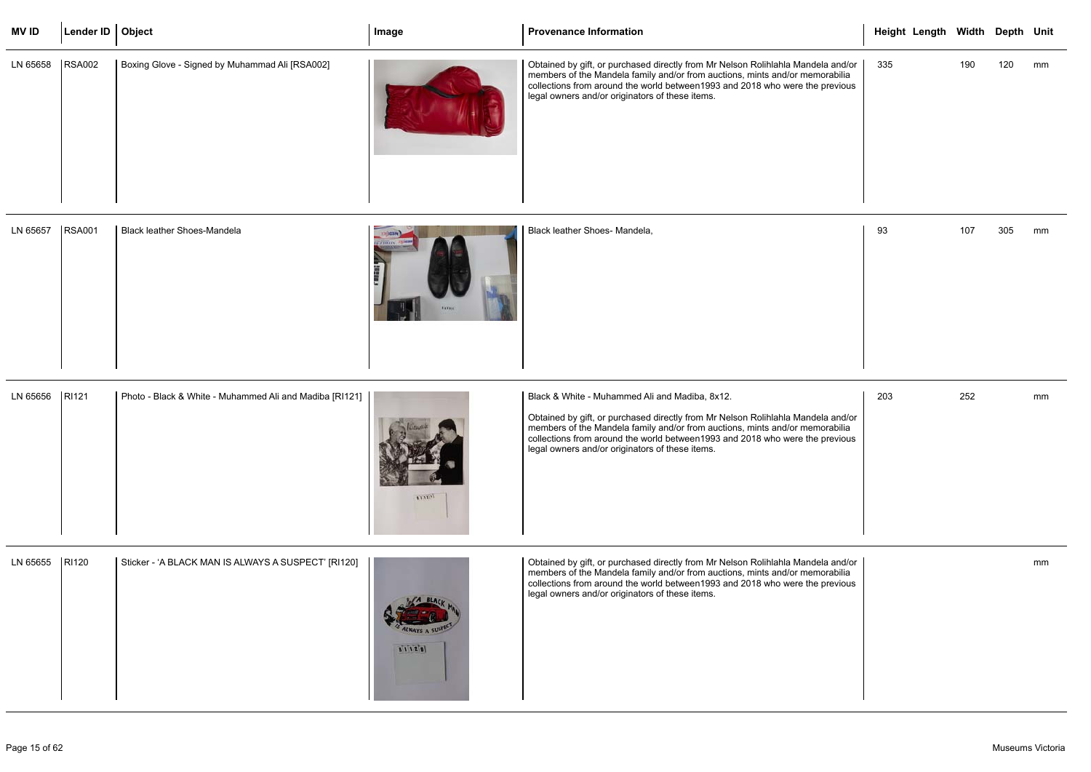| <b>MVID</b> | Lender ID   Object |                                                | Image         | <b>Provenance Information</b>                                                                                                                                                                                                                                                                        |     | Height Length Width Depth Unit |     |     |    |
|-------------|--------------------|------------------------------------------------|---------------|------------------------------------------------------------------------------------------------------------------------------------------------------------------------------------------------------------------------------------------------------------------------------------------------------|-----|--------------------------------|-----|-----|----|
| LN 65658    | <b>RSA002</b>      | Boxing Glove - Signed by Muhammad Ali [RSA002] |               | Obtained by gift, or purchased directly from Mr Nelson Rolihlahla Mandela and/or<br>members of the Mandela family and/or from auctions, mints and/or memorabilia<br>collections from around the world between 1993 and 2018 who were the previous<br>legal owners and/or originators of these items. | 335 |                                | 190 | 120 | mm |
| LN 65657    | <b>RSA001</b>      | Black leather Shoes-Mandela                    | <b>RAYANT</b> | Black leather Shoes- Mandela,                                                                                                                                                                                                                                                                        | 93  |                                | 107 | 305 | mm |

| LN 65656 | RI121 | Photo - Black & White - Muhammed Ali and Madiba [RI121] |      | Black & White - Muhammed Ali and Madiba, 8x12.                                                                                                                                                                                                                                                       |
|----------|-------|---------------------------------------------------------|------|------------------------------------------------------------------------------------------------------------------------------------------------------------------------------------------------------------------------------------------------------------------------------------------------------|
|          |       |                                                         | 1111 | Obtained by gift, or purchased directly from Mr Nelson Rolihlahla Mandela and/or<br>members of the Mandela family and/or from auctions, mints and/or memorabilia<br>collections from around the world between 1993 and 2018 who were the previous<br>legal owners and/or originators of these items. |

|                                         |     | Height Length Width Depth Unit |     |     |        |
|-----------------------------------------|-----|--------------------------------|-----|-----|--------|
| a and/or $\vert$<br>rabilia<br>orevious | 335 |                                | 190 | 120 | mm     |
|                                         | 93  |                                | 107 | 305 | $\,mm$ |
| a and/or<br>rabilia<br>orevious         | 203 |                                | 252 |     | $\,mm$ |
| a and/or<br>rabilia<br>orevious         |     |                                |     |     | mm     |

| LN 65655 | RI120 | Sticker - 'A BLACK MAN IS ALWAYS A SUSPECT' [RI120] | 81120 | Obtained by gift, or purchased directly from Mr Nelson Rolihlahla Mandela and/or<br>members of the Mandela family and/or from auctions, mints and/or memorabilia<br>collections from around the world between1993 and 2018 who were the previous<br>legal owners and/or originators of these items. |
|----------|-------|-----------------------------------------------------|-------|-----------------------------------------------------------------------------------------------------------------------------------------------------------------------------------------------------------------------------------------------------------------------------------------------------|
|----------|-------|-----------------------------------------------------|-------|-----------------------------------------------------------------------------------------------------------------------------------------------------------------------------------------------------------------------------------------------------------------------------------------------------|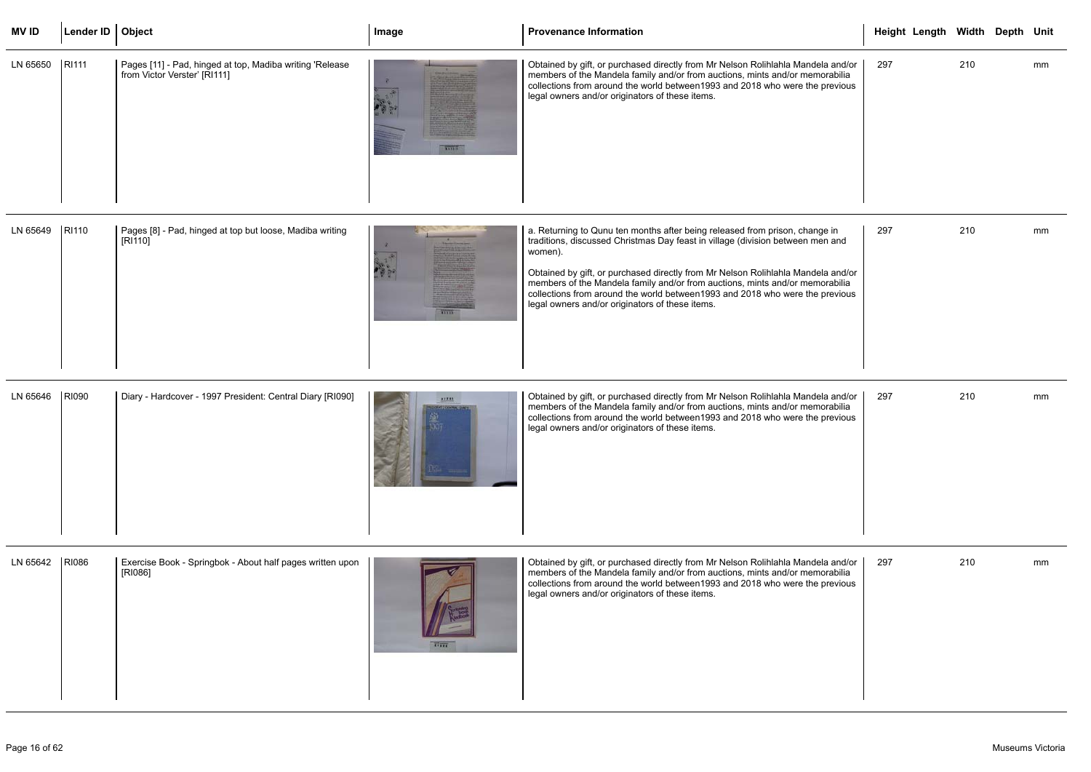| <b>MVID</b>      | Lender ID   Object |                                                                                          | Image        | <b>Provenance Information</b>                                                                                                                                                                                                                                                                                                                                                                                                                                                    | Height Length Width Depth Unit |     |    |
|------------------|--------------------|------------------------------------------------------------------------------------------|--------------|----------------------------------------------------------------------------------------------------------------------------------------------------------------------------------------------------------------------------------------------------------------------------------------------------------------------------------------------------------------------------------------------------------------------------------------------------------------------------------|--------------------------------|-----|----|
| LN 65650   RI111 |                    | Pages [11] - Pad, hinged at top, Madiba writing 'Release<br>from Victor Verster' [RI111] | <b>TANTA</b> | Obtained by gift, or purchased directly from Mr Nelson Rolihlahla Mandela and/or<br>members of the Mandela family and/or from auctions, mints and/or memorabilia<br>collections from around the world between 1993 and 2018 who were the previous<br>legal owners and/or originators of these items.                                                                                                                                                                             | 297                            | 210 | mm |
| LN 65649 RI110   |                    | Pages [8] - Pad, hinged at top but loose, Madiba writing<br>[RI110]                      | <b>ALTER</b> | a. Returning to Qunu ten months after being released from prison, change in<br>traditions, discussed Christmas Day feast in village (division between men and<br>women).<br>Obtained by gift, or purchased directly from Mr Nelson Rolihlahla Mandela and/or<br>members of the Mandela family and/or from auctions, mints and/or memorabilia<br>collections from around the world between 1993 and 2018 who were the previous<br>legal owners and/or originators of these items. | 297                            | 210 | mm |
| LN 65646         | <b>RI090</b>       | Diary - Hardcover - 1997 President: Central Diary [RI090]                                | *****        | Obtained by gift, or purchased directly from Mr Nelson Rolihlahla Mandela and/or<br>members of the Mandela family and/or from auctions, mints and/or memorabilia<br>collections from around the world between 1993 and 2018 who were the previous<br>legal owners and/or originators of these items.                                                                                                                                                                             | 297                            | 210 | mm |
| LN 65642 RI086   |                    | Exercise Book - Springbok - About half pages written upon<br>[RI086]                     | 11777        | Obtained by gift, or purchased directly from Mr Nelson Rolihlahla Mandela and/or<br>members of the Mandela family and/or from auctions, mints and/or memorabilia<br>collections from around the world between 1993 and 2018 who were the previous<br>legal owners and/or originators of these items.                                                                                                                                                                             | 297                            | 210 | mm |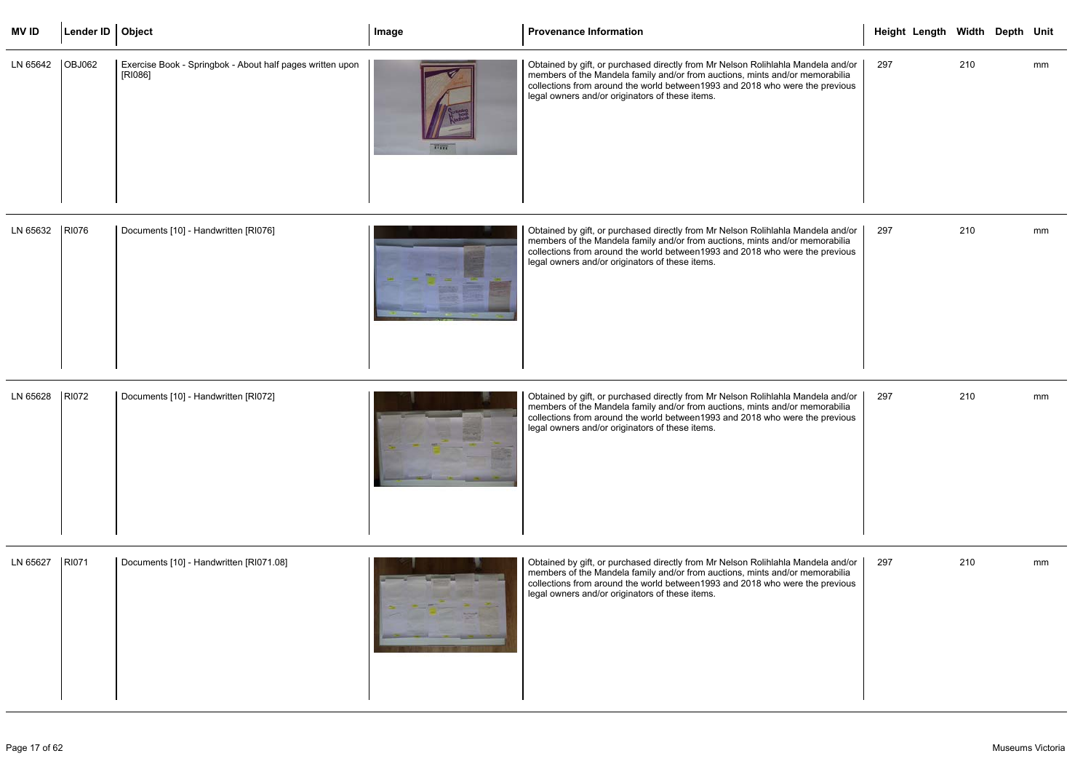| <b>MVID</b>       | Lender ID   Object |                                                                      | Image        | Provenance Information                                                                                                                                                                                                                                                                               | Height Length Width Depth Unit |     |    |
|-------------------|--------------------|----------------------------------------------------------------------|--------------|------------------------------------------------------------------------------------------------------------------------------------------------------------------------------------------------------------------------------------------------------------------------------------------------------|--------------------------------|-----|----|
| LN 65642   OBJ062 |                    | Exercise Book - Springbok - About half pages written upon<br>[RI086] | <b>TITTE</b> | Obtained by gift, or purchased directly from Mr Nelson Rolihlahla Mandela and/or<br>members of the Mandela family and/or from auctions, mints and/or memorabilia<br>collections from around the world between 1993 and 2018 who were the previous<br>legal owners and/or originators of these items. | 297                            | 210 | mm |

| LN 65632 | <b>RI076</b> | Documents [10] - Handwritten [RI076] |  | Obtained by gift, or purchased directly from Mr Nelson Rolihlahla Mandela and/or<br>members of the Mandela family and/or from auctions, mints and/or memorabilia<br>collections from around the world between 1993 and 2018 who were the previous<br>legal owners and/or originators of these items. |
|----------|--------------|--------------------------------------|--|------------------------------------------------------------------------------------------------------------------------------------------------------------------------------------------------------------------------------------------------------------------------------------------------------|
|----------|--------------|--------------------------------------|--|------------------------------------------------------------------------------------------------------------------------------------------------------------------------------------------------------------------------------------------------------------------------------------------------------|

| LN 65628 | <b>RI072</b> | Documents [10] - Handwritten [RI072] |  | Obtained by gift, or purchased directly from Mr Nelson Rolihlahla Mandela and/or<br>members of the Mandela family and/or from auctions, mints and/or memorabilia<br>collections from around the world between 1993 and 2018 who were the previous<br>legal owners and/or originators of these items. |
|----------|--------------|--------------------------------------|--|------------------------------------------------------------------------------------------------------------------------------------------------------------------------------------------------------------------------------------------------------------------------------------------------------|
|----------|--------------|--------------------------------------|--|------------------------------------------------------------------------------------------------------------------------------------------------------------------------------------------------------------------------------------------------------------------------------------------------------|

|                                    |     | Height Length Width Depth Unit |     |    |
|------------------------------------|-----|--------------------------------|-----|----|
| a and/or<br>rabilia<br>revious     | 297 |                                | 210 | mm |
| a and/or<br>rabilia<br>revious     | 297 |                                | 210 | mm |
| a and/or $ $<br>rabilia<br>revious | 297 |                                | 210 | mm |
| a and/or<br>rabilia<br>revious     | 297 |                                | 210 | mm |

| LN 65627 | RI071 | Documents [10] - Handwritten [RI071.08] |  | Obtained by gift, or purchased directly from Mr Nelson Rolihlahla Mandela and/or<br>members of the Mandela family and/or from auctions, mints and/or memorabilia<br>collections from around the world between1993 and 2018 who were the previous<br>legal owners and/or originators of these items. |
|----------|-------|-----------------------------------------|--|-----------------------------------------------------------------------------------------------------------------------------------------------------------------------------------------------------------------------------------------------------------------------------------------------------|
|----------|-------|-----------------------------------------|--|-----------------------------------------------------------------------------------------------------------------------------------------------------------------------------------------------------------------------------------------------------------------------------------------------------|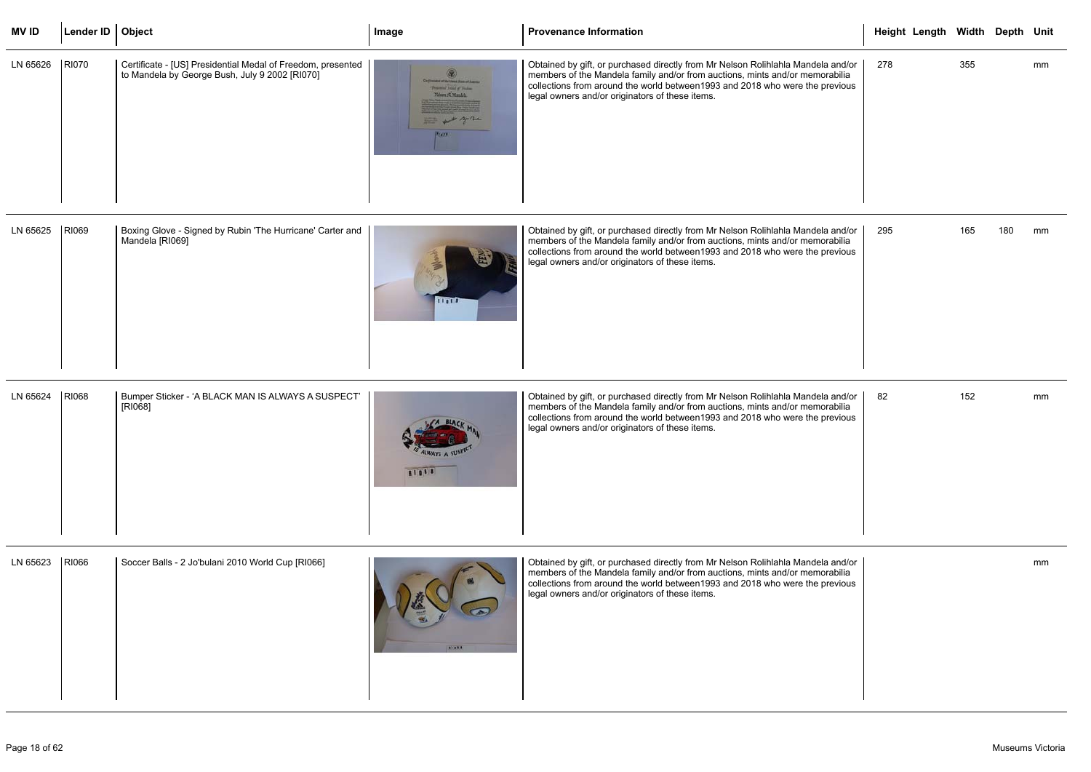| <b>MVID</b> | Lender ID   Object |                                                                                                               | Image                                                                                                               | <b>Provenance Information</b>                                                                                                                                                                                                                                                                        | Height Length Width Depth Unit |     |     |    |
|-------------|--------------------|---------------------------------------------------------------------------------------------------------------|---------------------------------------------------------------------------------------------------------------------|------------------------------------------------------------------------------------------------------------------------------------------------------------------------------------------------------------------------------------------------------------------------------------------------------|--------------------------------|-----|-----|----|
| LN 65626    | <b>RI070</b>       | Certificate - [US] Presidential Medal of Freedom, presented<br>to Mandela by George Bush, July 9 2002 [RI070] | Circulated state them it as a famous<br>Problems Addit of Product<br>Wenn S. Markla<br>20022<br>that of the youther | Obtained by gift, or purchased directly from Mr Nelson Rolihlahla Mandela and/or<br>members of the Mandela family and/or from auctions, mints and/or memorabilia<br>collections from around the world between 1993 and 2018 who were the previous<br>legal owners and/or originators of these items. | 278                            | 355 |     | mm |
| LN 65625    | RI069              | Boxing Glove - Signed by Rubin 'The Hurricane' Carter and<br>Mandela [RI069]                                  |                                                                                                                     | Obtained by gift, or purchased directly from Mr Nelson Rolihlahla Mandela and/or<br>members of the Mandela family and/or from auctions, mints and/or memorabilia                                                                                                                                     | 295                            | 165 | 180 | mm |

| r and | anno | Obti<br>mer<br>colle<br>lega |
|-------|------|------------------------------|
|       |      |                              |

members of the Mandela family and/or from auctions, mints and/or memorabilia collections from around the world between1993 and 2018 who were the previous legal owners and/or originators of these items.

|                                       |     | Height Length Width Depth Unit |     |     |    |
|---------------------------------------|-----|--------------------------------|-----|-----|----|
| a and/or $\mid$<br>rabilia<br>revious | 278 |                                | 355 |     | mm |
| a and/or<br>rabilia<br>revious        | 295 |                                | 165 | 180 | mm |
| a and/or<br>rabilia<br>revious        | 82  |                                | 152 |     | mm |
| a and/or<br>rabilia<br>revious        |     |                                |     |     | mm |

| LN 65624 | RI068 | Bumper Sticker - 'A BLACK MAN IS ALWAYS A SUSPECT'<br>[RI068] | T1088 | Obtained by gift, or purchased directly from Mr Nelson Rolihlahla Mandela and/or<br>members of the Mandela family and/or from auctions, mints and/or memorabilia<br>collections from around the world between 1993 and 2018 who were the previous<br>legal owners and/or originators of these items. |
|----------|-------|---------------------------------------------------------------|-------|------------------------------------------------------------------------------------------------------------------------------------------------------------------------------------------------------------------------------------------------------------------------------------------------------|
|----------|-------|---------------------------------------------------------------|-------|------------------------------------------------------------------------------------------------------------------------------------------------------------------------------------------------------------------------------------------------------------------------------------------------------|

| LN 65623 | RI066 | Soccer Balls - 2 Jo'bulani 2010 World Cup [RI066] | 111111 | Obtained by gift, or purchased directly from Mr Nelson Rolihlahla Mandela and/or<br>members of the Mandela family and/or from auctions, mints and/or memorabilia<br>collections from around the world between 1993 and 2018 who were the previous<br>legal owners and/or originators of these items. |
|----------|-------|---------------------------------------------------|--------|------------------------------------------------------------------------------------------------------------------------------------------------------------------------------------------------------------------------------------------------------------------------------------------------------|
|----------|-------|---------------------------------------------------|--------|------------------------------------------------------------------------------------------------------------------------------------------------------------------------------------------------------------------------------------------------------------------------------------------------------|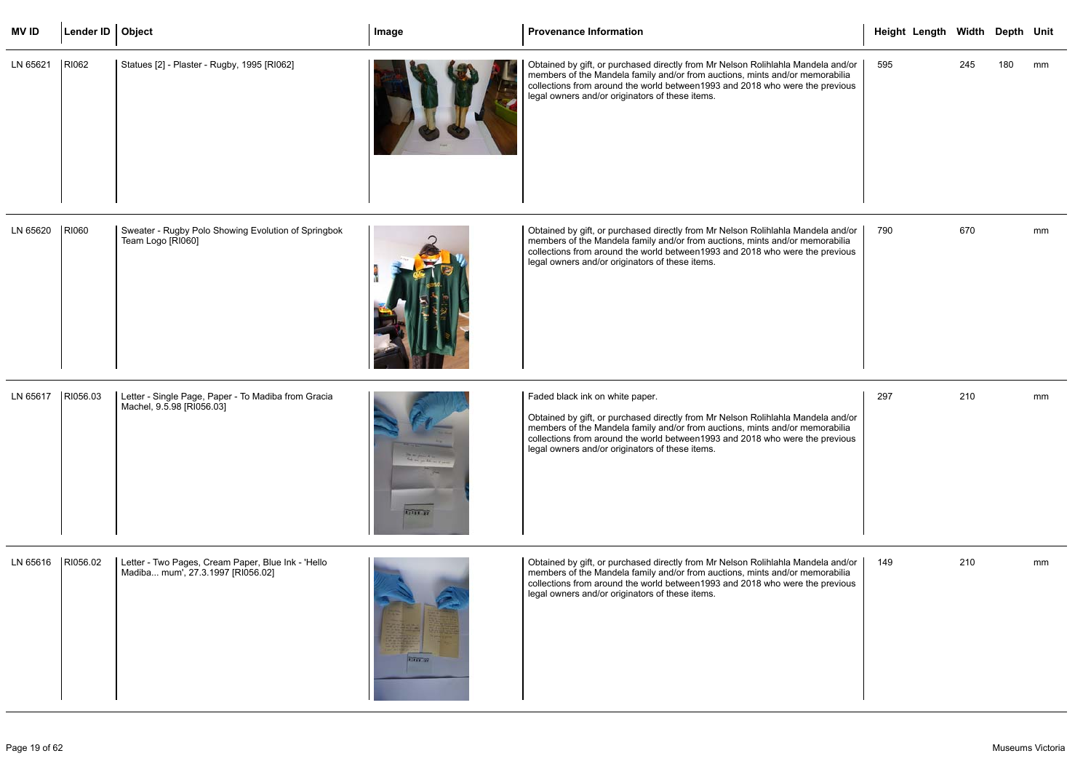| <b>MVID</b> | Lender ID   Object |                                                                                         | Image    | <b>Provenance Information</b>                                                                                                                                                                                                                                                                                                           | Height Length Width Depth Unit |     |     |    |
|-------------|--------------------|-----------------------------------------------------------------------------------------|----------|-----------------------------------------------------------------------------------------------------------------------------------------------------------------------------------------------------------------------------------------------------------------------------------------------------------------------------------------|--------------------------------|-----|-----|----|
| LN 65621    | RI062              | Statues [2] - Plaster - Rugby, 1995 [RI062]                                             |          | Obtained by gift, or purchased directly from Mr Nelson Rolihlahla Mandela and/or<br>members of the Mandela family and/or from auctions, mints and/or memorabilia<br>collections from around the world between 1993 and 2018 who were the previous<br>legal owners and/or originators of these items.                                    | 595                            | 245 | 180 | mm |
| LN 65620    | RI060              | Sweater - Rugby Polo Showing Evolution of Springbok<br>Team Logo [RI060]                |          | Obtained by gift, or purchased directly from Mr Nelson Rolihlahla Mandela and/or<br>members of the Mandela family and/or from auctions, mints and/or memorabilia<br>collections from around the world between 1993 and 2018 who were the previous<br>legal owners and/or originators of these items.                                    | 790                            | 670 |     | mm |
| LN 65617    | RI056.03           | Letter - Single Page, Paper - To Madiba from Gracia<br>Machel, 9.5.98 [RI056.03]        | 21111.37 | Faded black ink on white paper.<br>Obtained by gift, or purchased directly from Mr Nelson Rolihlahla Mandela and/or<br>members of the Mandela family and/or from auctions, mints and/or memorabilia<br>collections from around the world between 1993 and 2018 who were the previous<br>legal owners and/or originators of these items. | 297                            | 210 |     | mm |
| LN 65616    | RI056.02           | Letter - Two Pages, Cream Paper, Blue Ink - 'Hello<br>Madiba mum', 27.3.1997 [RI056.02] | 11111.69 | Obtained by gift, or purchased directly from Mr Nelson Rolihlahla Mandela and/or<br>members of the Mandela family and/or from auctions, mints and/or memorabilia<br>collections from around the world between 1993 and 2018 who were the previous<br>legal owners and/or originators of these items.                                    | 149                            | 210 |     | mm |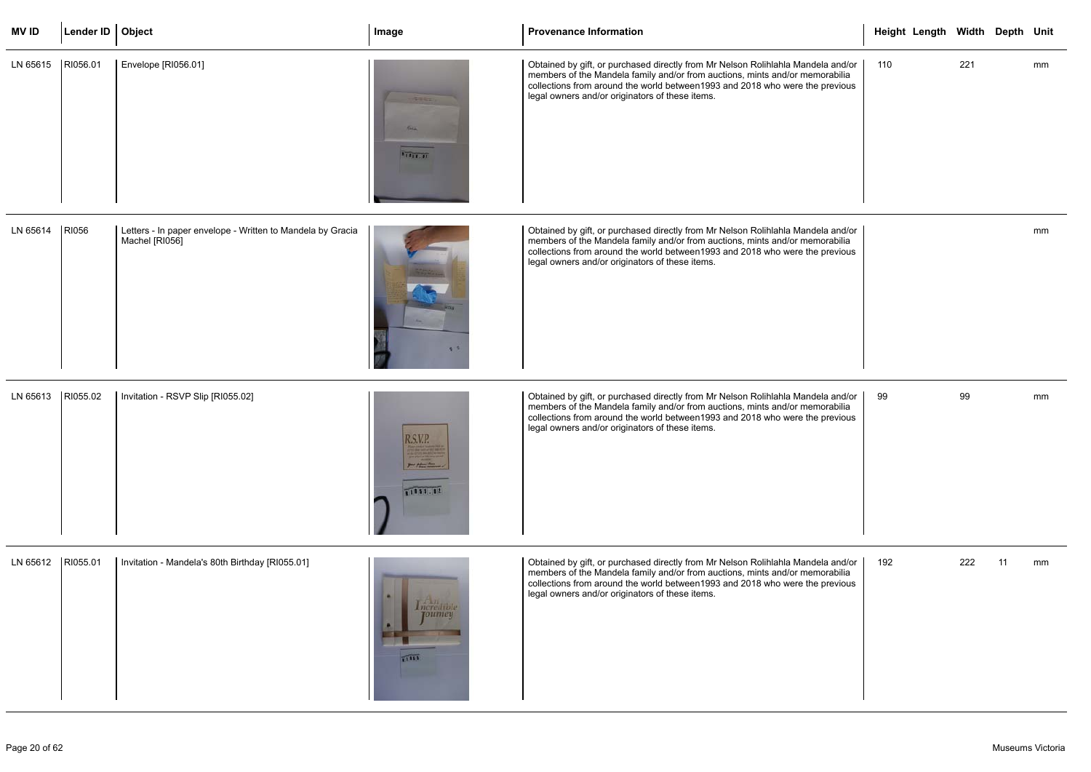| <b>MV ID</b>        | Lender ID   Object |                                                                              | Image                                    | <b>Provenance Information</b>                                                                                                                                                                                                                                                                        | Height Length Width Depth Unit |     |     |    |
|---------------------|--------------------|------------------------------------------------------------------------------|------------------------------------------|------------------------------------------------------------------------------------------------------------------------------------------------------------------------------------------------------------------------------------------------------------------------------------------------------|--------------------------------|-----|-----|----|
| LN 65615            | RI056.01           | Envelope [RI056.01]                                                          | <b>TITLE</b>                             | Obtained by gift, or purchased directly from Mr Nelson Rolihlahla Mandela and/or<br>members of the Mandela family and/or from auctions, mints and/or memorabilia<br>collections from around the world between 1993 and 2018 who were the previous<br>legal owners and/or originators of these items. | 110                            | 221 |     | mm |
| LN 65614            | RI056              | Letters - In paper envelope - Written to Mandela by Gracia<br>Machel [RI056] |                                          | Obtained by gift, or purchased directly from Mr Nelson Rolihlahla Mandela and/or<br>members of the Mandela family and/or from auctions, mints and/or memorabilia<br>collections from around the world between1993 and 2018 who were the previous<br>legal owners and/or originators of these items.  |                                |     |     | mm |
| LN 65613            | RI055.02           | Invitation - RSVP Slip [RI055.02]                                            | R.S.V.P.<br>Press Palace and<br>11055.02 | Obtained by gift, or purchased directly from Mr Nelson Rolihlahla Mandela and/or<br>members of the Mandela family and/or from auctions, mints and/or memorabilia<br>collections from around the world between 1993 and 2018 who were the previous<br>legal owners and/or originators of these items. | 99                             | 99  |     | mm |
| LN 65612   RI055.01 |                    | Invitation - Mandela's 80th Birthday [RI055.01]                              | пстентон<br>нитеч<br>71111               | Obtained by gift, or purchased directly from Mr Nelson Rolihlahla Mandela and/or<br>members of the Mandela family and/or from auctions, mints and/or memorabilia<br>collections from around the world between 1993 and 2018 who were the previous<br>legal owners and/or originators of these items. | 192                            | 222 | -11 | mm |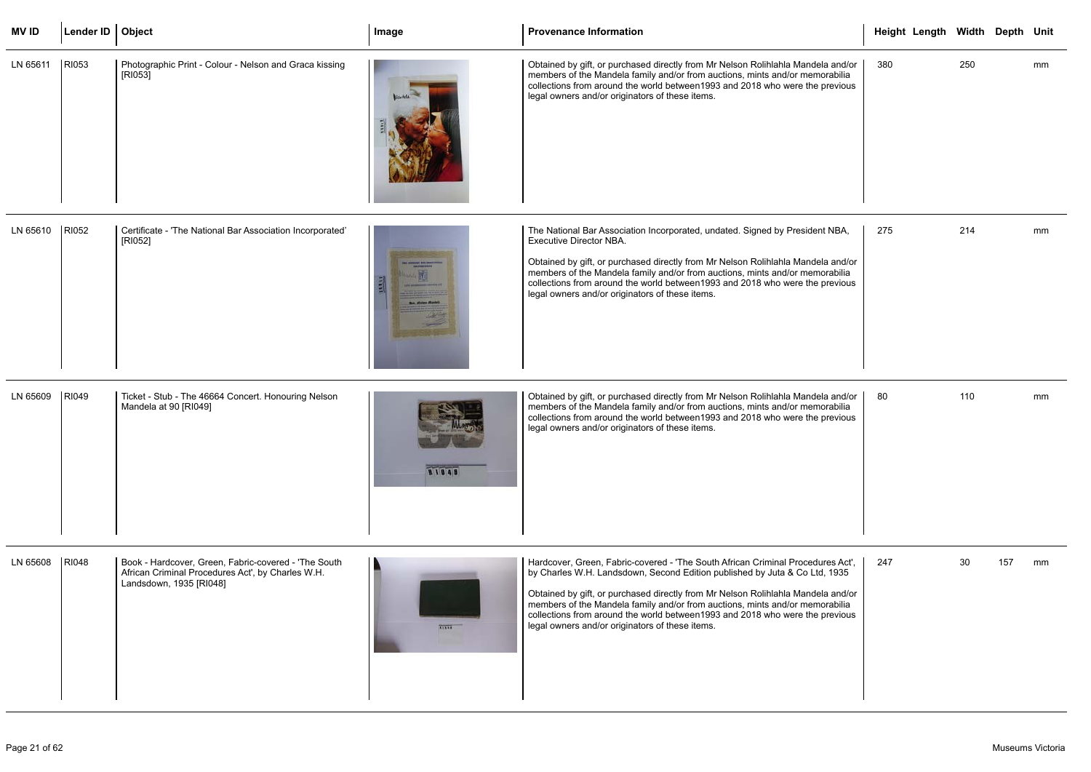| <b>MV ID</b>   | Lender ID   Object |                                                                                                                                      | Image               | <b>Provenance Information</b>                                                                                                                                                                                                                                                                                                                                                                                                                                         | Height Length Width Depth Unit |     |     |    |
|----------------|--------------------|--------------------------------------------------------------------------------------------------------------------------------------|---------------------|-----------------------------------------------------------------------------------------------------------------------------------------------------------------------------------------------------------------------------------------------------------------------------------------------------------------------------------------------------------------------------------------------------------------------------------------------------------------------|--------------------------------|-----|-----|----|
| LN 65611       | RI053              | Photographic Print - Colour - Nelson and Graca kissing<br>[RI053]                                                                    |                     | Obtained by gift, or purchased directly from Mr Nelson Rolihlahla Mandela and/or<br>members of the Mandela family and/or from auctions, mints and/or memorabilia<br>collections from around the world between 1993 and 2018 who were the previous<br>legal owners and/or originators of these items.                                                                                                                                                                  | 380                            | 250 |     | mm |
| LN 65610       | RI052              | Certificate - 'The National Bar Association Incorporated'<br>[RI052]                                                                 | Ron, Moisse Mashriz | The National Bar Association Incorporated, undated. Signed by President NBA,<br><b>Executive Director NBA.</b><br>Obtained by gift, or purchased directly from Mr Nelson Rolihlahla Mandela and/or<br>members of the Mandela family and/or from auctions, mints and/or memorabilia<br>collections from around the world between1993 and 2018 who were the previous<br>legal owners and/or originators of these items.                                                 | 275                            | 214 |     | mm |
| LN 65609       | RI049              | Ticket - Stub - The 46664 Concert. Honouring Nelson<br>Mandela at 90 [RI049]                                                         | 81049               | Obtained by gift, or purchased directly from Mr Nelson Rolihlahla Mandela and/or<br>members of the Mandela family and/or from auctions, mints and/or memorabilia<br>collections from around the world between 1993 and 2018 who were the previous<br>legal owners and/or originators of these items.                                                                                                                                                                  | 80                             | 110 |     | mm |
| LN 65608 RI048 |                    | Book - Hardcover, Green, Fabric-covered - 'The South<br>African Criminal Procedures Act', by Charles W.H.<br>Landsdown, 1935 [RI048] | <b>TIBEE</b>        | Hardcover, Green, Fabric-covered - 'The South African Criminal Procedures Act',<br>by Charles W.H. Landsdown, Second Edition published by Juta & Co Ltd, 1935<br>Obtained by gift, or purchased directly from Mr Nelson Rolihlahla Mandela and/or<br>members of the Mandela family and/or from auctions, mints and/or memorabilia<br>collections from around the world between 1993 and 2018 who were the previous<br>legal owners and/or originators of these items. | 247                            | 30  | 157 | mm |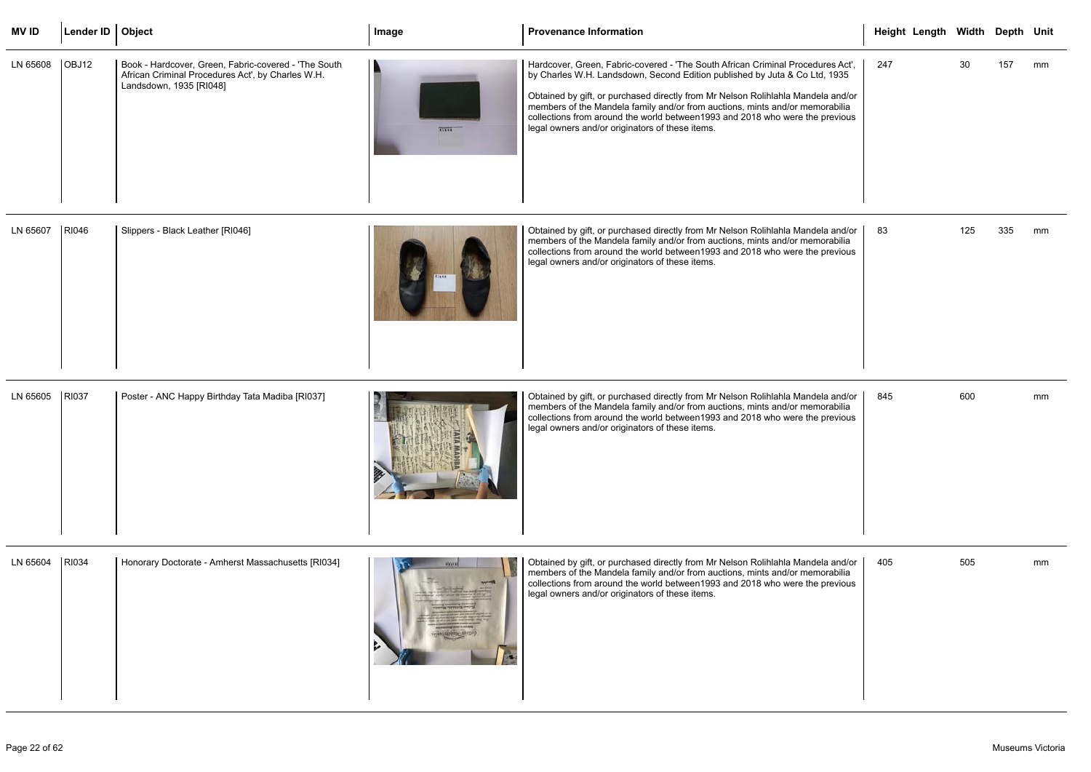| MV ID            | Lender ID   Object |                                                                                                                                      | Image        | <b>Provenance Information</b>                                                                                                                                                                                                                                                                                                                                                                                                                                        | Height Length Width Depth Unit |    |     |    |
|------------------|--------------------|--------------------------------------------------------------------------------------------------------------------------------------|--------------|----------------------------------------------------------------------------------------------------------------------------------------------------------------------------------------------------------------------------------------------------------------------------------------------------------------------------------------------------------------------------------------------------------------------------------------------------------------------|--------------------------------|----|-----|----|
| LN 65608   OBJ12 |                    | Book - Hardcover, Green, Fabric-covered - 'The South<br>African Criminal Procedures Act', by Charles W.H.<br>Landsdown, 1935 [RI048] | <b>ALLES</b> | Hardcover, Green, Fabric-covered - 'The South African Criminal Procedures Act',<br>by Charles W.H. Landsdown, Second Edition published by Juta & Co Ltd, 1935<br>Obtained by gift, or purchased directly from Mr Nelson Rolihlahla Mandela and/or<br>members of the Mandela family and/or from auctions, mints and/or memorabilia<br>collections from around the world between1993 and 2018 who were the previous<br>legal owners and/or originators of these items. | 247                            | 30 | 157 | mm |

| LN 65607 | RI046 | Slippers - Black Leather [RI046] |  | Obtained by gift, or purchased directly from Mr Nelson Rolihlahla Mandela and/or<br>members of the Mandela family and/or from auctions, mints and/or memorabilia<br>collections from around the world between1993 and 2018 who were the previous<br>legal owners and/or originators of these items. |
|----------|-------|----------------------------------|--|-----------------------------------------------------------------------------------------------------------------------------------------------------------------------------------------------------------------------------------------------------------------------------------------------------|
|----------|-------|----------------------------------|--|-----------------------------------------------------------------------------------------------------------------------------------------------------------------------------------------------------------------------------------------------------------------------------------------------------|

| LN 65605 | RI037 | Poster - ANC Happy Birthday Tata Madiba [RI037] |  | Obtained by gift, or purchased directly from Mr Nelson Rolihlahla Mandela and/or<br>members of the Mandela family and/or from auctions, mints and/or memorabilia<br>collections from around the world between1993 and 2018 who were the previous<br>legal owners and/or originators of these items. |
|----------|-------|-------------------------------------------------|--|-----------------------------------------------------------------------------------------------------------------------------------------------------------------------------------------------------------------------------------------------------------------------------------------------------|
|----------|-------|-------------------------------------------------|--|-----------------------------------------------------------------------------------------------------------------------------------------------------------------------------------------------------------------------------------------------------------------------------------------------------|

|                                                        |     | Height Length Width Depth Unit |                 |     |    |
|--------------------------------------------------------|-----|--------------------------------|-----------------|-----|----|
| res Act',<br>, 1935<br>a and/or<br>rabilia<br>orevious | 247 |                                | 30 <sub>o</sub> | 157 | mm |
| a and/or<br>rabilia<br>orevious                        | 83  |                                | 125             | 335 | mm |
| a and/or<br>rabilia<br>orevious                        | 845 |                                | 600             |     | mm |
| a and/or<br>rabilia<br>orevious                        | 405 |                                | 505             |     | mm |

| LN 65604 | RI034 | Honorary Doctorate - Amherst Massachusetts [RI034] | <b>KELLER</b> | Obtained by gift, or purchased directly from Mr Nelson Rolihlahla Mandela and/or<br>members of the Mandela family and/or from auctions, mints and/or memorabilia<br>collections from around the world between 1993 and 2018 who were the previous<br>legal owners and/or originators of these items. |
|----------|-------|----------------------------------------------------|---------------|------------------------------------------------------------------------------------------------------------------------------------------------------------------------------------------------------------------------------------------------------------------------------------------------------|
|----------|-------|----------------------------------------------------|---------------|------------------------------------------------------------------------------------------------------------------------------------------------------------------------------------------------------------------------------------------------------------------------------------------------------|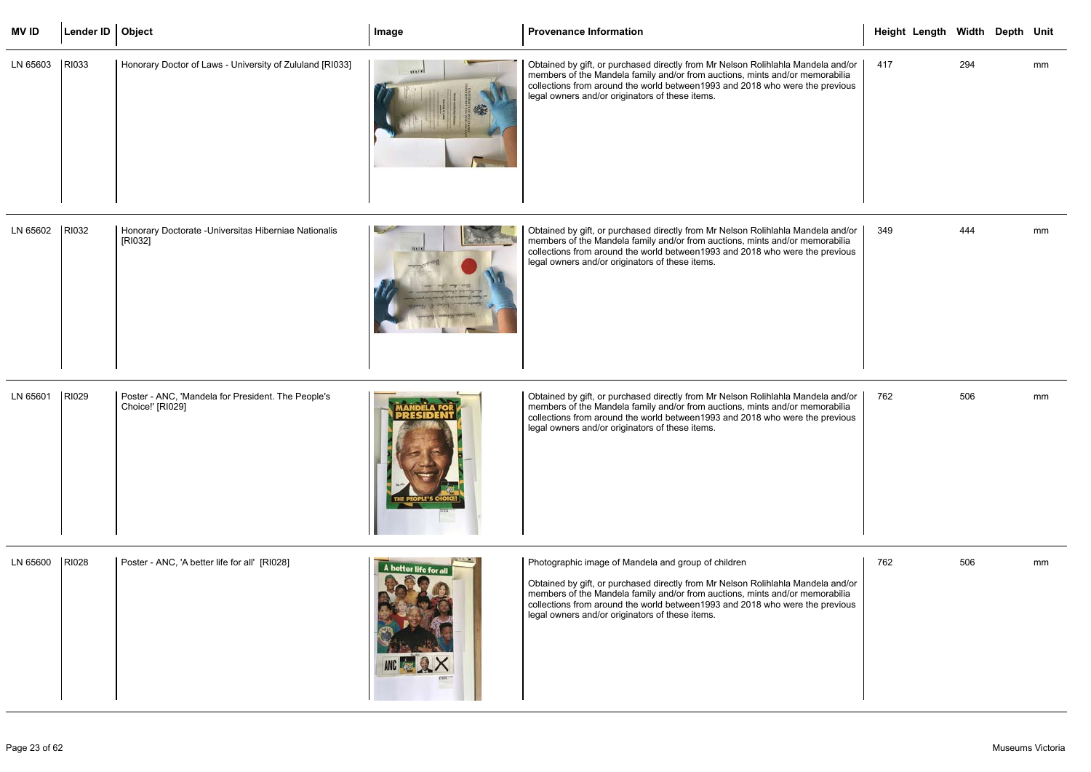| <b>MVID</b>    | Lender ID   Object |                                                                        | Image                 | <b>Provenance Information</b>                                                                                                                                                                                                                                                                                                                               | Height Length Width Depth Unit |     |    |
|----------------|--------------------|------------------------------------------------------------------------|-----------------------|-------------------------------------------------------------------------------------------------------------------------------------------------------------------------------------------------------------------------------------------------------------------------------------------------------------------------------------------------------------|--------------------------------|-----|----|
| LN 65603       | RI033              | Honorary Doctor of Laws - University of Zululand [RI033]               | 49,63,93              | Obtained by gift, or purchased directly from Mr Nelson Rolihlahla Mandela and/or<br>members of the Mandela family and/or from auctions, mints and/or memorabilia<br>collections from around the world between 1993 and 2018 who were the previous<br>legal owners and/or originators of these items.                                                        | 417                            | 294 | mm |
| LN 65602       | <b>RI032</b>       | Honorary Doctorate - Universitas Hiberniae Nationalis<br>[RI032]       | Kentuck and           | Obtained by gift, or purchased directly from Mr Nelson Rolihlahla Mandela and/or<br>members of the Mandela family and/or from auctions, mints and/or memorabilia<br>collections from around the world between 1993 and 2018 who were the previous<br>legal owners and/or originators of these items.                                                        | 349                            | 444 | mm |
| LN 65601       | RI029              | Poster - ANC, 'Mandela for President. The People's<br>Choice!' [RI029] |                       | Obtained by gift, or purchased directly from Mr Nelson Rolihlahla Mandela and/or<br>members of the Mandela family and/or from auctions, mints and/or memorabilia<br>collections from around the world between 1993 and 2018 who were the previous<br>legal owners and/or originators of these items.                                                        | 762                            | 506 | mm |
| LN 65600 RI028 |                    | Poster - ANC, 'A better life for all' [RI028]                          | A better life for all | Photographic image of Mandela and group of children<br>Obtained by gift, or purchased directly from Mr Nelson Rolihlahla Mandela and/or<br>members of the Mandela family and/or from auctions, mints and/or memorabilia<br>collections from around the world between 1993 and 2018 who were the previous<br>legal owners and/or originators of these items. | 762                            | 506 | mm |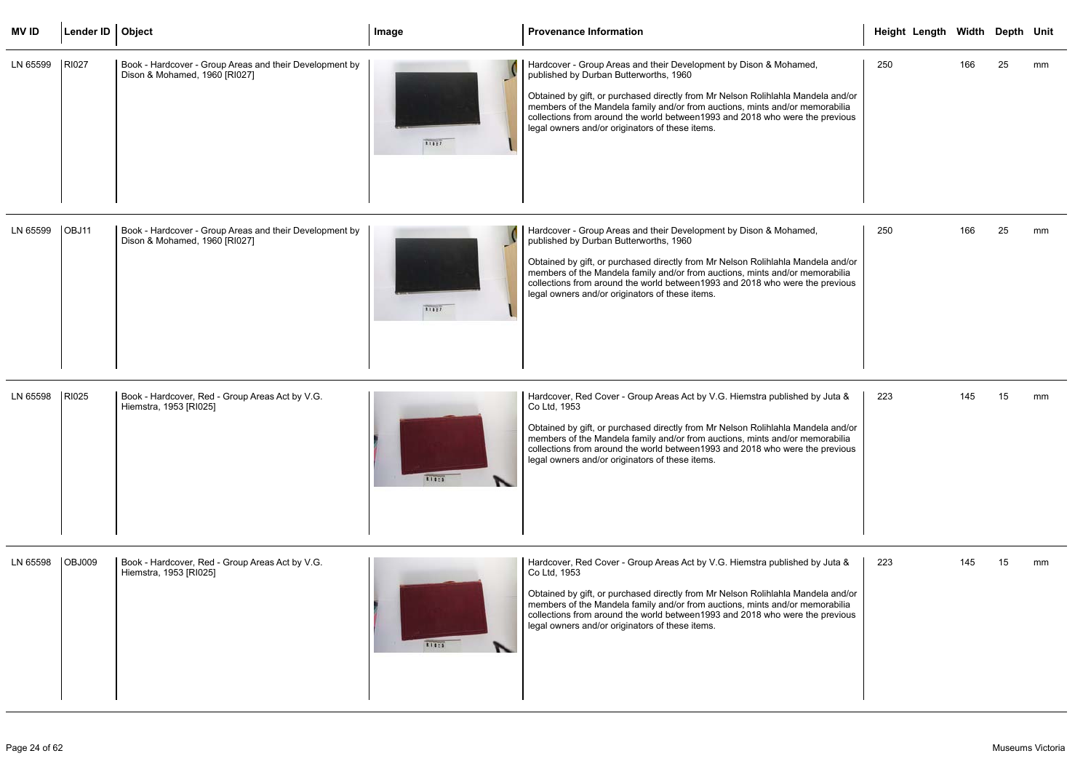| <b>MVID</b> | Lender ID   Object |                                                                                          | Image | <b>Provenance Information</b>                                                                                                                                                                                                                                                                                                                                                                                       | Height Length Width Depth Unit |     |    |    |
|-------------|--------------------|------------------------------------------------------------------------------------------|-------|---------------------------------------------------------------------------------------------------------------------------------------------------------------------------------------------------------------------------------------------------------------------------------------------------------------------------------------------------------------------------------------------------------------------|--------------------------------|-----|----|----|
| LN 65599    | RI027              | Book - Hardcover - Group Areas and their Development by<br>Dison & Mohamed, 1960 [RI027] | 31827 | Hardcover - Group Areas and their Development by Dison & Mohamed,<br>published by Durban Butterworths, 1960<br>Obtained by gift, or purchased directly from Mr Nelson Rolihlahla Mandela and/or<br>members of the Mandela family and/or from auctions, mints and/or memorabilia<br>collections from around the world between 1993 and 2018 who were the previous<br>legal owners and/or originators of these items. | 250                            | 166 | 25 | mm |
| LN 65599    | OBJ11              | Book - Hardcover - Group Areas and their Development by<br>Dison & Mohamed, 1960 [RI027] | 31827 | Hardcover - Group Areas and their Development by Dison & Mohamed,<br>published by Durban Butterworths, 1960<br>Obtained by gift, or purchased directly from Mr Nelson Rolihlahla Mandela and/or<br>members of the Mandela family and/or from auctions, mints and/or memorabilia<br>collections from around the world between 1993 and 2018 who were the previous<br>legal owners and/or originators of these items. | 250                            | 166 | 25 | mm |
| LN 65598    | RI025              | Book - Hardcover, Red - Group Areas Act by V.G.<br>Hiemstra, 1953 [RI025]                | 31125 | Hardcover, Red Cover - Group Areas Act by V.G. Hiemstra published by Juta &<br>Co Ltd, 1953<br>Obtained by gift, or purchased directly from Mr Nelson Rolihlahla Mandela and/or<br>members of the Mandela family and/or from auctions, mints and/or memorabilia<br>collections from around the world between 1993 and 2018 who were the previous<br>legal owners and/or originators of these items.                 | 223                            | 145 | 15 | mm |
| LN 65598    | <b>OBJ009</b>      | Book - Hardcover, Red - Group Areas Act by V.G.<br>Hiemstra, 1953 [RI025]                | 11125 | Hardcover, Red Cover - Group Areas Act by V.G. Hiemstra published by Juta &<br>Co Ltd, 1953<br>Obtained by gift, or purchased directly from Mr Nelson Rolihlahla Mandela and/or<br>members of the Mandela family and/or from auctions, mints and/or memorabilia<br>collections from around the world between 1993 and 2018 who were the previous<br>legal owners and/or originators of these items.                 | 223                            | 145 | 15 | mm |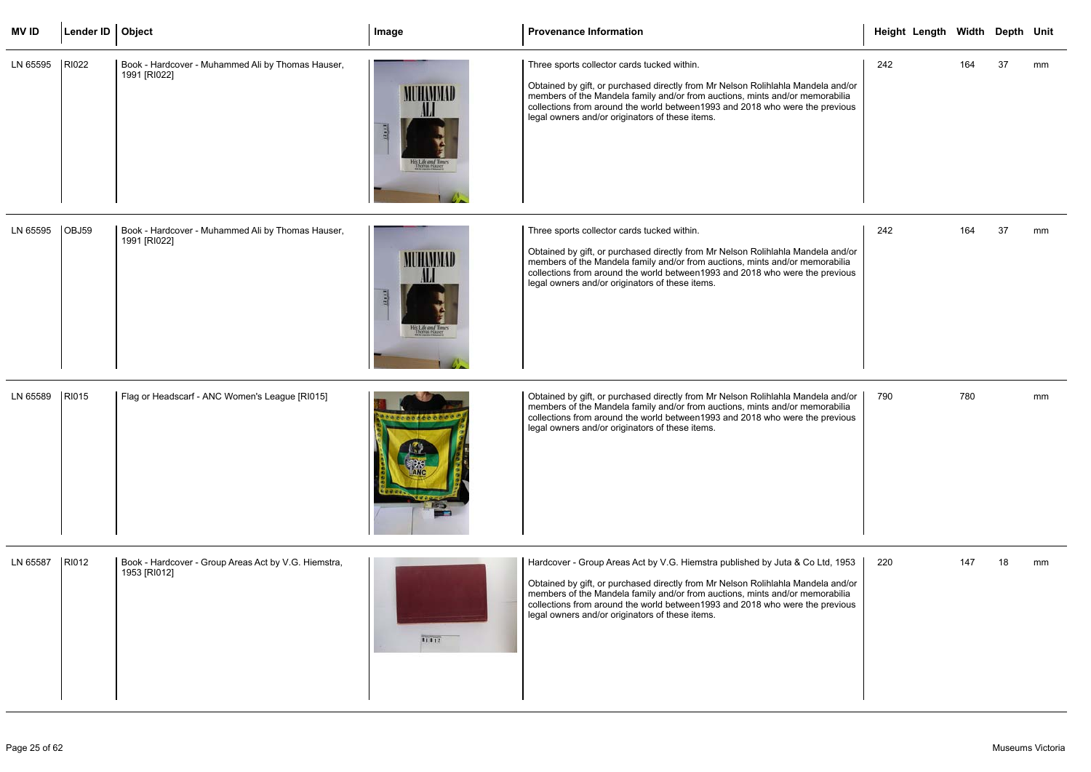| <b>MVID</b>    | Lender ID   Object |                                                                      | Image                                           | <b>Provenance Information</b>                                                                                                                                                                                                                                                                                                                                                         | Height Length Width Depth Unit |     |    |    |
|----------------|--------------------|----------------------------------------------------------------------|-------------------------------------------------|---------------------------------------------------------------------------------------------------------------------------------------------------------------------------------------------------------------------------------------------------------------------------------------------------------------------------------------------------------------------------------------|--------------------------------|-----|----|----|
| LN 65595       | RI022              | Book - Hardcover - Muhammed Ali by Thomas Hauser,<br>1991 [RI022]    | MUHAMMAD<br>His Life and Times<br>Themas Hauser | Three sports collector cards tucked within.<br>Obtained by gift, or purchased directly from Mr Nelson Rolihlahla Mandela and/or<br>members of the Mandela family and/or from auctions, mints and/or memorabilia<br>collections from around the world between 1993 and 2018 who were the previous<br>legal owners and/or originators of these items.                                   | 242                            | 164 | 37 | mm |
| LN 65595       | OBJ59              | Book - Hardcover - Muhammed Ali by Thomas Hauser,<br>1991 [RI022]    | MUHAMMAD<br>His Life and Times<br>Themas Hauser | Three sports collector cards tucked within.<br>Obtained by gift, or purchased directly from Mr Nelson Rolihlahla Mandela and/or<br>members of the Mandela family and/or from auctions, mints and/or memorabilia<br>collections from around the world between 1993 and 2018 who were the previous<br>legal owners and/or originators of these items.                                   | 242                            | 164 | 37 | mm |
| LN 65589       | RI015              | Flag or Headscarf - ANC Women's League [RI015]                       | ************                                    | Obtained by gift, or purchased directly from Mr Nelson Rolihlahla Mandela and/or<br>members of the Mandela family and/or from auctions, mints and/or memorabilia<br>collections from around the world between 1993 and 2018 who were the previous<br>legal owners and/or originators of these items.                                                                                  | 790                            | 780 |    | mm |
| LN 65587 RI012 |                    | Book - Hardcover - Group Areas Act by V.G. Hiemstra,<br>1953 [RI012] | 21212                                           | Hardcover - Group Areas Act by V.G. Hiemstra published by Juta & Co Ltd, 1953<br>Obtained by gift, or purchased directly from Mr Nelson Rolihlahla Mandela and/or<br>members of the Mandela family and/or from auctions, mints and/or memorabilia<br>collections from around the world between 1993 and 2018 who were the previous<br>legal owners and/or originators of these items. | 220                            | 147 | 18 | mm |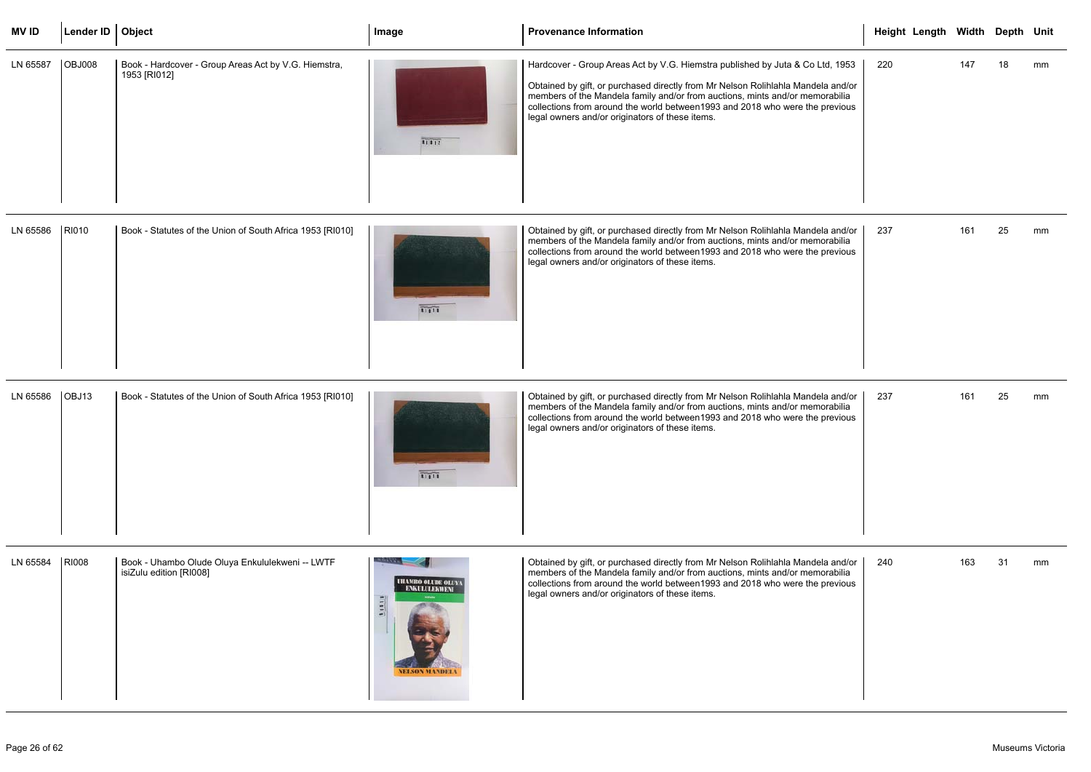| <b>MVID</b> | Lender ID   Object |                                                                      | Image | <b>Provenance Information</b>                                                                                                                                                                                                                                                                                                                                                         | Height Length Width Depth Unit |     |    |    |
|-------------|--------------------|----------------------------------------------------------------------|-------|---------------------------------------------------------------------------------------------------------------------------------------------------------------------------------------------------------------------------------------------------------------------------------------------------------------------------------------------------------------------------------------|--------------------------------|-----|----|----|
| LN 65587    | <b>OBJ008</b>      | Book - Hardcover - Group Areas Act by V.G. Hiemstra,<br>1953 [RI012] | 1111  | Hardcover - Group Areas Act by V.G. Hiemstra published by Juta & Co Ltd, 1953<br>Obtained by gift, or purchased directly from Mr Nelson Rolihlahla Mandela and/or<br>members of the Mandela family and/or from auctions, mints and/or memorabilia<br>collections from around the world between 1993 and 2018 who were the previous<br>legal owners and/or originators of these items. | 220                            | 147 | 18 | mm |

| LN 65586 | RI010 | Book - Statutes of the Union of South Africa 1953 [RI010] | 11:11 | Obtained by gift, or purchased directly from Mr Nelson Rolihlahla Mandela and/or<br>members of the Mandela family and/or from auctions, mints and/or memorabilia<br>collections from around the world between 1993 and 2018 who were the previous<br>legal owners and/or originators of these items. |
|----------|-------|-----------------------------------------------------------|-------|------------------------------------------------------------------------------------------------------------------------------------------------------------------------------------------------------------------------------------------------------------------------------------------------------|
|----------|-------|-----------------------------------------------------------|-------|------------------------------------------------------------------------------------------------------------------------------------------------------------------------------------------------------------------------------------------------------------------------------------------------------|

| LN 65586 | OBJ13 | Book - Statutes of the Union of South Africa 1953 [RI010] |  | Obtained by gift, or purchased directly from Mr Nelson Rolihlahla Mandela and/or<br>members of the Mandela family and/or from auctions, mints and/or memorabilia<br>collections from around the world between1993 and 2018 who were the previous<br>legal owners and/or originators of these items. |
|----------|-------|-----------------------------------------------------------|--|-----------------------------------------------------------------------------------------------------------------------------------------------------------------------------------------------------------------------------------------------------------------------------------------------------|
|----------|-------|-----------------------------------------------------------|--|-----------------------------------------------------------------------------------------------------------------------------------------------------------------------------------------------------------------------------------------------------------------------------------------------------|

|                                           |     | Height Length Width Depth Unit |        |    |    |
|-------------------------------------------|-----|--------------------------------|--------|----|----|
| d, 1953<br>a and/or<br>rabilia<br>revious | 220 |                                | 147    | 18 | mm |
| a and/or<br>rabilia<br>revious            | 237 |                                | 161 25 |    | mm |
| a and/or<br>rabilia<br>revious            | 237 |                                | 161    | 25 | mm |
| a and/or<br>rabilia<br>revious            | 240 |                                | 163    | 31 | mm |

| LN 65584 | <b>RI008</b> | Book - Uhambo Olude Oluya Enkululekweni -- LWTF<br>isiZulu edition [RI008] | <b>LILAMBO OLLDE OLLY</b><br><b>ENKULLLEKWENT</b> | Obtained by gift, or purchased directly from Mr Nelson Rolihlahla Mandela and/or<br>members of the Mandela family and/or from auctions, mints and/or memorabilia<br>collections from around the world between 1993 and 2018 who were the previous<br>legal owners and/or originators of these items. |
|----------|--------------|----------------------------------------------------------------------------|---------------------------------------------------|------------------------------------------------------------------------------------------------------------------------------------------------------------------------------------------------------------------------------------------------------------------------------------------------------|
|----------|--------------|----------------------------------------------------------------------------|---------------------------------------------------|------------------------------------------------------------------------------------------------------------------------------------------------------------------------------------------------------------------------------------------------------------------------------------------------------|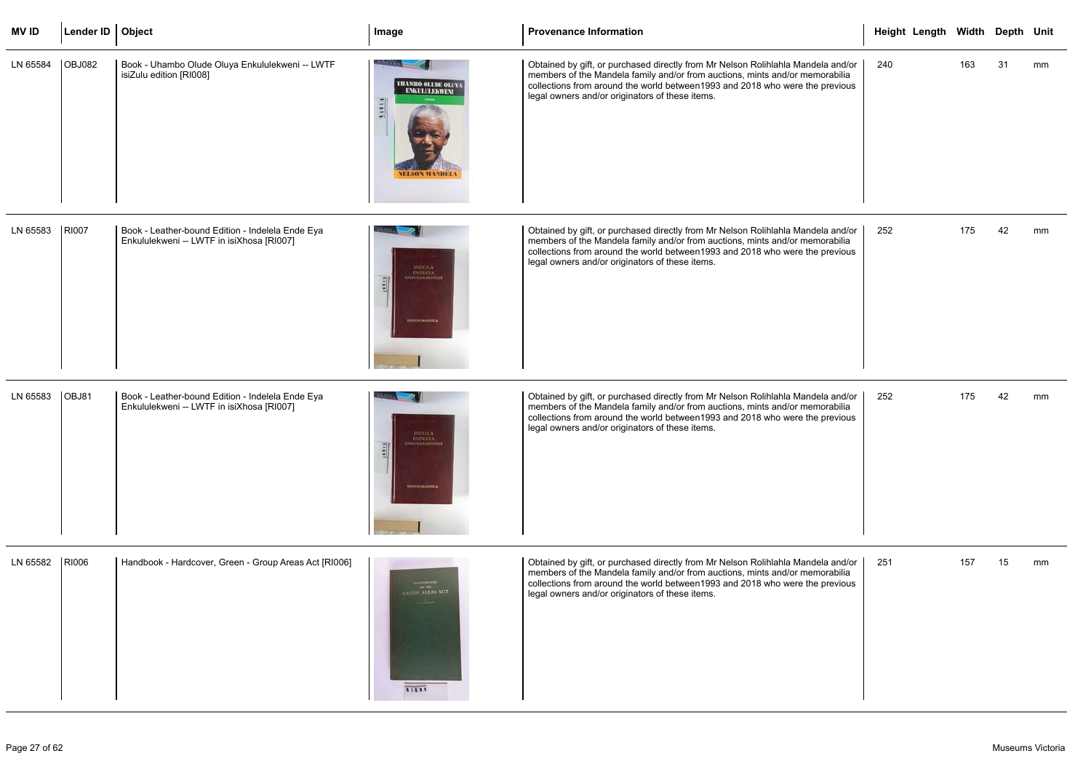| <b>MVID</b> | Lender ID   Object |                                                                                               | Image                                                                                        | <b>Provenance Information</b>                                                                                                                                                                                                                                                                        |     | Height Length Width Depth Unit |     |    |    |
|-------------|--------------------|-----------------------------------------------------------------------------------------------|----------------------------------------------------------------------------------------------|------------------------------------------------------------------------------------------------------------------------------------------------------------------------------------------------------------------------------------------------------------------------------------------------------|-----|--------------------------------|-----|----|----|
| LN 65584    | <b>OBJ082</b>      | Book - Uhambo Olude Oluya Enkululekweni -- LWTF<br>isiZulu edition [RI008]                    | <b>URAMBO OLLDE OLUYA</b><br>ENKULUEKWENI<br>$\frac{1}{2}$<br><b>NELSON MANDEL</b>           | Obtained by gift, or purchased directly from Mr Nelson Rolihlahla Mandela and/or<br>members of the Mandela family and/or from auctions, mints and/or memorabilia<br>collections from around the world between 1993 and 2018 who were the previous<br>legal owners and/or originators of these items. | 240 |                                | 163 | 31 | mm |
| LN 65583    | RI007              | Book - Leather-bound Edition - Indelela Ende Eya<br>Enkululekweni -- LWTF in isiXhosa [RI007] | $\begin{array}{c} \text{ROLHA} \\ \text{EQOLINA} \\ \text{RRAULULIKWBA} \end{array}$         | Obtained by gift, or purchased directly from Mr Nelson Rolihlahla Mandela and/or<br>members of the Mandela family and/or from auctions, mints and/or memorabilia<br>collections from around the world between 1993 and 2018 who were the previous<br>legal owners and/or originators of these items. | 252 |                                | 175 | 42 | mm |
| LN 65583    | OBJ81              | Book - Leather-bound Edition - Indelela Ende Eya<br>Enkululekweni -- LWTF in isiXhosa [RI007] | KELELA<br><b>ENDERYA</b><br><b>INKULULEKWINI</b><br>$\frac{1}{2}$<br><b>HELICIN MANDERS,</b> | Obtained by gift, or purchased directly from Mr Nelson Rolihlahla Mandela and/or<br>members of the Mandela family and/or from auctions, mints and/or memorabilia<br>collections from around the world between 1993 and 2018 who were the previous<br>legal owners and/or originators of these items. | 252 |                                | 175 | 42 | mm |
| LN 65582    | RI006              | Handbook - Hardcover, Green - Group Areas Act [RI006]                                         | HANDROOM<br>THE THE THE THE THE THE<br>81888                                                 | Obtained by gift, or purchased directly from Mr Nelson Rolihlahla Mandela and/or<br>members of the Mandela family and/or from auctions, mints and/or memorabilia<br>collections from around the world between 1993 and 2018 who were the previous<br>legal owners and/or originators of these items. | 251 |                                | 157 | 15 | mm |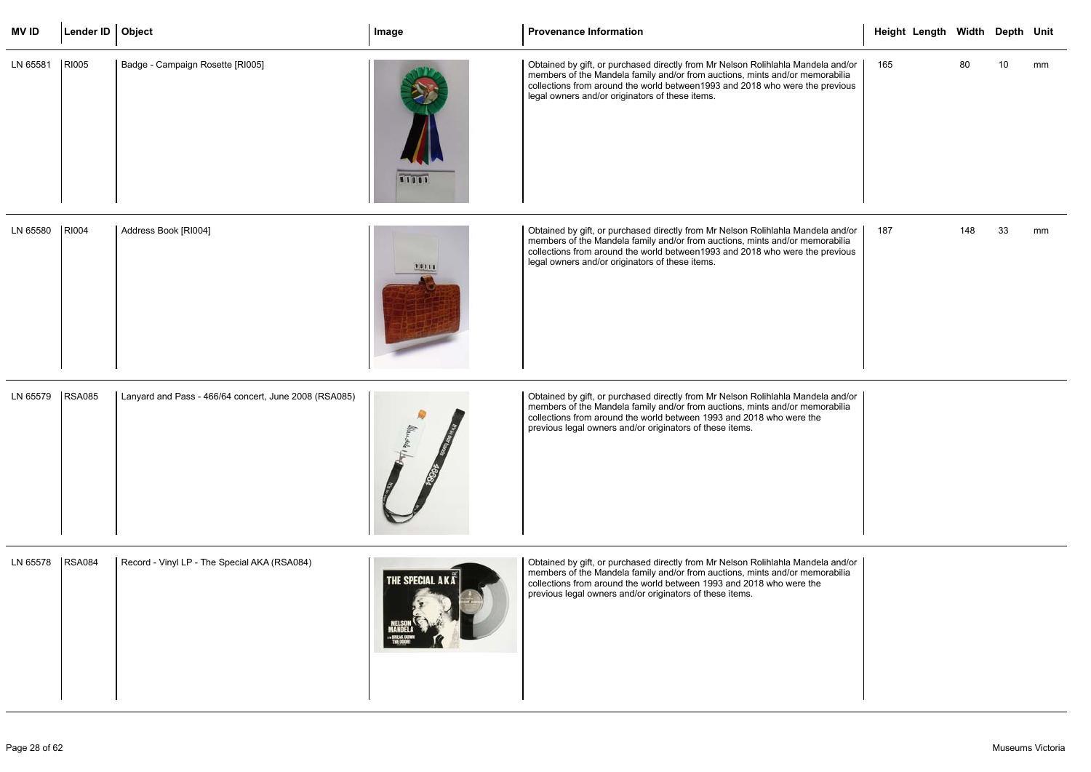| <b>MV ID</b> | Lender ID   Object |                                                       | Image                  | <b>Provenance Information</b>                                                                                                                                                                                                                                                                        | Height Length Width Depth Unit |     |    |    |
|--------------|--------------------|-------------------------------------------------------|------------------------|------------------------------------------------------------------------------------------------------------------------------------------------------------------------------------------------------------------------------------------------------------------------------------------------------|--------------------------------|-----|----|----|
| LN 65581     | <b>RI005</b>       | Badge - Campaign Rosette [RI005]                      | <b>RIO05</b>           | Obtained by gift, or purchased directly from Mr Nelson Rolihlahla Mandela and/or<br>members of the Mandela family and/or from auctions, mints and/or memorabilia<br>collections from around the world between 1993 and 2018 who were the previous<br>legal owners and/or originators of these items. | 165                            | 80  | 10 | mm |
| LN 65580     | <b>RI004</b>       | Address Book [RI004]                                  | 10011                  | Obtained by gift, or purchased directly from Mr Nelson Rolihlahla Mandela and/or<br>members of the Mandela family and/or from auctions, mints and/or memorabilia<br>collections from around the world between 1993 and 2018 who were the previous<br>legal owners and/or originators of these items. | 187                            | 148 | 33 | mm |
| LN 65579     | <b>RSA085</b>      | Lanyard and Pass - 466/64 concert, June 2008 (RSA085) |                        | Obtained by gift, or purchased directly from Mr Nelson Rolihlahla Mandela and/or<br>members of the Mandela family and/or from auctions, mints and/or memorabilia<br>collections from around the world between 1993 and 2018 who were the<br>previous legal owners and/or originators of these items. |                                |     |    |    |
| LN 65578     | <b>RSA084</b>      | Record - Vinyl LP - The Special AKA (RSA084)          | <b>THE SPECIAL AKA</b> | Obtained by gift, or purchased directly from Mr Nelson Rolihlahla Mandela and/or<br>members of the Mandela family and/or from auctions, mints and/or memorabilia<br>collections from around the world between 1993 and 2018 who were the<br>previous legal owners and/or originators of these items. |                                |     |    |    |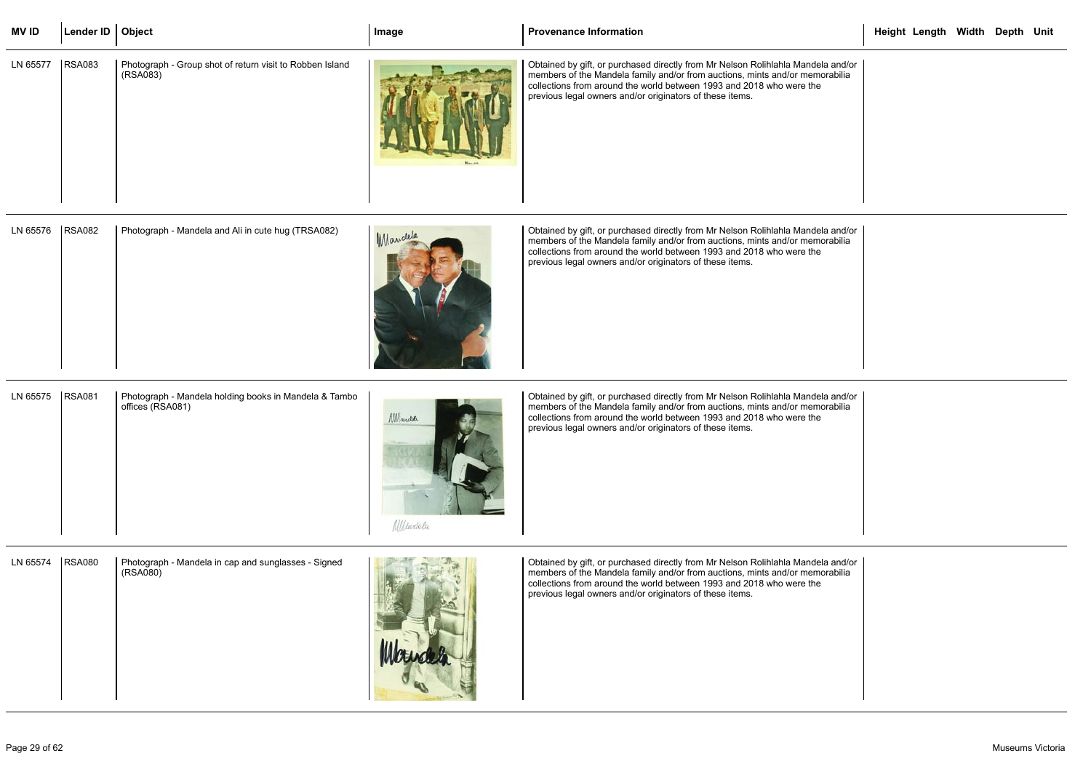| MV ID             | Lender ID   Object |                                                                      | Image | <b>Provenance Information</b>                                                                                                                                                                                                                                                                          | Height Length Width Depth Unit |  |  |
|-------------------|--------------------|----------------------------------------------------------------------|-------|--------------------------------------------------------------------------------------------------------------------------------------------------------------------------------------------------------------------------------------------------------------------------------------------------------|--------------------------------|--|--|
| LN 65577   RSA083 |                    | Photograph - Group shot of return visit to Robben Island<br>(RSA083) |       | Obtained by gift, or purchased directly from Mr Nelson Rolihlahla Mandela and/or<br>  members of the Mandela family and/or from auctions, mints and/or memorabilia<br>collections from around the world between 1993 and 2018 who were the<br>previous legal owners and/or originators of these items. |                                |  |  |

| LN 65576 | <b>RSA082</b> | Photograph - Mandela and Ali in cute hug (TRSA082) | Mandela | Obtained by gift, or purchased directly from Mr Nelson Rolihlahla Mandela and/or<br>members of the Mandela family and/or from auctions, mints and/or memorabilia<br>collections from around the world between 1993 and 2018 who were the<br>previous legal owners and/or originators of these items. |
|----------|---------------|----------------------------------------------------|---------|------------------------------------------------------------------------------------------------------------------------------------------------------------------------------------------------------------------------------------------------------------------------------------------------------|
|----------|---------------|----------------------------------------------------|---------|------------------------------------------------------------------------------------------------------------------------------------------------------------------------------------------------------------------------------------------------------------------------------------------------------|

| <b>RSA081</b><br>LN 65575<br>Photograph - Mandela holding books in Mandela & Tambo<br>Obtained by gift, or purchased directly from Mr Nelson Rolihlahla Mandela and/or<br>members of the Mandela family and/or from auctions, mints and/or memorabilia<br>offices (RSA081)<br><i><b>NM</b></i> and the<br>collections from around the world between 1993 and 2018 who were the<br>previous legal owners and/or originators of these items.<br><i>Ulhudela</i> |
|---------------------------------------------------------------------------------------------------------------------------------------------------------------------------------------------------------------------------------------------------------------------------------------------------------------------------------------------------------------------------------------------------------------------------------------------------------------|
|---------------------------------------------------------------------------------------------------------------------------------------------------------------------------------------------------------------------------------------------------------------------------------------------------------------------------------------------------------------------------------------------------------------------------------------------------------------|

| LN 65574 | <b>RSA080</b> | Photograph - Mandela in cap and sunglasses - Signed<br>(RSA080) |  | Obtained by gift, or purchased directly from Mr Nelson Rolihlahla Mandela and/or<br>members of the Mandela family and/or from auctions, mints and/or memorabilia<br>collections from around the world between 1993 and 2018 who were the<br>previous legal owners and/or originators of these items. |
|----------|---------------|-----------------------------------------------------------------|--|------------------------------------------------------------------------------------------------------------------------------------------------------------------------------------------------------------------------------------------------------------------------------------------------------|
|----------|---------------|-----------------------------------------------------------------|--|------------------------------------------------------------------------------------------------------------------------------------------------------------------------------------------------------------------------------------------------------------------------------------------------------|

|                      | Height Length Width Depth Unit |  |  |
|----------------------|--------------------------------|--|--|
| a and/or<br>orabilia |                                |  |  |
| a and/or<br>orabilia |                                |  |  |
| a and/or<br>orabilia |                                |  |  |
| a and/or<br>orabilia |                                |  |  |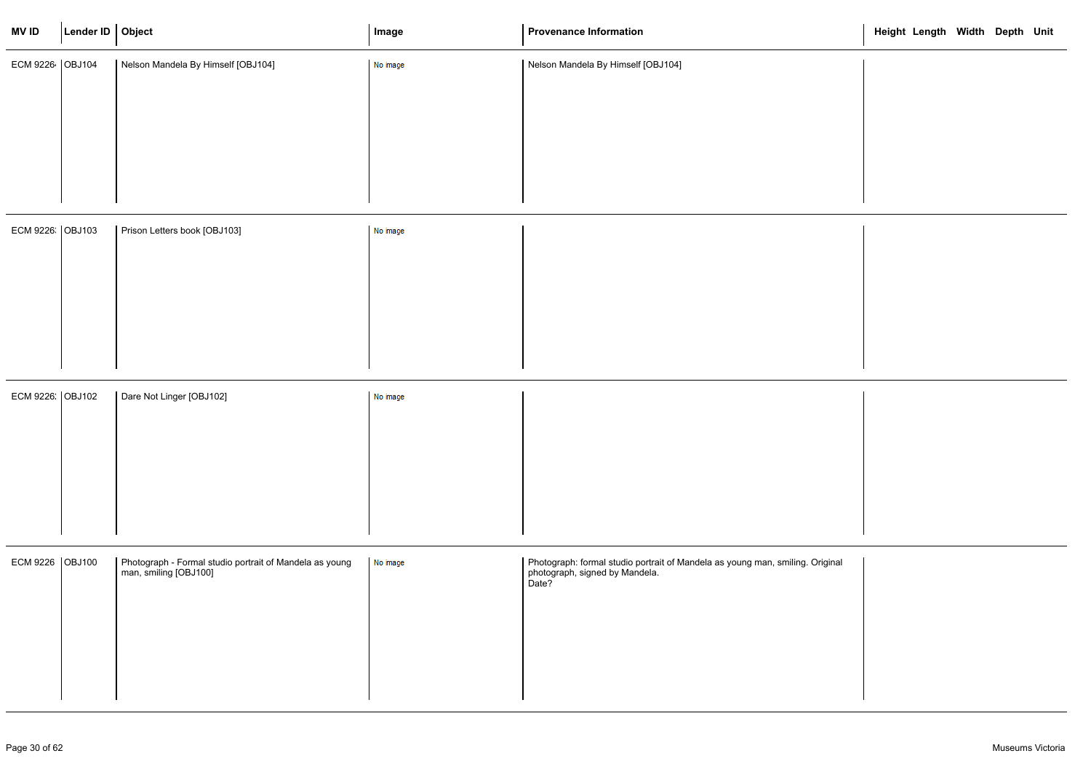| <b>MVID</b>     | Lender ID Object |                                                                                    | Image    | <b>Provenance Information</b>                                                                                            | Height Length Width Depth Unit |  |  |
|-----------------|------------------|------------------------------------------------------------------------------------|----------|--------------------------------------------------------------------------------------------------------------------------|--------------------------------|--|--|
| ECM 9226 OBJ104 |                  | Nelson Mandela By Himself [OBJ104]                                                 | No image | Nelson Mandela By Himself [OBJ104]                                                                                       |                                |  |  |
|                 |                  |                                                                                    |          |                                                                                                                          |                                |  |  |
|                 |                  |                                                                                    |          |                                                                                                                          |                                |  |  |
| ECM 9226 OBJ103 |                  | Prison Letters book [OBJ103]                                                       | No image |                                                                                                                          |                                |  |  |
|                 |                  |                                                                                    |          |                                                                                                                          |                                |  |  |
|                 |                  |                                                                                    |          |                                                                                                                          |                                |  |  |
| ECM 9226 OBJ102 |                  | Dare Not Linger [OBJ102]                                                           | No image |                                                                                                                          |                                |  |  |
|                 |                  |                                                                                    |          |                                                                                                                          |                                |  |  |
|                 |                  |                                                                                    |          |                                                                                                                          |                                |  |  |
| ECM 9226 OBJ100 |                  | Photograph - Formal studio portrait of Mandela as young<br>  man, smiling [OBJ100] | No image | Photograph: formal studio portrait of Mandela as young man, smiling. Original<br>photograph, signed by Mandela.<br>Date? |                                |  |  |
|                 |                  |                                                                                    |          |                                                                                                                          |                                |  |  |
|                 |                  |                                                                                    |          |                                                                                                                          |                                |  |  |

|       | Height Length Width Depth Unit |  |  |
|-------|--------------------------------|--|--|
|       |                                |  |  |
|       |                                |  |  |
|       |                                |  |  |
| ginal |                                |  |  |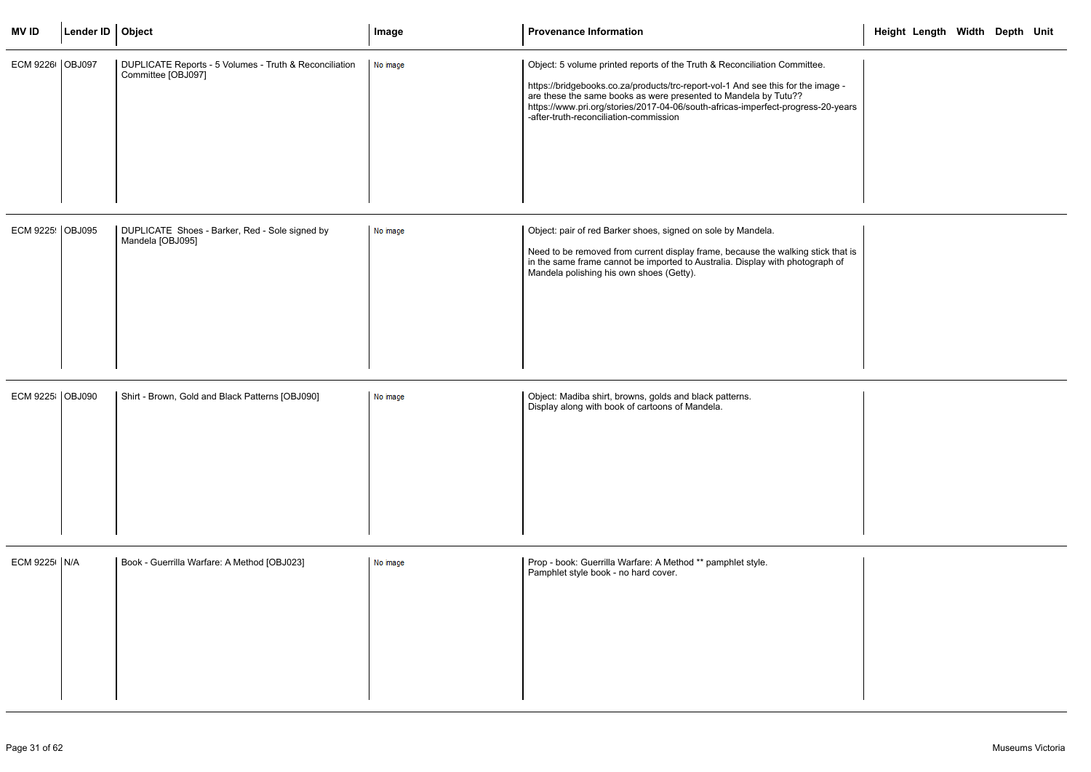| <b>MVID</b>      | Lender ID   Object |                                                                              | Image    | <b>Provenance Information</b>                                                                                                                                                                                                                                                                                                                                  | Height Length Width Depth Unit |  |
|------------------|--------------------|------------------------------------------------------------------------------|----------|----------------------------------------------------------------------------------------------------------------------------------------------------------------------------------------------------------------------------------------------------------------------------------------------------------------------------------------------------------------|--------------------------------|--|
| ECM 9226 OBJ097  |                    | DUPLICATE Reports - 5 Volumes - Truth & Reconciliation<br>Committee [OBJ097] | No image | Object: 5 volume printed reports of the Truth & Reconciliation Committee.<br>https://bridgebooks.co.za/products/trc-report-vol-1 And see this for the image -<br>are these the same books as were presented to Mandela by Tutu??<br>https://www.pri.org/stories/2017-04-06/south-africas-imperfect-progress-20-years<br>-after-truth-reconciliation-commission |                                |  |
| ECM 9225: OBJ095 |                    | DUPLICATE Shoes - Barker, Red - Sole signed by<br>Mandela [OBJ095]           | No image | Object: pair of red Barker shoes, signed on sole by Mandela.<br>Need to be removed from current display frame, because the walking stick that is<br>in the same frame cannot be imported to Australia. Display with photograph of<br>Mandela polishing his own shoes (Getty).                                                                                  |                                |  |
| ECM 9225 OBJ090  |                    | Shirt - Brown, Gold and Black Patterns [OBJ090]                              | No image | Object: Madiba shirt, browns, golds and black patterns.<br>Display along with book of cartoons of Mandela.                                                                                                                                                                                                                                                     |                                |  |
| ECM 9225   N/A   |                    | Book - Guerrilla Warfare: A Method [OBJ023]                                  | No image | Prop - book: Guerrilla Warfare: A Method ** pamphlet style.<br>Pamphlet style book - no hard cover.                                                                                                                                                                                                                                                            |                                |  |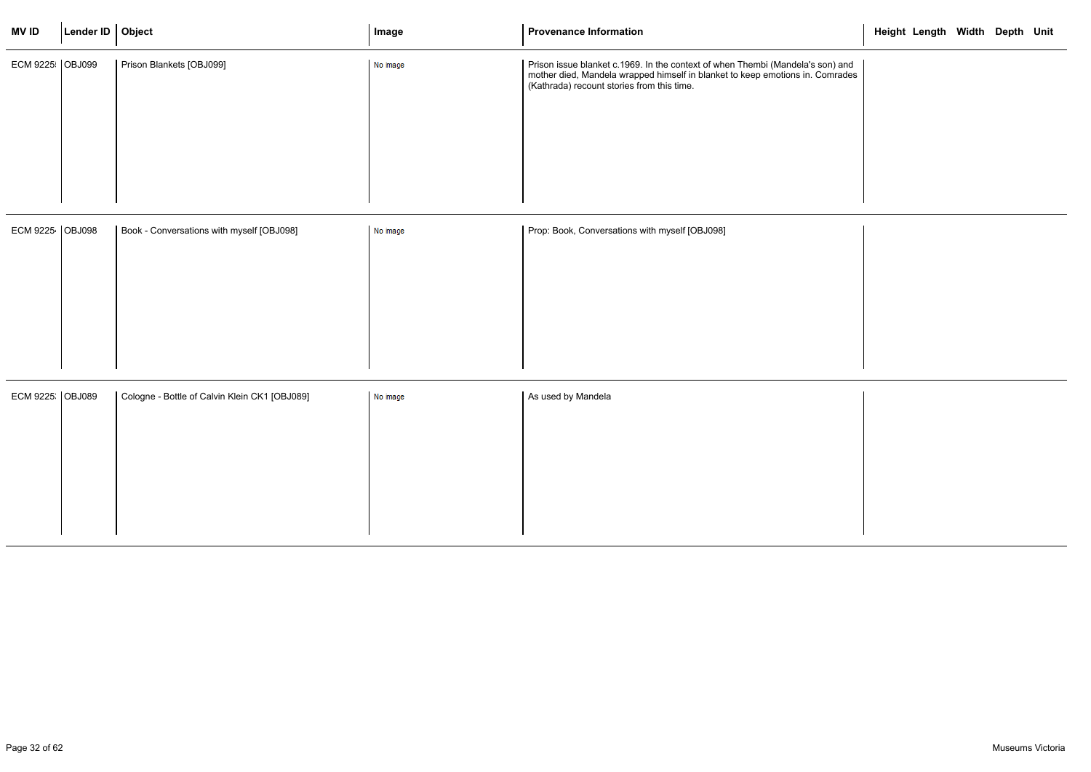| <b>MVID</b>       | Lender ID   Object |                                               | Image    | <b>Provenance Information</b>                                                                                                                                                                              | Height Length Width Depth Unit |  |  |
|-------------------|--------------------|-----------------------------------------------|----------|------------------------------------------------------------------------------------------------------------------------------------------------------------------------------------------------------------|--------------------------------|--|--|
| ECM 9225   OBJ099 |                    | Prison Blankets [OBJ099]                      | No image | Prison issue blanket c.1969. In the context of when Thembi (Mandela's son) and<br>mother died, Mandela wrapped himself in blanket to keep emotions in. Comrades (Kathrada) recount stories from this time. |                                |  |  |
|                   |                    |                                               |          |                                                                                                                                                                                                            |                                |  |  |
| ECM 9225 OBJ098   |                    | Book - Conversations with myself [OBJ098]     | No image | Prop: Book, Conversations with myself [OBJ098]                                                                                                                                                             |                                |  |  |
|                   |                    |                                               |          |                                                                                                                                                                                                            |                                |  |  |
|                   |                    |                                               |          |                                                                                                                                                                                                            |                                |  |  |
|                   |                    |                                               |          |                                                                                                                                                                                                            |                                |  |  |
| ECM 9225 OBJ089   |                    | Cologne - Bottle of Calvin Klein CK1 [OBJ089] | No image | As used by Mandela                                                                                                                                                                                         |                                |  |  |
|                   |                    |                                               |          |                                                                                                                                                                                                            |                                |  |  |
|                   |                    |                                               |          |                                                                                                                                                                                                            |                                |  |  |
|                   |                    |                                               |          |                                                                                                                                                                                                            |                                |  |  |
|                   |                    |                                               |          |                                                                                                                                                                                                            |                                |  |  |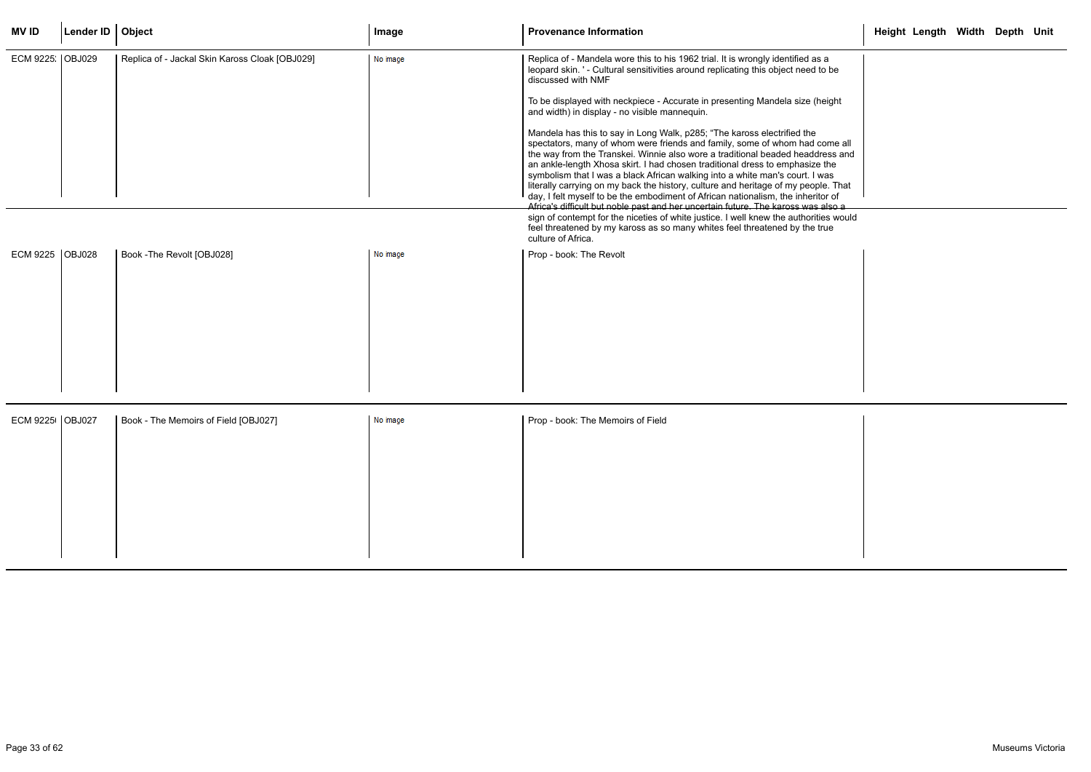| <b>MVID</b>       | Lender ID   Object |                                                | Image    | <b>Provenance Information</b>                                                                                                                                                                                                                                                                                                                                                                                                                                                                                                                                                                                                                                                                                                                                                                                                                                                                                                                                                                                                                                                                                                                                                  | Height Length Width Depth Unit |  |  |
|-------------------|--------------------|------------------------------------------------|----------|--------------------------------------------------------------------------------------------------------------------------------------------------------------------------------------------------------------------------------------------------------------------------------------------------------------------------------------------------------------------------------------------------------------------------------------------------------------------------------------------------------------------------------------------------------------------------------------------------------------------------------------------------------------------------------------------------------------------------------------------------------------------------------------------------------------------------------------------------------------------------------------------------------------------------------------------------------------------------------------------------------------------------------------------------------------------------------------------------------------------------------------------------------------------------------|--------------------------------|--|--|
| ECM 9225. OBJ029  |                    | Replica of - Jackal Skin Kaross Cloak [OBJ029] | No image | Replica of - Mandela wore this to his 1962 trial. It is wrongly identified as a<br>leopard skin. ' - Cultural sensitivities around replicating this object need to be<br>discussed with NMF<br>To be displayed with neckpiece - Accurate in presenting Mandela size (height<br>and width) in display - no visible mannequin.<br>Mandela has this to say in Long Walk, p285; "The kaross electrified the<br>spectators, many of whom were friends and family, some of whom had come all<br>the way from the Transkei. Winnie also wore a traditional beaded headdress and<br>an ankle-length Xhosa skirt. I had chosen traditional dress to emphasize the<br>symbolism that I was a black African walking into a white man's court. I was<br>literally carrying on my back the history, culture and heritage of my people. That<br>day, I felt myself to be the embodiment of African nationalism, the inheritor of<br>Africa's difficult but noble past and her uncertain future. The kaross was also a<br>sign of contempt for the niceties of white justice. I well knew the authorities would<br>feel threatened by my kaross as so many whites feel threatened by the true |                                |  |  |
|                   |                    |                                                |          | culture of Africa.                                                                                                                                                                                                                                                                                                                                                                                                                                                                                                                                                                                                                                                                                                                                                                                                                                                                                                                                                                                                                                                                                                                                                             |                                |  |  |
| ECM 9225   OBJ028 |                    | Book - The Revolt [OBJ028]                     | No image | Prop - book: The Revolt                                                                                                                                                                                                                                                                                                                                                                                                                                                                                                                                                                                                                                                                                                                                                                                                                                                                                                                                                                                                                                                                                                                                                        |                                |  |  |
| ECM 9225   OBJ027 |                    | Book - The Memoirs of Field [OBJ027]           | No image | Prop - book: The Memoirs of Field                                                                                                                                                                                                                                                                                                                                                                                                                                                                                                                                                                                                                                                                                                                                                                                                                                                                                                                                                                                                                                                                                                                                              |                                |  |  |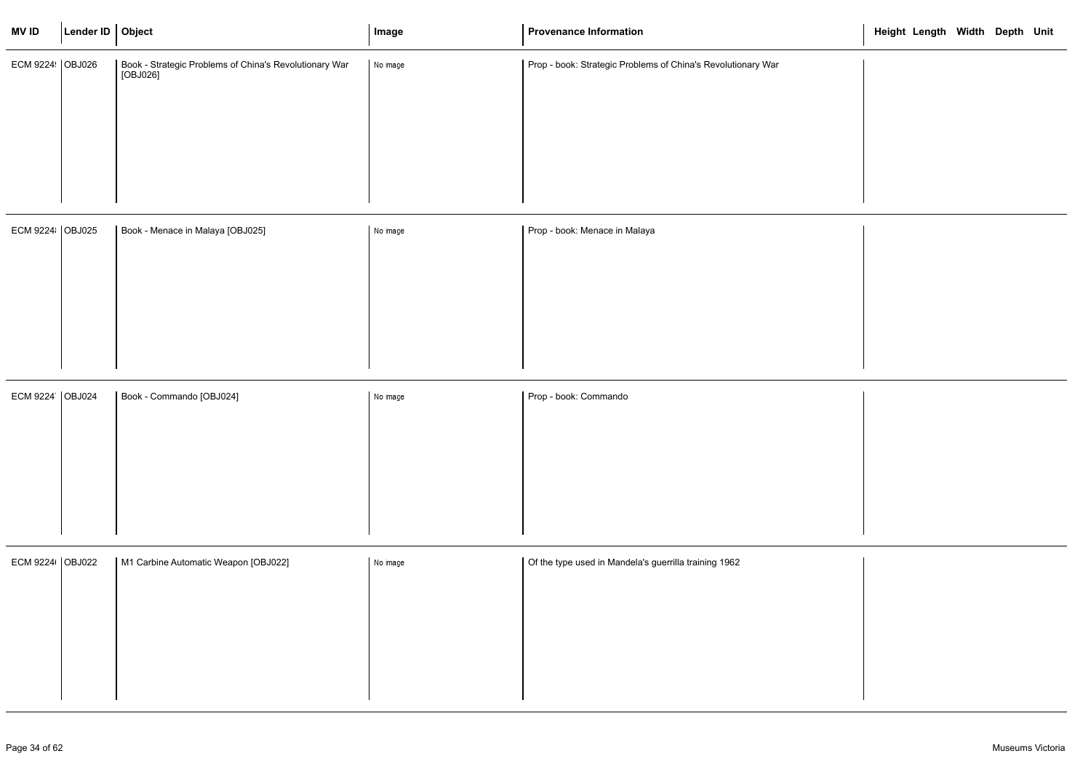| <b>MV ID</b>      | Lender ID   Object |                                                                      | Image    | <b>Provenance Information</b>                                | Height Length Width Depth Unit |
|-------------------|--------------------|----------------------------------------------------------------------|----------|--------------------------------------------------------------|--------------------------------|
| ECM 9224   OBJ026 |                    | Book - Strategic Problems of China's Revolutionary War<br>  [OBJ026] | No image | Prop - book: Strategic Problems of China's Revolutionary War |                                |
|                   |                    |                                                                      |          |                                                              |                                |
|                   |                    |                                                                      |          |                                                              |                                |
| ECM 9224   OBJ025 |                    | Book - Menace in Malaya [OBJ025]                                     | No image | Prop - book: Menace in Malaya                                |                                |
|                   |                    |                                                                      |          |                                                              |                                |
|                   |                    |                                                                      |          |                                                              |                                |
|                   |                    |                                                                      |          |                                                              |                                |
| ECM 9224 OBJ024   |                    | Book - Commando [OBJ024]                                             | No image | Prop - book: Commando                                        |                                |
|                   |                    |                                                                      |          |                                                              |                                |
|                   |                    |                                                                      |          |                                                              |                                |
|                   |                    |                                                                      |          |                                                              |                                |
| ECM 9224 OBJ022   |                    | M1 Carbine Automatic Weapon [OBJ022]                                 | No image | Of the type used in Mandela's guerrilla training 1962        |                                |
|                   |                    |                                                                      |          |                                                              |                                |
|                   |                    |                                                                      |          |                                                              |                                |
|                   |                    |                                                                      |          |                                                              |                                |

|  | Height Length Width Depth Unit |  |  |
|--|--------------------------------|--|--|
|  |                                |  |  |
|  |                                |  |  |
|  |                                |  |  |
|  |                                |  |  |
|  |                                |  |  |
|  |                                |  |  |
|  |                                |  |  |
|  |                                |  |  |
|  |                                |  |  |
|  |                                |  |  |
|  |                                |  |  |
|  |                                |  |  |
|  |                                |  |  |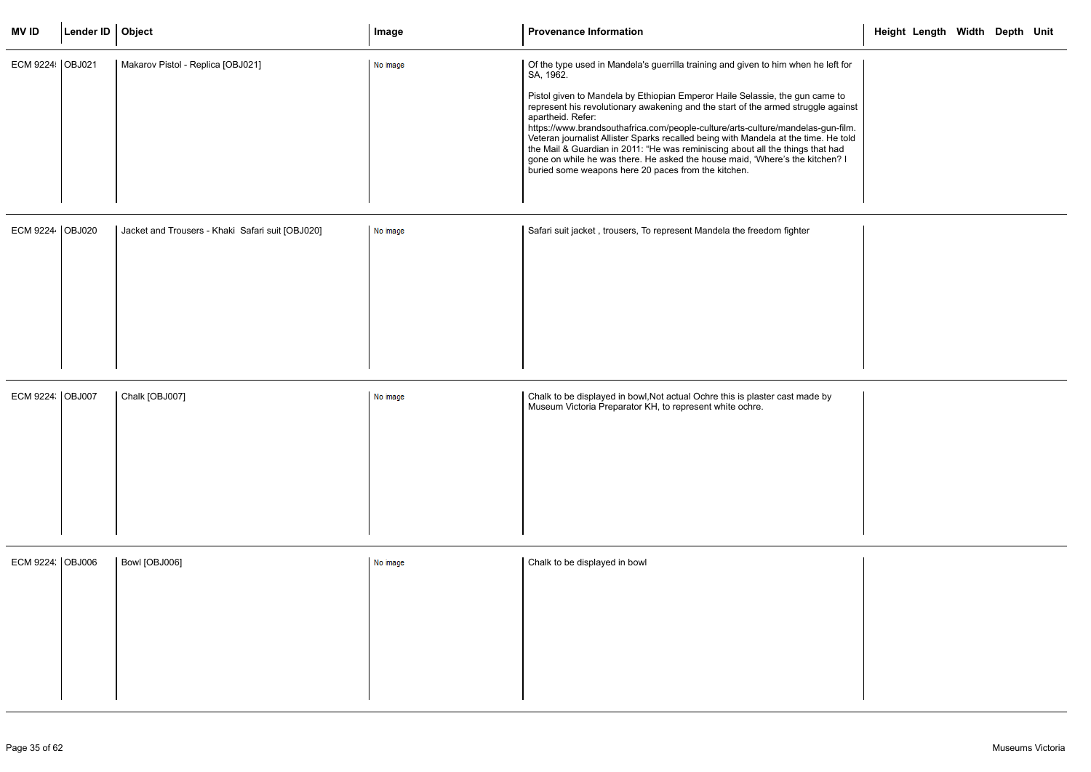| <b>MVID</b>      | Lender ID   Object |                                                  | Image    | <b>Provenance Information</b>                                                                                                                                                                                                                                                                                                                                                                                                                                                                                                                                                                                                                                                                | Height Length Width Depth Unit |  |  |
|------------------|--------------------|--------------------------------------------------|----------|----------------------------------------------------------------------------------------------------------------------------------------------------------------------------------------------------------------------------------------------------------------------------------------------------------------------------------------------------------------------------------------------------------------------------------------------------------------------------------------------------------------------------------------------------------------------------------------------------------------------------------------------------------------------------------------------|--------------------------------|--|--|
| ECM 9224 OBJ021  |                    | Makarov Pistol - Replica [OBJ021]                | No image | Of the type used in Mandela's guerrilla training and given to him when he left for<br>SA, 1962.<br>Pistol given to Mandela by Ethiopian Emperor Haile Selassie, the gun came to<br>represent his revolutionary awakening and the start of the armed struggle against<br>apartheid. Refer:<br>https://www.brandsouthafrica.com/people-culture/arts-culture/mandelas-gun-film.<br>Veteran journalist Allister Sparks recalled being with Mandela at the time. He told<br>the Mail & Guardian in 2011: "He was reminiscing about all the things that had<br>gone on while he was there. He asked the house maid, 'Where's the kitchen? I<br>buried some weapons here 20 paces from the kitchen. |                                |  |  |
| ECM 9224 OBJ020  |                    | Jacket and Trousers - Khaki Safari suit [OBJ020] | No image | Safari suit jacket, trousers, To represent Mandela the freedom fighter                                                                                                                                                                                                                                                                                                                                                                                                                                                                                                                                                                                                                       |                                |  |  |
| ECM 9224 OBJ007  |                    | Chalk [OBJ007]                                   | No image | Chalk to be displayed in bowl, Not actual Ochre this is plaster cast made by<br>Museum Victoria Preparator KH, to represent white ochre.                                                                                                                                                                                                                                                                                                                                                                                                                                                                                                                                                     |                                |  |  |
| ECM 9224. OBJ006 |                    | Bowl [OBJ006]                                    | No image | Chalk to be displayed in bowl                                                                                                                                                                                                                                                                                                                                                                                                                                                                                                                                                                                                                                                                |                                |  |  |

|                                        | Height Length Width Depth Unit |  |  |
|----------------------------------------|--------------------------------|--|--|
| left for                               |                                |  |  |
| ne to<br>against                       |                                |  |  |
| un-film.<br>He told<br>t had<br>ien? I |                                |  |  |
|                                        |                                |  |  |
|                                        |                                |  |  |
|                                        |                                |  |  |
|                                        |                                |  |  |
|                                        |                                |  |  |
|                                        |                                |  |  |
| ١y                                     |                                |  |  |
|                                        |                                |  |  |
|                                        |                                |  |  |
|                                        |                                |  |  |
|                                        |                                |  |  |
|                                        |                                |  |  |
|                                        |                                |  |  |
|                                        |                                |  |  |
|                                        |                                |  |  |
|                                        |                                |  |  |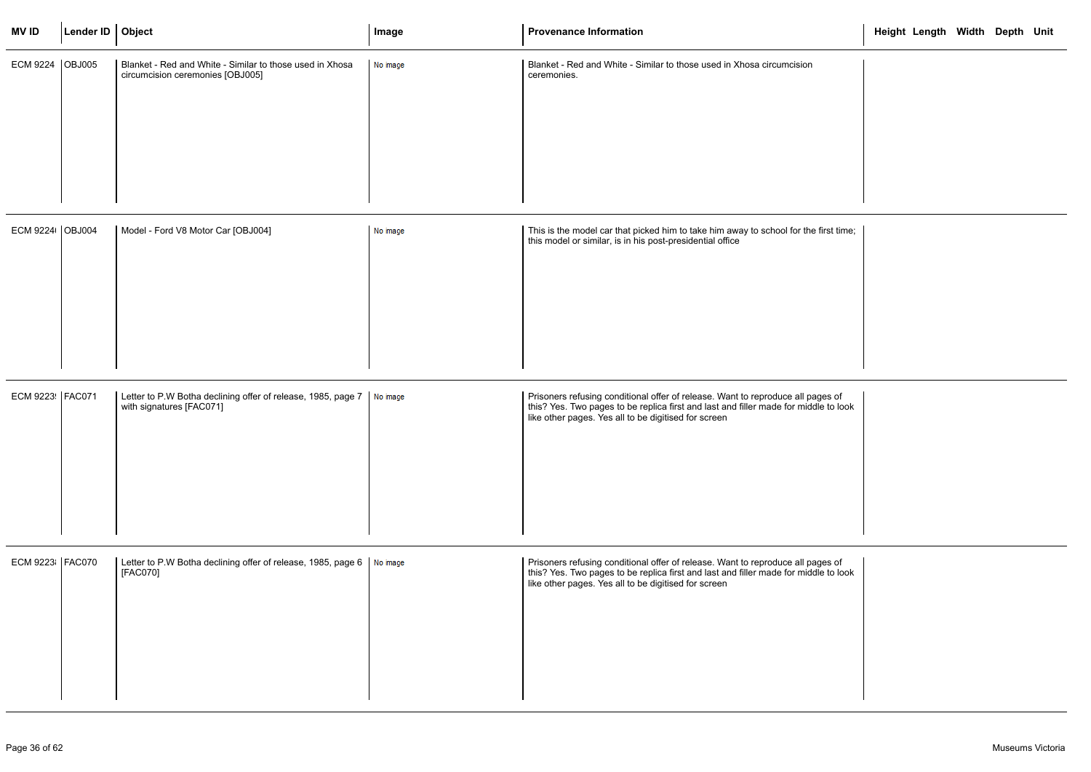| <b>MVID</b>       | Lender ID   Object |                                                                                                                 | Image    | <b>Provenance Information</b>                                                                                                                                                                                                   | Height Length Width Depth Unit |  |  |
|-------------------|--------------------|-----------------------------------------------------------------------------------------------------------------|----------|---------------------------------------------------------------------------------------------------------------------------------------------------------------------------------------------------------------------------------|--------------------------------|--|--|
| ECM 9224 OBJ005   |                    | Blanket - Red and White - Similar to those used in Xhosa<br>circumcision ceremonies [OBJ005]                    | No image | Blanket - Red and White - Similar to those used in Xhosa circumcision<br>ceremonies.                                                                                                                                            |                                |  |  |
| ECM 9224   OBJ004 |                    | Model - Ford V8 Motor Car [OBJ004]                                                                              | No image | This is the model car that picked him to take him away to school for the first time;<br>this model or similar, is in his post-presidential office                                                                               |                                |  |  |
| ECM 9223 FAC071   |                    | Letter to P.W Botha declining offer of release, 1985, page $7 \mid \text{No image}$<br>with signatures [FAC071] |          | Prisoners refusing conditional offer of release. Want to reproduce all pages of<br>this? Yes. Two pages to be replica first and last and filler made for middle to look<br>like other pages. Yes all to be digitised for screen |                                |  |  |
| ECM 9223   FAC070 |                    | Letter to P.W Botha declining offer of release, 1985, page 6   No image<br>[FAC070]                             |          | Prisoners refusing conditional offer of release. Want to reproduce all pages of<br>this? Yes. Two pages to be replica first and last and filler made for middle to look<br>like other pages. Yes all to be digitised for screen |                                |  |  |

|                                | Height Length Width Depth Unit |  |  |
|--------------------------------|--------------------------------|--|--|
| sion                           |                                |  |  |
|                                |                                |  |  |
|                                |                                |  |  |
|                                |                                |  |  |
| r the first time;              |                                |  |  |
|                                |                                |  |  |
|                                |                                |  |  |
|                                |                                |  |  |
| ill pages of<br>middle to look |                                |  |  |
|                                |                                |  |  |
|                                |                                |  |  |
|                                |                                |  |  |
| ill pages of<br>middle to look |                                |  |  |
|                                |                                |  |  |
|                                |                                |  |  |
|                                |                                |  |  |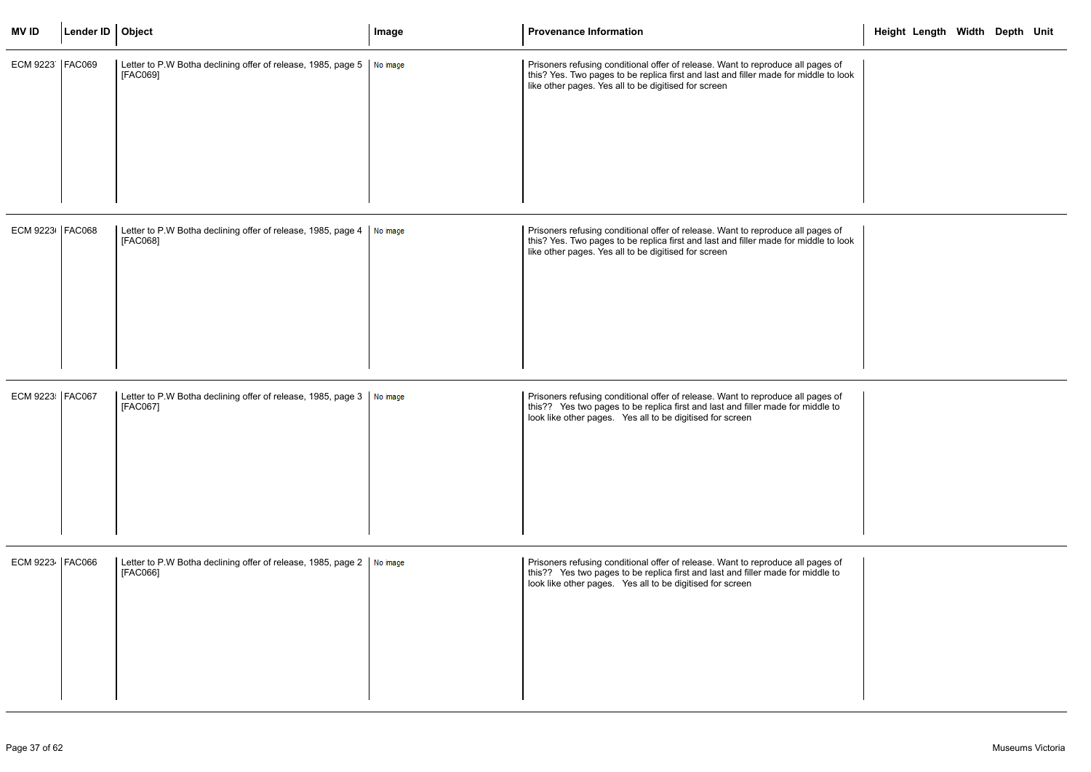| <b>MVID</b>       | Lender ID $\vert$ Object |                                                                                         | Image | <b>Provenance Information</b>                                                                                                                                                                                                   | Height Length Width Depth Unit |  |  |
|-------------------|--------------------------|-----------------------------------------------------------------------------------------|-------|---------------------------------------------------------------------------------------------------------------------------------------------------------------------------------------------------------------------------------|--------------------------------|--|--|
| ECM 9223   FAC069 |                          | Letter to P.W Botha declining offer of release, 1985, page 5   No image<br>[FAC069]     |       | Prisoners refusing conditional offer of release. Want to reproduce all pages of<br>this? Yes. Two pages to be replica first and last and filler made for middle to look<br>like other pages. Yes all to be digitised for screen |                                |  |  |
| ECM 9223 FAC068   |                          | Letter to P.W Botha declining offer of release, 1985, page $4 \mid w$ image<br>[FAC068] |       | Prisoners refusing conditional offer of release. Want to reproduce all pages of<br>this? Yes. Two pages to be replica first and last and filler made for middle to look<br>like other pages. Yes all to be digitised for screen |                                |  |  |
| ECM 9223   FAC067 |                          | Letter to P.W Botha declining offer of release, 1985, page 3   No image<br>[FAC067]     |       | Prisoners refusing conditional offer of release. Want to reproduce all pages of<br>this?? Yes two pages to be replica first and last and filler made for middle to<br>look like other pages. Yes all to be digitised for screen |                                |  |  |
| ECM 9223   FAC066 |                          | Letter to P.W Botha declining offer of release, 1985, page $2 \mid w$ image<br>[FAC066] |       | Prisoners refusing conditional offer of release. Want to reproduce all pages of<br>this?? Yes two pages to be replica first and last and filler made for middle to<br>look like other pages. Yes all to be digitised for screen |                                |  |  |

|                  | Height Length Width Depth Unit |  |  |
|------------------|--------------------------------|--|--|
| es of<br>to look |                                |  |  |
|                  |                                |  |  |
| es of<br>to look |                                |  |  |
|                  |                                |  |  |
| es of<br>$e$ to  |                                |  |  |
|                  |                                |  |  |
| es of<br>$e$ to  |                                |  |  |
|                  |                                |  |  |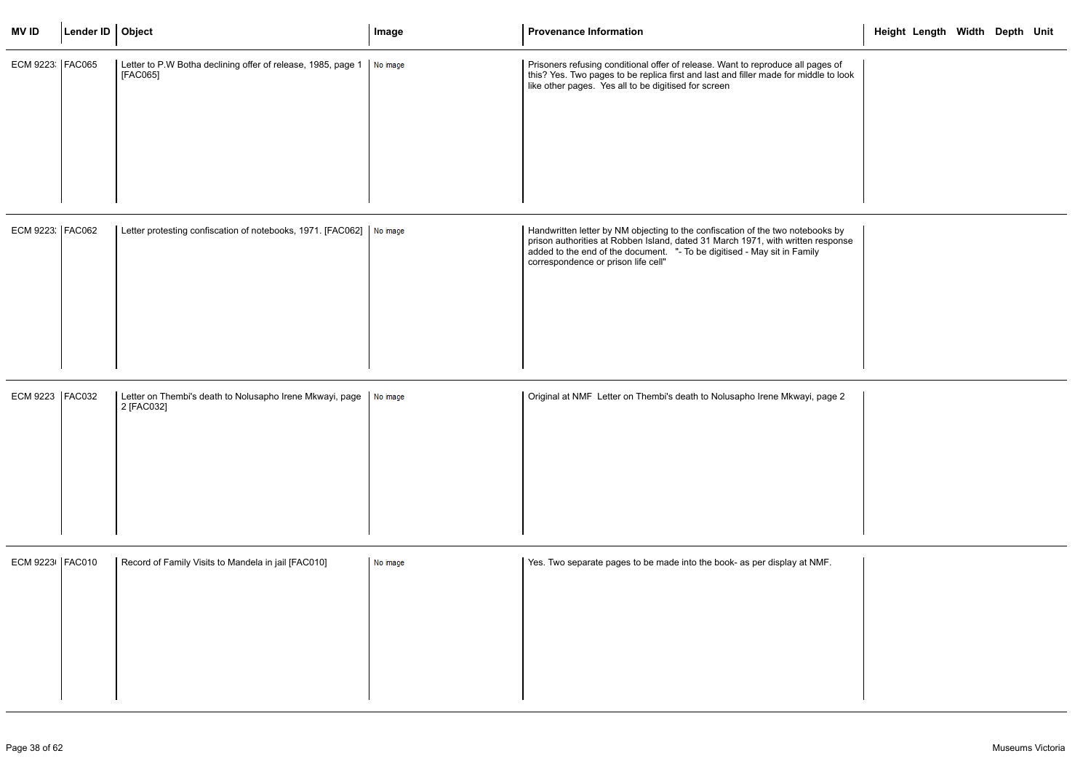| <b>MVID</b>       | Lender ID   Object |                                                                          | Image    | <b>Provenance Information</b>                                                                                                                                                                                                                                                        | Height Length Width Depth Unit |  |
|-------------------|--------------------|--------------------------------------------------------------------------|----------|--------------------------------------------------------------------------------------------------------------------------------------------------------------------------------------------------------------------------------------------------------------------------------------|--------------------------------|--|
| ECM 9223   FAC065 |                    | Letter to P.W Botha declining offer of release, 1985, page 1<br>[FAC065] | No image | Prisoners refusing conditional offer of release. Want to reproduce all pages of<br>this? Yes. Two pages to be replica first and last and filler made for middle to look<br>like other pages. Yes all to be digitised for screen                                                      |                                |  |
| ECM 9223: FAC062  |                    | Letter protesting confiscation of notebooks, 1971. [FAC062]   No image   |          | Handwritten letter by NM objecting to the confiscation of the two notebooks by<br>prison authorities at Robben Island, dated 31 March 1971, with written response<br>added to the end of the document. "- To be digitised - May sit in Family<br>correspondence or prison life cell" |                                |  |
| ECM 9223   FAC032 |                    | Letter on Thembi's death to Nolusapho Irene Mkwayi, page<br>2 [FAC032]   | No image | Original at NMF Letter on Thembi's death to Nolusapho Irene Mkwayi, page 2                                                                                                                                                                                                           |                                |  |
| ECM 9223   FAC010 |                    | Record of Family Visits to Mandela in jail [FAC010]                      | No image | Yes. Two separate pages to be made into the book- as per display at NMF.                                                                                                                                                                                                             |                                |  |

|                  | Height Length Width Depth Unit |  |  |
|------------------|--------------------------------|--|--|
| es of<br>to look |                                |  |  |
|                  |                                |  |  |
|                  |                                |  |  |
| ks by<br>sponse  |                                |  |  |
|                  |                                |  |  |
|                  |                                |  |  |
| age 2            |                                |  |  |
|                  |                                |  |  |
|                  |                                |  |  |
| F.               |                                |  |  |
|                  |                                |  |  |
|                  |                                |  |  |
|                  |                                |  |  |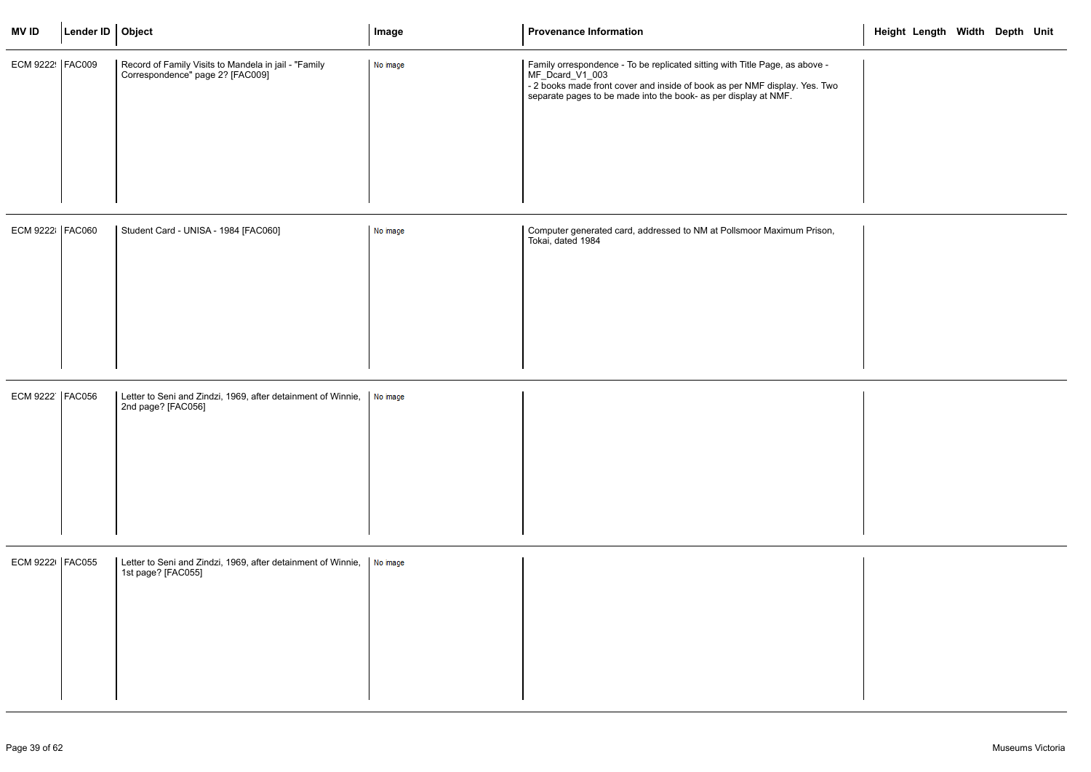| <b>MVID</b>       | Lender ID   Object |                                                                                          | Image    | <b>Provenance Information</b>                                                                                                                                                                                                                   | Height Length Width Depth Unit |
|-------------------|--------------------|------------------------------------------------------------------------------------------|----------|-------------------------------------------------------------------------------------------------------------------------------------------------------------------------------------------------------------------------------------------------|--------------------------------|
| ECM 9222   FAC009 |                    | Record of Family Visits to Mandela in jail - "Family<br>Correspondence" page 2? [FAC009] | No image | Family orrespondence - To be replicated sitting with Title Page, as above -<br>MF_Dcard_V1_003<br>- 2 books made front cover and inside of book as per NMF display. Yes. Two<br>separate pages to be made into the book- as per display at NMF. |                                |
| ECM 9222 FAC060   |                    | Student Card - UNISA - 1984 [FAC060]                                                     | No image | Computer generated card, addressed to NM at Pollsmoor Maximum Prison,<br>Tokai, dated 1984                                                                                                                                                      |                                |
| ECM 9222   FAC056 |                    | Letter to Seni and Zindzi, 1969, after detainment of Winnie,<br>2nd page? [FAC056]       | No image |                                                                                                                                                                                                                                                 |                                |
| ECM 9222   FAC055 |                    | Letter to Seni and Zindzi, 1969, after detainment of Winnie,<br>1st page? [FAC055]       | No image |                                                                                                                                                                                                                                                 |                                |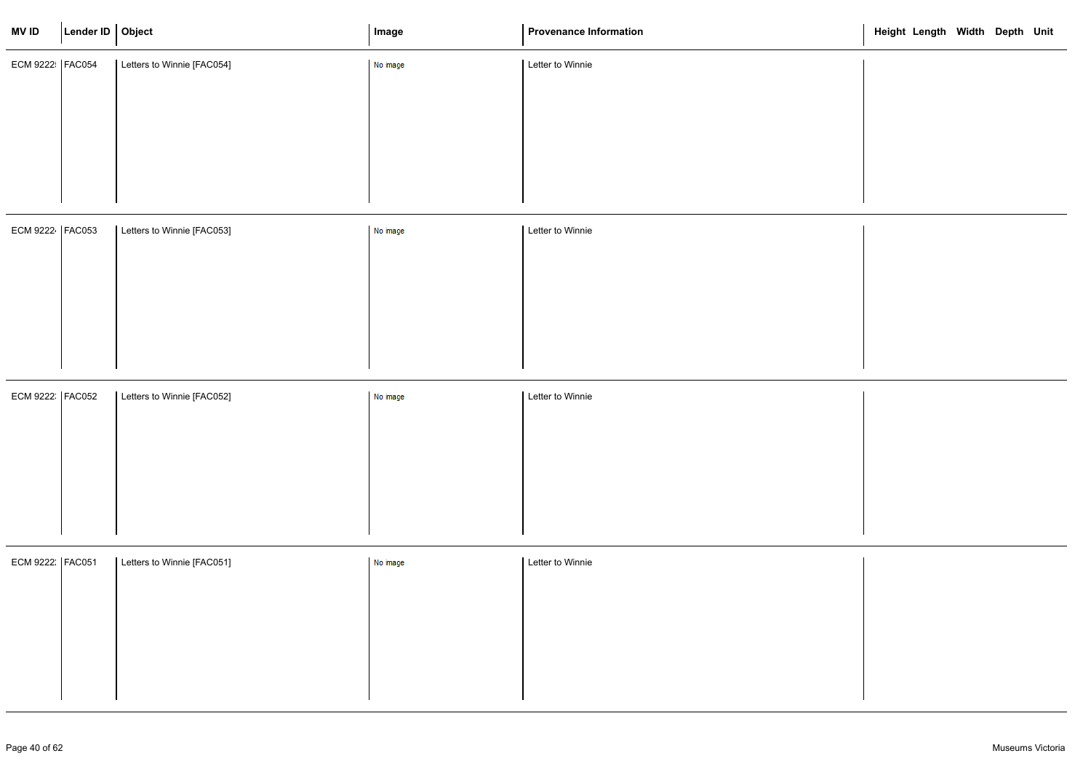| <b>MVID</b>       | Lender ID   Object |                            | Image    | <b>Provenance Information</b> | Height Length Width Depth Unit |  |  |
|-------------------|--------------------|----------------------------|----------|-------------------------------|--------------------------------|--|--|
| ECM 9222   FAC054 |                    | Letters to Winnie [FAC054] | No image | Letter to Winnie              |                                |  |  |
|                   |                    |                            |          |                               |                                |  |  |
|                   |                    |                            |          |                               |                                |  |  |
|                   |                    |                            |          |                               |                                |  |  |
|                   |                    |                            |          |                               |                                |  |  |
| ECM 9222 FAC053   |                    | Letters to Winnie [FAC053] | No image | Letter to Winnie              |                                |  |  |
|                   |                    |                            |          |                               |                                |  |  |
|                   |                    |                            |          |                               |                                |  |  |
|                   |                    |                            |          |                               |                                |  |  |
|                   |                    |                            |          |                               |                                |  |  |
|                   |                    |                            |          |                               |                                |  |  |

| ECM 9222 FAC052 | Letters to Winnie [FAC052] | No image | Letter to Winnie |
|-----------------|----------------------------|----------|------------------|
|                 |                            |          |                  |
|                 |                            |          |                  |
|                 |                            |          |                  |
|                 |                            |          |                  |
|                 |                            |          |                  |
|                 |                            |          |                  |

| ECM 9222   FAC051 | Letters to Winnie [FAC051] | No image | Letter to Winnie |
|-------------------|----------------------------|----------|------------------|
|                   |                            |          |                  |
|                   |                            |          |                  |
|                   |                            |          |                  |
|                   |                            |          |                  |
|                   |                            |          |                  |
|                   |                            |          |                  |

|  | Height Length Width Depth Unit |  |  |
|--|--------------------------------|--|--|
|  |                                |  |  |
|  |                                |  |  |
|  |                                |  |  |
|  |                                |  |  |
|  |                                |  |  |
|  |                                |  |  |
|  |                                |  |  |
|  |                                |  |  |
|  |                                |  |  |
|  |                                |  |  |
|  |                                |  |  |
|  |                                |  |  |
|  |                                |  |  |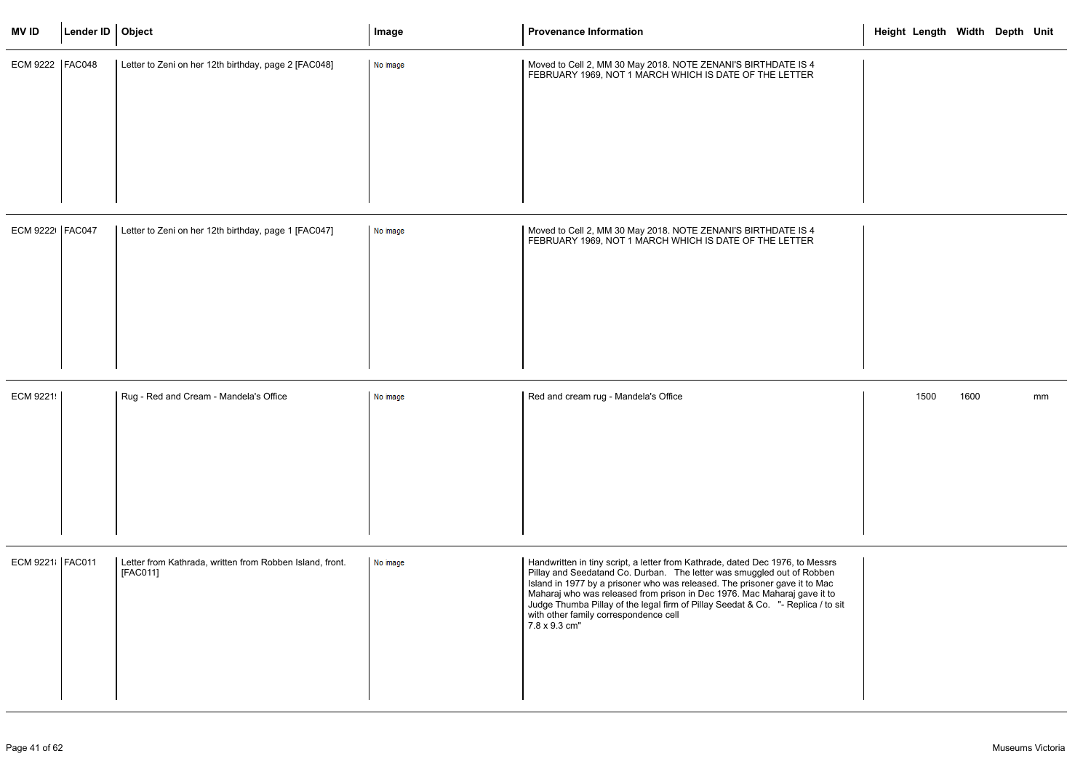| <b>MVID</b>       | Lender ID   Object |                                                                      | Image    | <b>Provenance Information</b>                                                                                                                                                                                                                                                                                                                                                                                                                                   | Height Length Width Depth Unit |      |    |
|-------------------|--------------------|----------------------------------------------------------------------|----------|-----------------------------------------------------------------------------------------------------------------------------------------------------------------------------------------------------------------------------------------------------------------------------------------------------------------------------------------------------------------------------------------------------------------------------------------------------------------|--------------------------------|------|----|
| ECM 9222   FAC048 |                    | Letter to Zeni on her 12th birthday, page 2 [FAC048]                 | No image | Moved to Cell 2, MM 30 May 2018. NOTE ZENANI'S BIRTHDATE IS 4<br>FEBRUARY 1969, NOT 1 MARCH WHICH IS DATE OF THE LETTER                                                                                                                                                                                                                                                                                                                                         |                                |      |    |
| ECM 9222   FAC047 |                    | Letter to Zeni on her 12th birthday, page 1 [FAC047]                 | No image | Moved to Cell 2, MM 30 May 2018. NOTE ZENANI'S BIRTHDATE IS 4<br>FEBRUARY 1969, NOT 1 MARCH WHICH IS DATE OF THE LETTER                                                                                                                                                                                                                                                                                                                                         |                                |      |    |
| ECM 9221          |                    | Rug - Red and Cream - Mandela's Office                               | No image | Red and cream rug - Mandela's Office                                                                                                                                                                                                                                                                                                                                                                                                                            | 1500                           | 1600 | mm |
| ECM 9221 FAC011   |                    | Letter from Kathrada, written from Robben Island, front.<br>[FAC011] | No image | Handwritten in tiny script, a letter from Kathrade, dated Dec 1976, to Messrs<br>Pillay and Seedatand Co. Durban. The letter was smuggled out of Robben<br>Island in 1977 by a prisoner who was released. The prisoner gave it to Mac<br>Maharaj who was released from prison in Dec 1976. Mac Maharaj gave it to<br>Judge Thumba Pillay of the legal firm of Pillay Seedat & Co. "- Replica / to sit<br>with other family correspondence cell<br>7.8 x 9.3 cm" |                                |      |    |

|                         | Height Length Width Depth Unit |  |    |
|-------------------------|--------------------------------|--|----|
|                         |                                |  |    |
|                         |                                |  |    |
|                         |                                |  |    |
|                         |                                |  |    |
|                         |                                |  |    |
|                         |                                |  |    |
|                         |                                |  |    |
|                         |                                |  |    |
|                         | 1500 1600                      |  | mm |
|                         |                                |  |    |
|                         |                                |  |    |
|                         |                                |  |    |
| srs<br>en<br>ac<br>t to |                                |  |    |
| to sit                  |                                |  |    |
|                         |                                |  |    |
|                         |                                |  |    |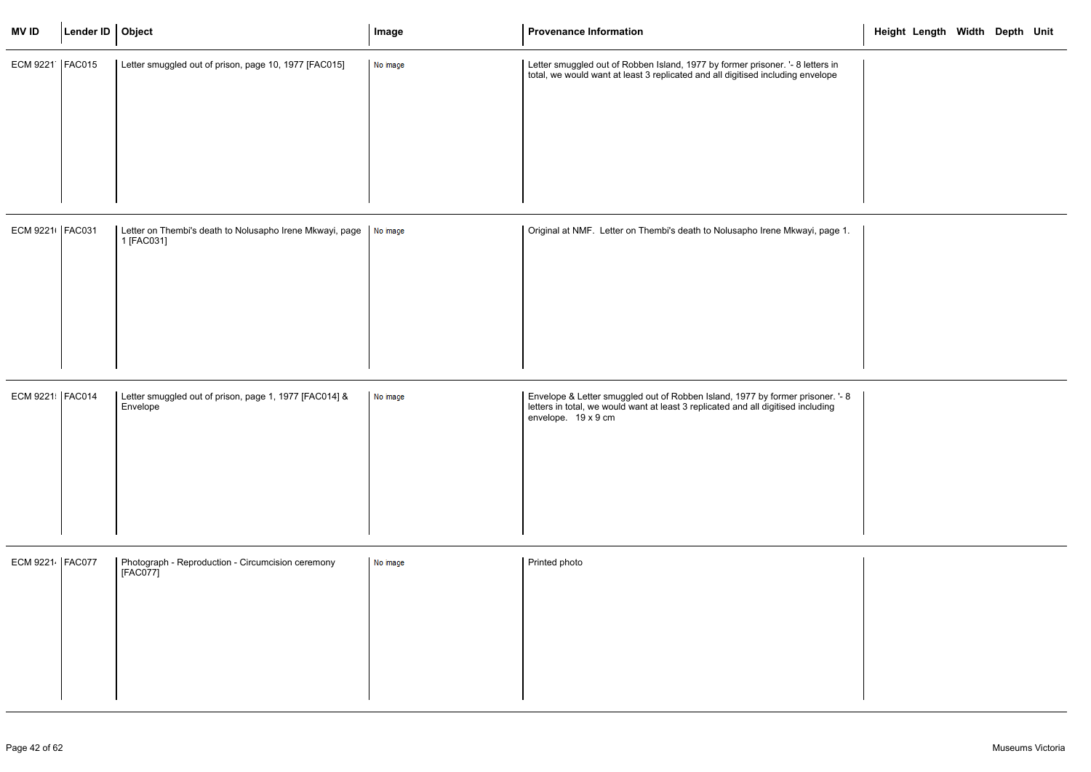| <b>MVID</b>       | Lender ID   Object |                                                                        | Image    | <b>Provenance Information</b>                                                                                                                                                              | Height Length Width Depth Unit |  |  |
|-------------------|--------------------|------------------------------------------------------------------------|----------|--------------------------------------------------------------------------------------------------------------------------------------------------------------------------------------------|--------------------------------|--|--|
| ECM 9221   FAC015 |                    | Letter smuggled out of prison, page 10, 1977 [FAC015]                  | No image | Letter smuggled out of Robben Island, 1977 by former prisoner. '- 8 letters in<br>total, we would want at least 3 replicated and all digitised including envelope                          |                                |  |  |
| ECM 9221   FAC031 |                    | Letter on Thembi's death to Nolusapho Irene Mkwayi, page<br>1 [FAC031] | No image | Original at NMF. Letter on Thembi's death to Nolusapho Irene Mkwayi, page 1.                                                                                                               |                                |  |  |
| ECM 9221   FAC014 |                    | Letter smuggled out of prison, page 1, 1977 [FAC014] &<br>Envelope     | No image | Envelope & Letter smuggled out of Robben Island, 1977 by former prisoner. '- 8<br>letters in total, we would want at least 3 replicated and all digitised including<br>envelope. 19 x 9 cm |                                |  |  |
| ECM 9221 FAC077   |                    | Photograph - Reproduction - Circumcision ceremony<br>[FAC077]          | No image | Printed photo                                                                                                                                                                              |                                |  |  |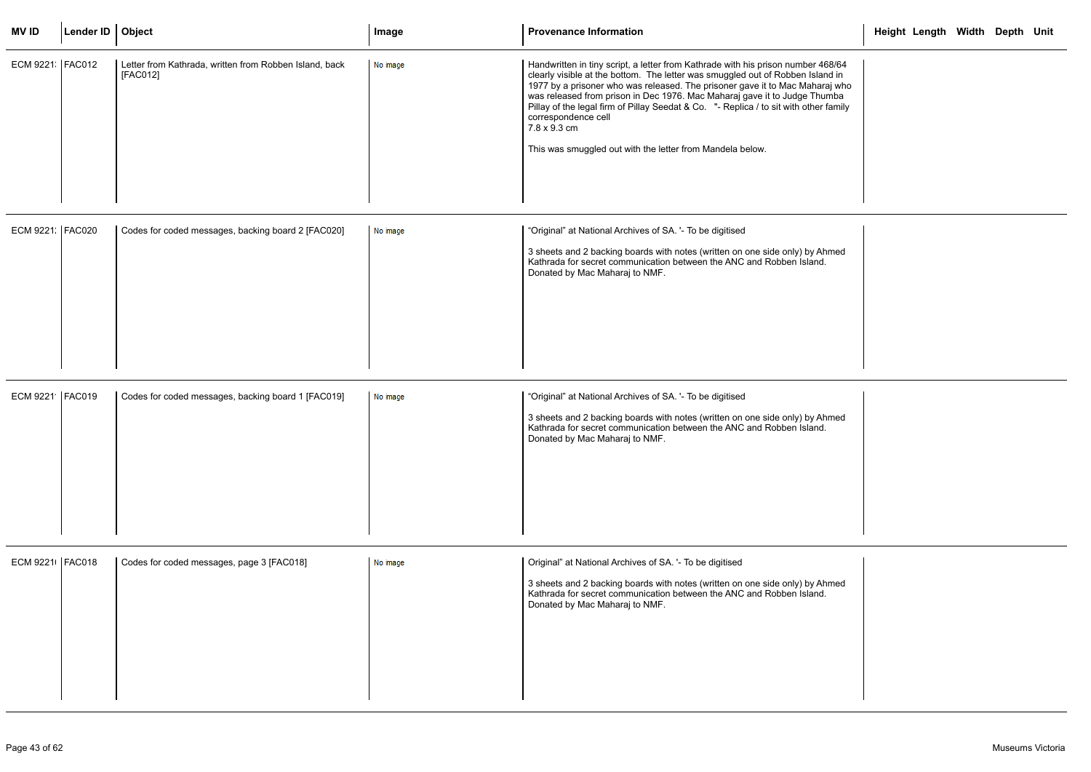| <b>MVID</b>       | Lender ID   Object |                                                                    | Image    | <b>Provenance Information</b>                                                                                                                                                                                                                                                                                                                                                                                                                                                                                                | Height Length Width Depth Unit |  |  |
|-------------------|--------------------|--------------------------------------------------------------------|----------|------------------------------------------------------------------------------------------------------------------------------------------------------------------------------------------------------------------------------------------------------------------------------------------------------------------------------------------------------------------------------------------------------------------------------------------------------------------------------------------------------------------------------|--------------------------------|--|--|
| ECM 9221   FAC012 |                    | Letter from Kathrada, written from Robben Island, back<br>[FAC012] | No image | Handwritten in tiny script, a letter from Kathrade with his prison number 468/64<br>clearly visible at the bottom. The letter was smuggled out of Robben Island in<br>1977 by a prisoner who was released. The prisoner gave it to Mac Maharaj who<br>was released from prison in Dec 1976. Mac Maharaj gave it to Judge Thumba<br>Pillay of the legal firm of Pillay Seedat & Co. "- Replica / to sit with other family<br>correspondence cell<br>7.8 x 9.3 cm<br>This was smuggled out with the letter from Mandela below. |                                |  |  |
| ECM 9221: FAC020  |                    | Codes for coded messages, backing board 2 [FAC020]                 | No image | "Original" at National Archives of SA. '- To be digitised<br>3 sheets and 2 backing boards with notes (written on one side only) by Ahmed<br>Kathrada for secret communication between the ANC and Robben Island.<br>Donated by Mac Maharaj to NMF.                                                                                                                                                                                                                                                                          |                                |  |  |
| ECM 9221 FAC019   |                    | Codes for coded messages, backing board 1 [FAC019]                 | No image | "Original" at National Archives of SA. '- To be digitised<br>3 sheets and 2 backing boards with notes (written on one side only) by Ahmed<br>Kathrada for secret communication between the ANC and Robben Island.<br>Donated by Mac Maharaj to NMF.                                                                                                                                                                                                                                                                          |                                |  |  |
| ECM 9221   FAC018 |                    | Codes for coded messages, page 3 [FAC018]                          | No image | Original" at National Archives of SA. '- To be digitised<br>3 sheets and 2 backing boards with notes (written on one side only) by Ahmed<br>Kathrada for secret communication between the ANC and Robben Island.<br>Donated by Mac Maharaj to NMF.                                                                                                                                                                                                                                                                           |                                |  |  |

|                                            | Height Length Width Depth Unit |  |  |
|--------------------------------------------|--------------------------------|--|--|
| 68/64<br>nd in<br>aj who<br>ımba<br>family |                                |  |  |
|                                            |                                |  |  |
| hmed<br>$\overline{\phantom{a}}$           |                                |  |  |
|                                            |                                |  |  |
|                                            |                                |  |  |
|                                            |                                |  |  |
| hmed                                       |                                |  |  |
|                                            |                                |  |  |
|                                            |                                |  |  |
|                                            |                                |  |  |
| hmed<br>$\cdot$                            |                                |  |  |
|                                            |                                |  |  |
|                                            |                                |  |  |
|                                            |                                |  |  |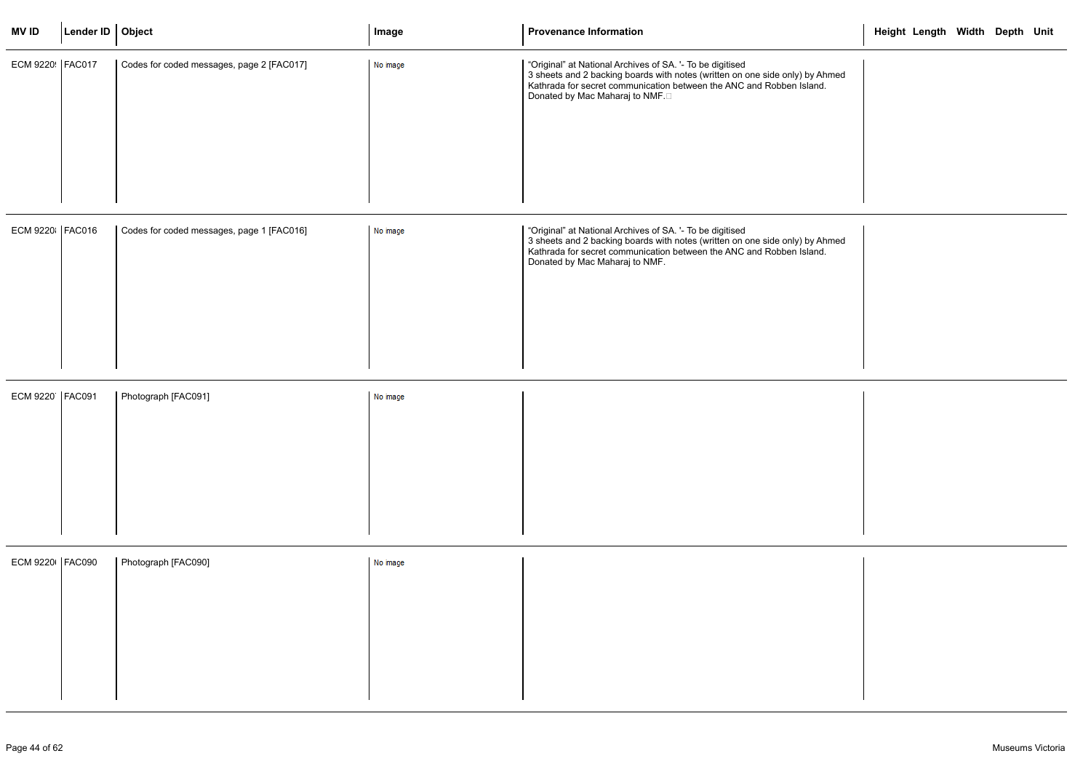| <b>MVID</b>       | Lender ID   Object |                                           | Image    | <b>Provenance Information</b>                                                                                                                                                                                                                        | Height Length Width Depth Unit |  |  |
|-------------------|--------------------|-------------------------------------------|----------|------------------------------------------------------------------------------------------------------------------------------------------------------------------------------------------------------------------------------------------------------|--------------------------------|--|--|
| ECM 9220 FAC017   |                    | Codes for coded messages, page 2 [FAC017] | No image | "Original" at National Archives of SA. '- To be digitised<br>3 sheets and 2 backing boards with notes (written on one side only) by Ahmed<br>Kathrada for secret communication between the ANC and Robben Island.<br>Donated by Mac Maharaj to NMF.□ |                                |  |  |
| ECM 9220 FAC016   |                    | Codes for coded messages, page 1 [FAC016] | No image | "Original" at National Archives of SA. '- To be digitised<br>3 sheets and 2 backing boards with notes (written on one side only) by Ahmed<br>Kathrada for secret communication between the ANC and Robben Island.<br>Donated by Mac Maharaj to NMF.  |                                |  |  |
| ECM 9220   FAC091 |                    | Photograph [FAC091]                       | No image |                                                                                                                                                                                                                                                      |                                |  |  |
| ECM 9220   FAC090 |                    | Photograph [FAC090]                       | No image |                                                                                                                                                                                                                                                      |                                |  |  |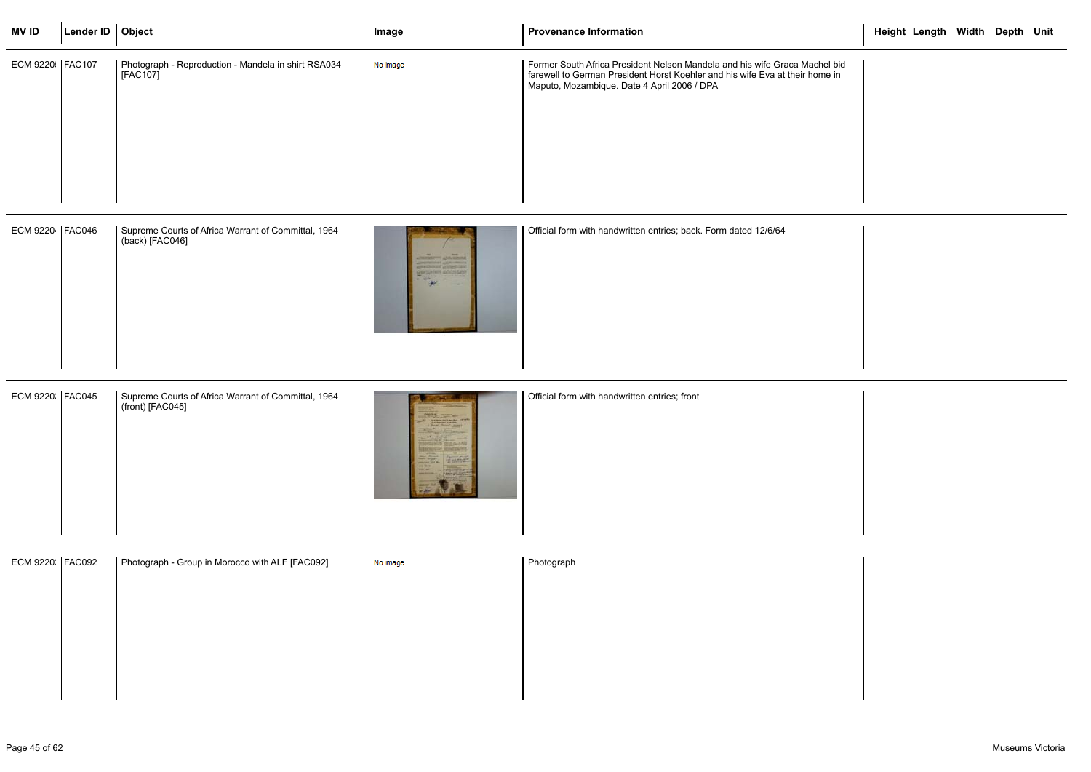| <b>MVID</b>     | Lender ID   Object |                                                                         | Image    | <b>Provenance Information</b>                                                                                                                                                                             | Height Length Width Depth Unit |
|-----------------|--------------------|-------------------------------------------------------------------------|----------|-----------------------------------------------------------------------------------------------------------------------------------------------------------------------------------------------------------|--------------------------------|
| ECM 9220 FAC107 |                    | Photograph - Reproduction - Mandela in shirt RSA034<br>[FAC107]         | No image | Former South Africa President Nelson Mandela and his wife Graca Machel bid<br>farewell to German President Horst Koehler and his wife Eva at their home in<br>Maputo, Mozambique. Date 4 April 2006 / DPA |                                |
| ECM 9220 FAC046 |                    | Supreme Courts of Africa Warrant of Committal, 1964<br>(back) [FAC046]  |          | Official form with handwritten entries; back. Form dated 12/6/64                                                                                                                                          |                                |
| ECM 9220 FAC045 |                    | Supreme Courts of Africa Warrant of Committal, 1964<br>(front) [FAC045] |          | Official form with handwritten entries; front                                                                                                                                                             |                                |
| ECM 9220 FAC092 |                    | Photograph - Group in Morocco with ALF [FAC092]                         | No image | Photograph                                                                                                                                                                                                |                                |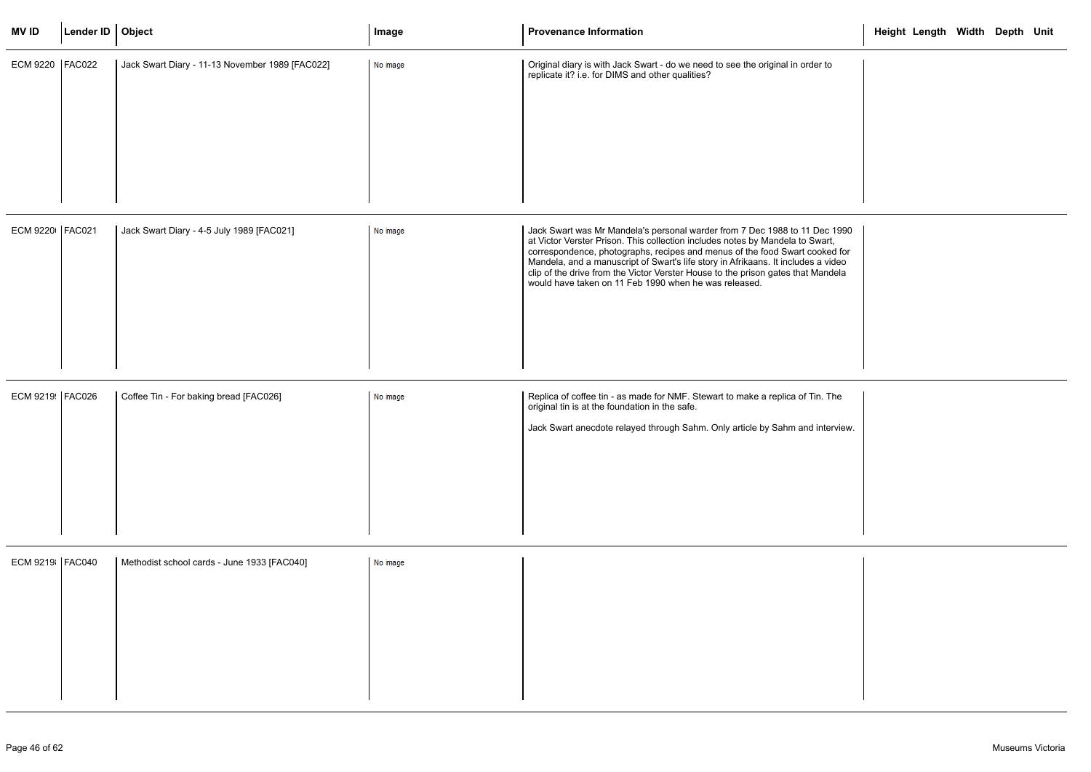| <b>MVID</b>       | Lender ID   Object |                                                 | Image    | <b>Provenance Information</b>                                                                                                                                                                                                                                                                                                                                                                                                                                                | Height Length Width Depth Unit |  |
|-------------------|--------------------|-------------------------------------------------|----------|------------------------------------------------------------------------------------------------------------------------------------------------------------------------------------------------------------------------------------------------------------------------------------------------------------------------------------------------------------------------------------------------------------------------------------------------------------------------------|--------------------------------|--|
| <b>ECM 9220</b>   | <b>FAC022</b>      | Jack Swart Diary - 11-13 November 1989 [FAC022] | No image | Original diary is with Jack Swart - do we need to see the original in order to<br>replicate it? i.e. for DIMS and other qualities?                                                                                                                                                                                                                                                                                                                                           |                                |  |
| ECM 9220   FAC021 |                    | Jack Swart Diary - 4-5 July 1989 [FAC021]       | No image | Jack Swart was Mr Mandela's personal warder from 7 Dec 1988 to 11 Dec 1990<br>at Victor Verster Prison. This collection includes notes by Mandela to Swart,<br>correspondence, photographs, recipes and menus of the food Swart cooked for<br>Mandela, and a manuscript of Swart's life story in Afrikaans. It includes a video<br>clip of the drive from the Victor Verster House to the prison gates that Mandela<br>would have taken on 11 Feb 1990 when he was released. |                                |  |
| ECM 9219 FAC026   |                    | Coffee Tin - For baking bread [FAC026]          | No image | Replica of coffee tin - as made for NMF. Stewart to make a replica of Tin. The<br>original tin is at the foundation in the safe.<br>Jack Swart anecdote relayed through Sahm. Only article by Sahm and interview.                                                                                                                                                                                                                                                            |                                |  |
| ECM 9219   FAC040 |                    | Methodist school cards - June 1933 [FAC040]     | No image |                                                                                                                                                                                                                                                                                                                                                                                                                                                                              |                                |  |

|                                            | Height Length Width Depth Unit |  |  |
|--------------------------------------------|--------------------------------|--|--|
| to                                         |                                |  |  |
|                                            |                                |  |  |
|                                            |                                |  |  |
|                                            |                                |  |  |
|                                            |                                |  |  |
|                                            |                                |  |  |
| c 1990<br>art,<br>ed for<br>video<br>ndela |                                |  |  |
|                                            |                                |  |  |
|                                            |                                |  |  |
|                                            |                                |  |  |
| The                                        |                                |  |  |
| terview.                                   |                                |  |  |
|                                            |                                |  |  |
|                                            |                                |  |  |
|                                            |                                |  |  |
|                                            |                                |  |  |
|                                            |                                |  |  |
|                                            |                                |  |  |
|                                            |                                |  |  |
|                                            |                                |  |  |
|                                            |                                |  |  |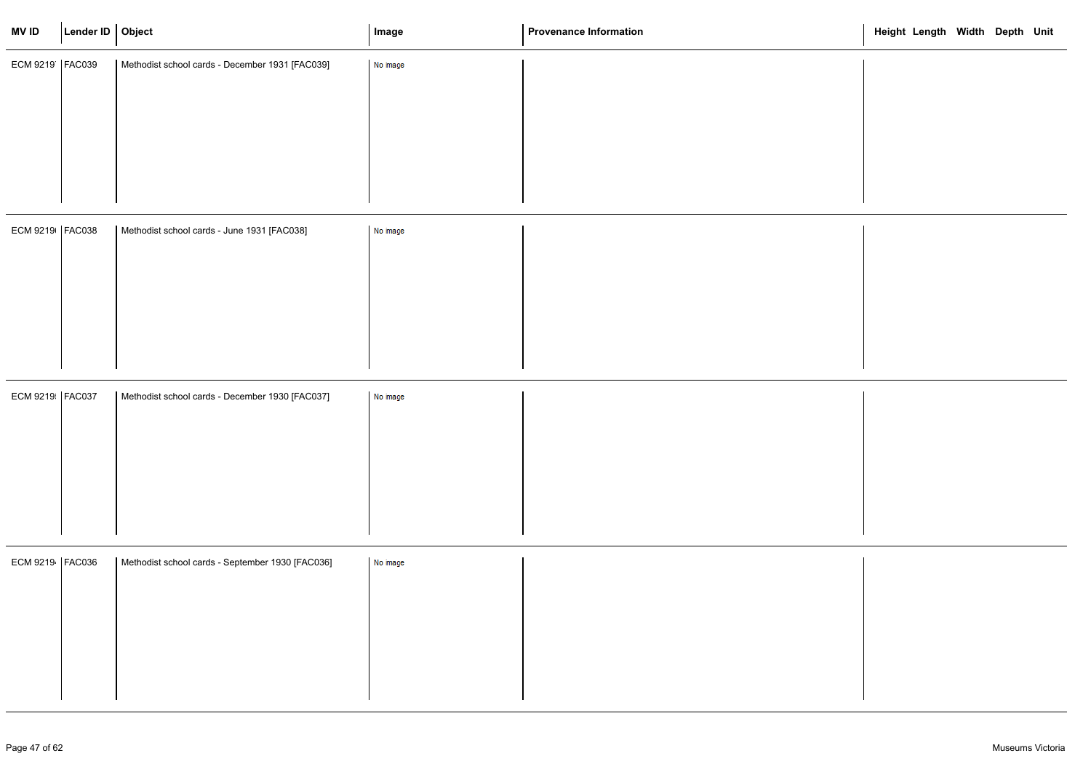| Methodist school cards - December 1931 [FAC039]<br>No image<br>ECM 9219   FAC039<br>ECM 9219   FAC038<br>Methodist school cards - June 1931 [FAC038]<br>No image<br>ECM 9219 FAC037<br>Methodist school cards - December 1930 [FAC037]<br>No image<br>ECM 9219   FAC036<br>Methodist school cards - September 1930 [FAC036]<br>No image | <b>MVID</b> | Lender ID   Object | Image | <b>Provenance Information</b> | Height Length Width Depth Unit |
|-----------------------------------------------------------------------------------------------------------------------------------------------------------------------------------------------------------------------------------------------------------------------------------------------------------------------------------------|-------------|--------------------|-------|-------------------------------|--------------------------------|
|                                                                                                                                                                                                                                                                                                                                         |             |                    |       |                               |                                |
|                                                                                                                                                                                                                                                                                                                                         |             |                    |       |                               |                                |
|                                                                                                                                                                                                                                                                                                                                         |             |                    |       |                               |                                |
|                                                                                                                                                                                                                                                                                                                                         |             |                    |       |                               |                                |
|                                                                                                                                                                                                                                                                                                                                         |             |                    |       |                               |                                |
|                                                                                                                                                                                                                                                                                                                                         |             |                    |       |                               |                                |
|                                                                                                                                                                                                                                                                                                                                         |             |                    |       |                               |                                |
|                                                                                                                                                                                                                                                                                                                                         |             |                    |       |                               |                                |
|                                                                                                                                                                                                                                                                                                                                         |             |                    |       |                               |                                |
|                                                                                                                                                                                                                                                                                                                                         |             |                    |       |                               |                                |
|                                                                                                                                                                                                                                                                                                                                         |             |                    |       |                               |                                |
|                                                                                                                                                                                                                                                                                                                                         |             |                    |       |                               |                                |
|                                                                                                                                                                                                                                                                                                                                         |             |                    |       |                               |                                |
|                                                                                                                                                                                                                                                                                                                                         |             |                    |       |                               |                                |
|                                                                                                                                                                                                                                                                                                                                         |             |                    |       |                               |                                |
|                                                                                                                                                                                                                                                                                                                                         |             |                    |       |                               |                                |
|                                                                                                                                                                                                                                                                                                                                         |             |                    |       |                               |                                |
|                                                                                                                                                                                                                                                                                                                                         |             |                    |       |                               |                                |
|                                                                                                                                                                                                                                                                                                                                         |             |                    |       |                               |                                |
|                                                                                                                                                                                                                                                                                                                                         |             |                    |       |                               |                                |

|  | Height Length Width Depth Unit |  |  |
|--|--------------------------------|--|--|
|  |                                |  |  |
|  |                                |  |  |
|  |                                |  |  |
|  |                                |  |  |
|  |                                |  |  |
|  |                                |  |  |
|  |                                |  |  |
|  |                                |  |  |
|  |                                |  |  |
|  |                                |  |  |
|  |                                |  |  |
|  |                                |  |  |
|  |                                |  |  |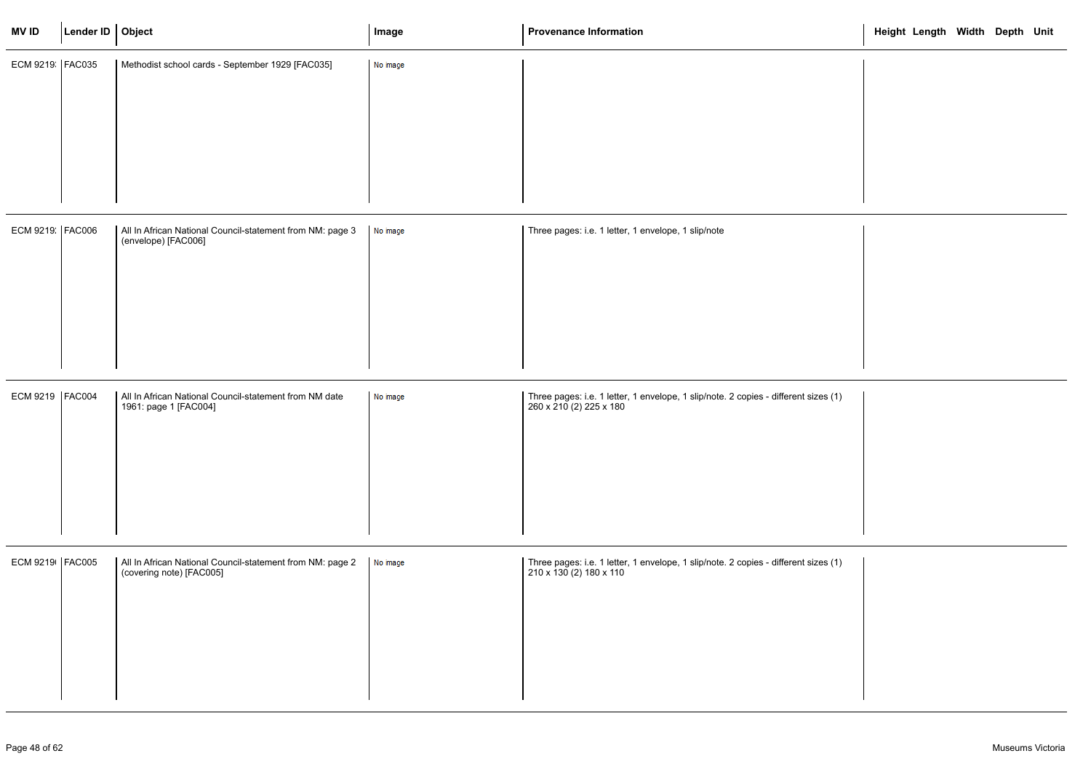| <b>MVID</b>       | Lender ID Object |                                                                                       | Image    | <b>Provenance Information</b>                                                                                  | Height Length Width Depth Unit |
|-------------------|------------------|---------------------------------------------------------------------------------------|----------|----------------------------------------------------------------------------------------------------------------|--------------------------------|
| ECM 9219 FAC035   |                  | Methodist school cards - September 1929 [FAC035]                                      | No image |                                                                                                                |                                |
| ECM 9219 FAC006   |                  | All In African National Council-statement from NM: page 3<br>(envelope) [FAC006]      | No image | Three pages: i.e. 1 letter, 1 envelope, 1 slip/note                                                            |                                |
| ECM 9219   FAC004 |                  | All In African National Council-statement from NM date<br>1961: page 1 [FAC004]       | No image | Three pages: i.e. 1 letter, 1 envelope, 1 slip/note. 2 copies - different sizes (1)<br>260 x 210 (2) 225 x 180 |                                |
| ECM 9219   FAC005 |                  | All In African National Council-statement from NM: page 2<br>(covering note) [FAC005] | No image | Three pages: i.e. 1 letter, 1 envelope, 1 slip/note. 2 copies - different sizes (1)<br>210 x 130 (2) 180 x 110 |                                |

|      |  | Height Length Width Depth Unit |  |  |
|------|--|--------------------------------|--|--|
|      |  |                                |  |  |
|      |  |                                |  |  |
|      |  |                                |  |  |
|      |  |                                |  |  |
|      |  |                                |  |  |
| s(1) |  |                                |  |  |
|      |  |                                |  |  |
|      |  |                                |  |  |
| s(1) |  |                                |  |  |
|      |  |                                |  |  |
|      |  |                                |  |  |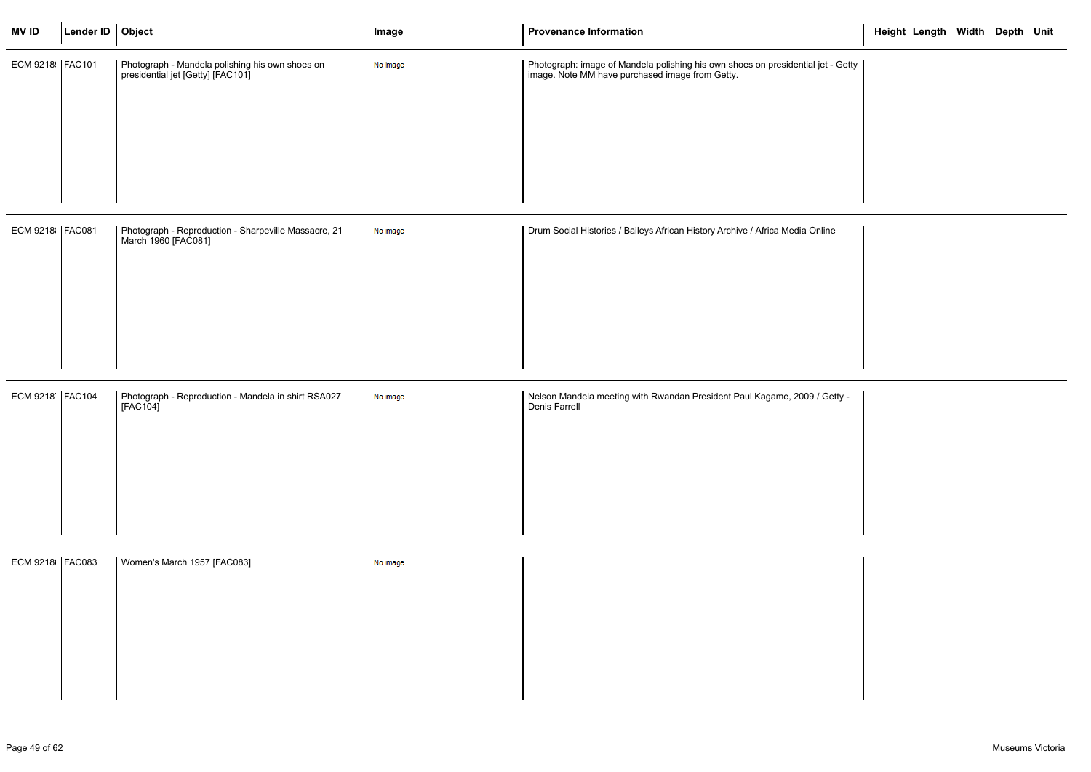| Photograph - Mandela polishing his own shoes on<br>Photograph: image of Mandela polishing his own shoes on presidential jet - Getty<br>ECM 9218   FAC101<br>No image<br>presidential jet [Getty] [FAC101]<br>image. Note MM have purchased image from Getty.<br>ECM 9218 FAC081<br>Drum Social Histories / Baileys African History Archive / Africa Media Online<br>Photograph - Reproduction - Sharpeville Massacre, 21<br>No image<br>March 1960 [FAC081]<br>ECM 9218   FAC104<br>Photograph - Reproduction - Mandela in shirt RSA027<br>Nelson Mandela meeting with Rwandan President Paul Kagame, 2009 / Getty -<br>No image<br>[FAC104]<br>Denis Farrell<br>ECM 9218   FAC083<br>Women's March 1957 [FAC083]<br>No image | <b>MV ID</b> | Lender ID Object | Image | <b>Provenance Information</b> | Height Length Width Depth Unit |  |  |
|-------------------------------------------------------------------------------------------------------------------------------------------------------------------------------------------------------------------------------------------------------------------------------------------------------------------------------------------------------------------------------------------------------------------------------------------------------------------------------------------------------------------------------------------------------------------------------------------------------------------------------------------------------------------------------------------------------------------------------|--------------|------------------|-------|-------------------------------|--------------------------------|--|--|
|                                                                                                                                                                                                                                                                                                                                                                                                                                                                                                                                                                                                                                                                                                                               |              |                  |       |                               |                                |  |  |
|                                                                                                                                                                                                                                                                                                                                                                                                                                                                                                                                                                                                                                                                                                                               |              |                  |       |                               |                                |  |  |
|                                                                                                                                                                                                                                                                                                                                                                                                                                                                                                                                                                                                                                                                                                                               |              |                  |       |                               |                                |  |  |
|                                                                                                                                                                                                                                                                                                                                                                                                                                                                                                                                                                                                                                                                                                                               |              |                  |       |                               |                                |  |  |
|                                                                                                                                                                                                                                                                                                                                                                                                                                                                                                                                                                                                                                                                                                                               |              |                  |       |                               |                                |  |  |
|                                                                                                                                                                                                                                                                                                                                                                                                                                                                                                                                                                                                                                                                                                                               |              |                  |       |                               |                                |  |  |
|                                                                                                                                                                                                                                                                                                                                                                                                                                                                                                                                                                                                                                                                                                                               |              |                  |       |                               |                                |  |  |
|                                                                                                                                                                                                                                                                                                                                                                                                                                                                                                                                                                                                                                                                                                                               |              |                  |       |                               |                                |  |  |
|                                                                                                                                                                                                                                                                                                                                                                                                                                                                                                                                                                                                                                                                                                                               |              |                  |       |                               |                                |  |  |
|                                                                                                                                                                                                                                                                                                                                                                                                                                                                                                                                                                                                                                                                                                                               |              |                  |       |                               |                                |  |  |
|                                                                                                                                                                                                                                                                                                                                                                                                                                                                                                                                                                                                                                                                                                                               |              |                  |       |                               |                                |  |  |
|                                                                                                                                                                                                                                                                                                                                                                                                                                                                                                                                                                                                                                                                                                                               |              |                  |       |                               |                                |  |  |
|                                                                                                                                                                                                                                                                                                                                                                                                                                                                                                                                                                                                                                                                                                                               |              |                  |       |                               |                                |  |  |
|                                                                                                                                                                                                                                                                                                                                                                                                                                                                                                                                                                                                                                                                                                                               |              |                  |       |                               |                                |  |  |
|                                                                                                                                                                                                                                                                                                                                                                                                                                                                                                                                                                                                                                                                                                                               |              |                  |       |                               |                                |  |  |

|           | Height Length Width Depth Unit |  |  |
|-----------|--------------------------------|--|--|
| t - Getty |                                |  |  |
|           |                                |  |  |
|           |                                |  |  |
|           |                                |  |  |
|           |                                |  |  |
| ine       |                                |  |  |
|           |                                |  |  |
|           |                                |  |  |
|           |                                |  |  |
|           |                                |  |  |
| Getty -   |                                |  |  |
|           |                                |  |  |
|           |                                |  |  |
|           |                                |  |  |
|           |                                |  |  |
|           |                                |  |  |
|           |                                |  |  |
|           |                                |  |  |
|           |                                |  |  |
|           |                                |  |  |
|           |                                |  |  |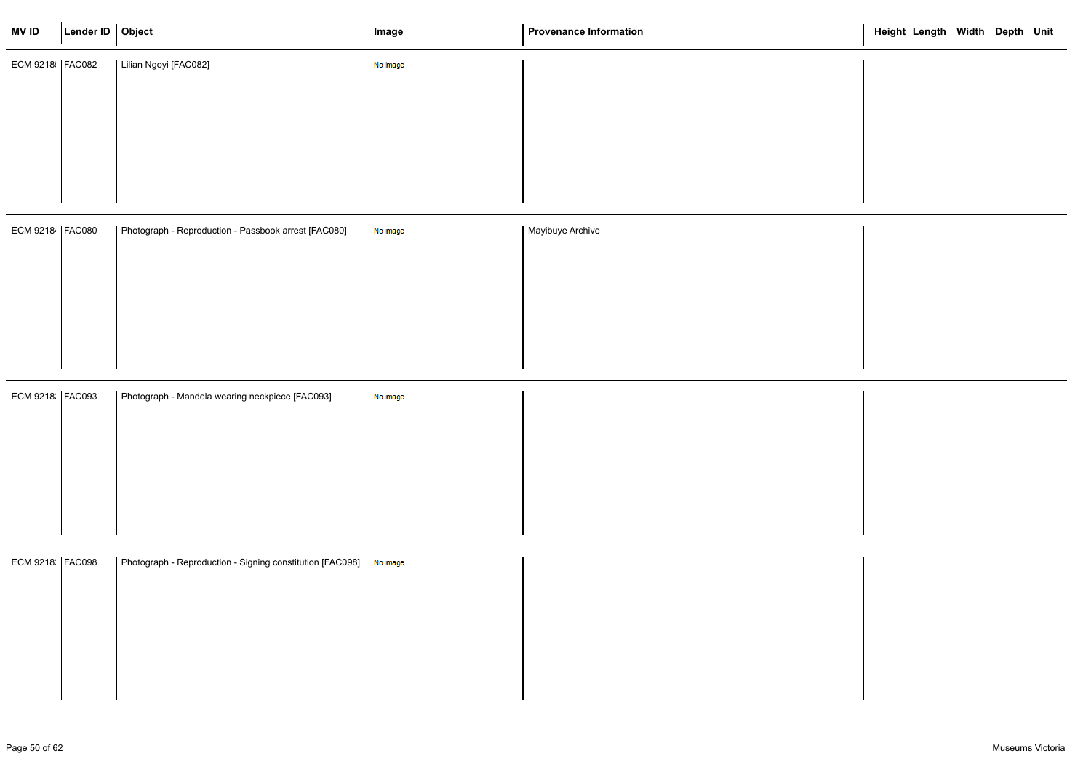| <b>MVID</b>       | Lender ID   Object |                                                                      | Image    | <b>Provenance Information</b> | Height Length Width Depth Unit |
|-------------------|--------------------|----------------------------------------------------------------------|----------|-------------------------------|--------------------------------|
| ECM 9218   FAC082 |                    | Lilian Ngoyi [FAC082]                                                | No image |                               |                                |
|                   |                    |                                                                      |          |                               |                                |
|                   |                    |                                                                      |          |                               |                                |
|                   |                    |                                                                      |          |                               |                                |
|                   |                    |                                                                      |          |                               |                                |
| ECM 9218   FAC080 |                    | Photograph - Reproduction - Passbook arrest [FAC080]                 | No image | Mayibuye Archive              |                                |
|                   |                    |                                                                      |          |                               |                                |
|                   |                    |                                                                      |          |                               |                                |
|                   |                    |                                                                      |          |                               |                                |
|                   |                    |                                                                      |          |                               |                                |
| ECM 9218   FAC093 |                    | Photograph - Mandela wearing neckpiece [FAC093]                      | No image |                               |                                |
|                   |                    |                                                                      |          |                               |                                |
|                   |                    |                                                                      |          |                               |                                |
|                   |                    |                                                                      |          |                               |                                |
|                   |                    |                                                                      |          |                               |                                |
|                   |                    |                                                                      |          |                               |                                |
| ECM 9218: FAC098  |                    | Photograph - Reproduction - Signing constitution [FAC098]   No image |          |                               |                                |
|                   |                    |                                                                      |          |                               |                                |
|                   |                    |                                                                      |          |                               |                                |
|                   |                    |                                                                      |          |                               |                                |
|                   |                    |                                                                      |          |                               |                                |

|  | Height Length Width Depth Unit |  |  |
|--|--------------------------------|--|--|
|  |                                |  |  |
|  |                                |  |  |
|  |                                |  |  |
|  |                                |  |  |
|  |                                |  |  |
|  |                                |  |  |
|  |                                |  |  |
|  |                                |  |  |
|  |                                |  |  |
|  |                                |  |  |
|  |                                |  |  |
|  |                                |  |  |
|  |                                |  |  |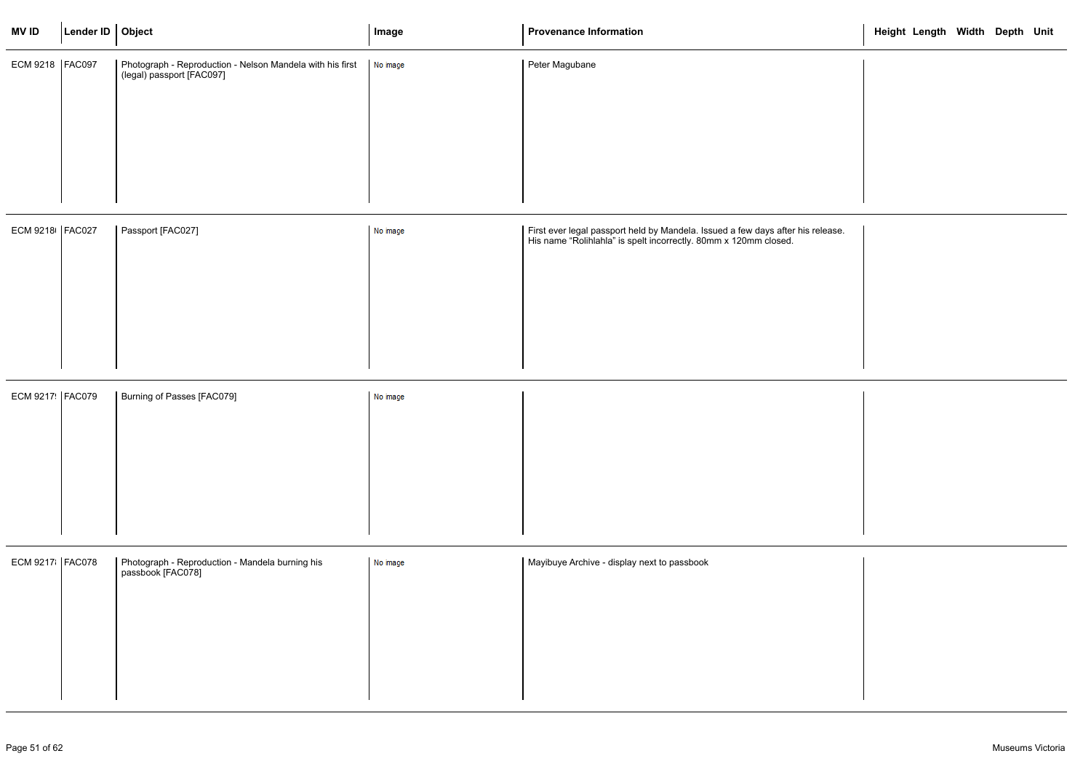| <b>MVID</b>       | Lender ID   Object |                                                                                        | Image    | <b>Provenance Information</b>                                                                                                                       | Height Length Width Depth Unit |  |  |
|-------------------|--------------------|----------------------------------------------------------------------------------------|----------|-----------------------------------------------------------------------------------------------------------------------------------------------------|--------------------------------|--|--|
| ECM 9218   FAC097 |                    | Photograph - Reproduction - Nelson Mandela with his first<br>(legal) passport [FAC097] | No image | Peter Magubane                                                                                                                                      |                                |  |  |
| ECM 9218 FAC027   |                    | Passport [FAC027]                                                                      | No image | First ever legal passport held by Mandela. Issued a few days after his release.<br>His name "Rolihlahla" is spelt incorrectly. 80mm x 120mm closed. |                                |  |  |
| ECM 9217 FAC079   |                    | Burning of Passes [FAC079]                                                             | No image |                                                                                                                                                     |                                |  |  |
| ECM 9217   FAC078 |                    | Photograph - Reproduction - Mandela burning his<br>  passbook [FAC078]                 | No image | Mayibuye Archive - display next to passbook                                                                                                         |                                |  |  |

|       | Height Length Width Depth Unit |  |  |
|-------|--------------------------------|--|--|
|       |                                |  |  |
|       |                                |  |  |
|       |                                |  |  |
|       |                                |  |  |
|       |                                |  |  |
| ease. |                                |  |  |
|       |                                |  |  |
|       |                                |  |  |
|       |                                |  |  |
|       |                                |  |  |
|       |                                |  |  |
|       |                                |  |  |
|       |                                |  |  |
|       |                                |  |  |
|       |                                |  |  |
|       |                                |  |  |
|       |                                |  |  |
|       |                                |  |  |
|       |                                |  |  |
|       |                                |  |  |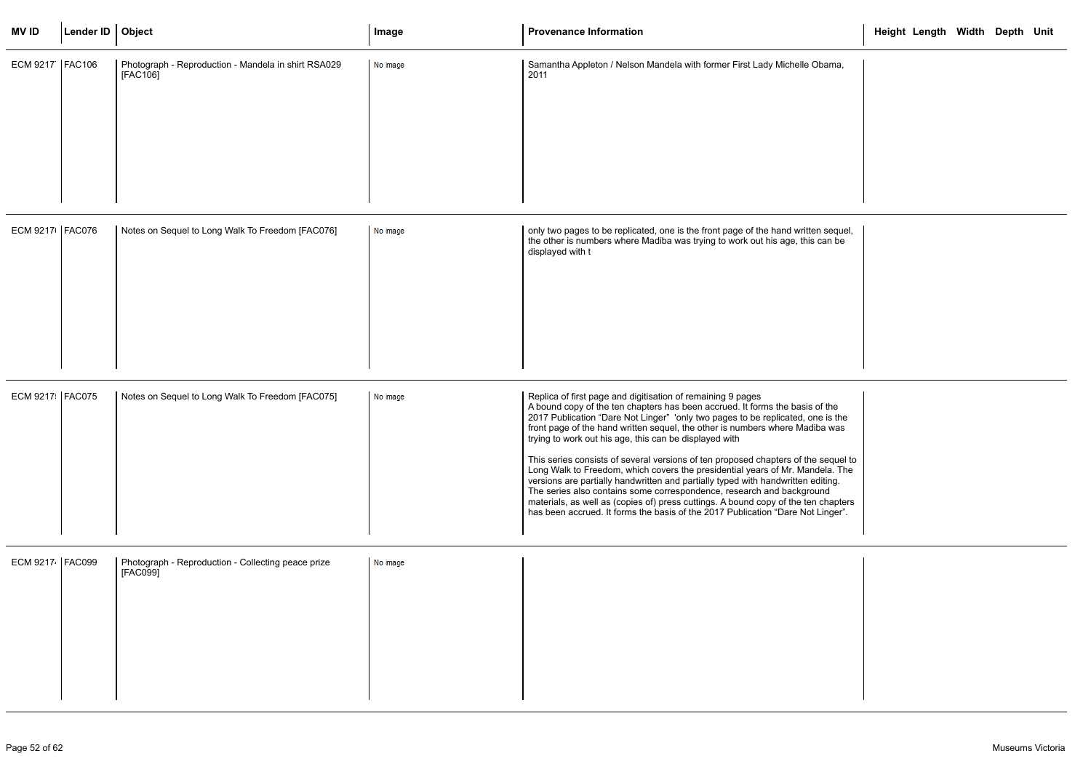| <b>MVID</b>       | Lender ID   Object |                                                                 | Image    | <b>Provenance Information</b>                                                                                                                                                                                                                                                                                                                                                                                                                                                                                                                                                                                                                                                                                                                                                                                                                                                         | Height Length Width Depth Unit |  |  |
|-------------------|--------------------|-----------------------------------------------------------------|----------|---------------------------------------------------------------------------------------------------------------------------------------------------------------------------------------------------------------------------------------------------------------------------------------------------------------------------------------------------------------------------------------------------------------------------------------------------------------------------------------------------------------------------------------------------------------------------------------------------------------------------------------------------------------------------------------------------------------------------------------------------------------------------------------------------------------------------------------------------------------------------------------|--------------------------------|--|--|
| ECM 9217   FAC106 |                    | Photograph - Reproduction - Mandela in shirt RSA029<br>[FAC106] | No image | Samantha Appleton / Nelson Mandela with former First Lady Michelle Obama,<br>2011                                                                                                                                                                                                                                                                                                                                                                                                                                                                                                                                                                                                                                                                                                                                                                                                     |                                |  |  |
| ECM 9217 FAC076   |                    | Notes on Sequel to Long Walk To Freedom [FAC076]                | No image | only two pages to be replicated, one is the front page of the hand written sequel,<br>the other is numbers where Madiba was trying to work out his age, this can be<br>displayed with t                                                                                                                                                                                                                                                                                                                                                                                                                                                                                                                                                                                                                                                                                               |                                |  |  |
| ECM 9217 FAC075   |                    | Notes on Sequel to Long Walk To Freedom [FAC075]                | No image | Replica of first page and digitisation of remaining 9 pages<br>A bound copy of the ten chapters has been accrued. It forms the basis of the<br>2017 Publication "Dare Not Linger" 'only two pages to be replicated, one is the<br>front page of the hand written sequel, the other is numbers where Madiba was<br>trying to work out his age, this can be displayed with<br>This series consists of several versions of ten proposed chapters of the sequel to<br>Long Walk to Freedom, which covers the presidential years of Mr. Mandela. The<br>versions are partially handwritten and partially typed with handwritten editing.<br>The series also contains some correspondence, research and background<br>materials, as well as (copies of) press cuttings. A bound copy of the ten chapters<br>has been accrued. It forms the basis of the 2017 Publication "Dare Not Linger". |                                |  |  |
| ECM 9217 FAC099   |                    | Photograph - Reproduction - Collecting peace prize<br>[FAC099]  | No image |                                                                                                                                                                                                                                                                                                                                                                                                                                                                                                                                                                                                                                                                                                                                                                                                                                                                                       |                                |  |  |

|                        | Height Length Width Depth Unit |  |  |
|------------------------|--------------------------------|--|--|
| ama,                   |                                |  |  |
|                        |                                |  |  |
|                        |                                |  |  |
|                        |                                |  |  |
|                        |                                |  |  |
| sequel,<br>an be       |                                |  |  |
|                        |                                |  |  |
|                        |                                |  |  |
|                        |                                |  |  |
|                        |                                |  |  |
| the<br>is the<br>เ was |                                |  |  |
| equel to<br>la. The    |                                |  |  |
| ting.<br>d<br>hapters  |                                |  |  |
| nger".                 |                                |  |  |
|                        |                                |  |  |
|                        |                                |  |  |
|                        |                                |  |  |
|                        |                                |  |  |
|                        |                                |  |  |
|                        |                                |  |  |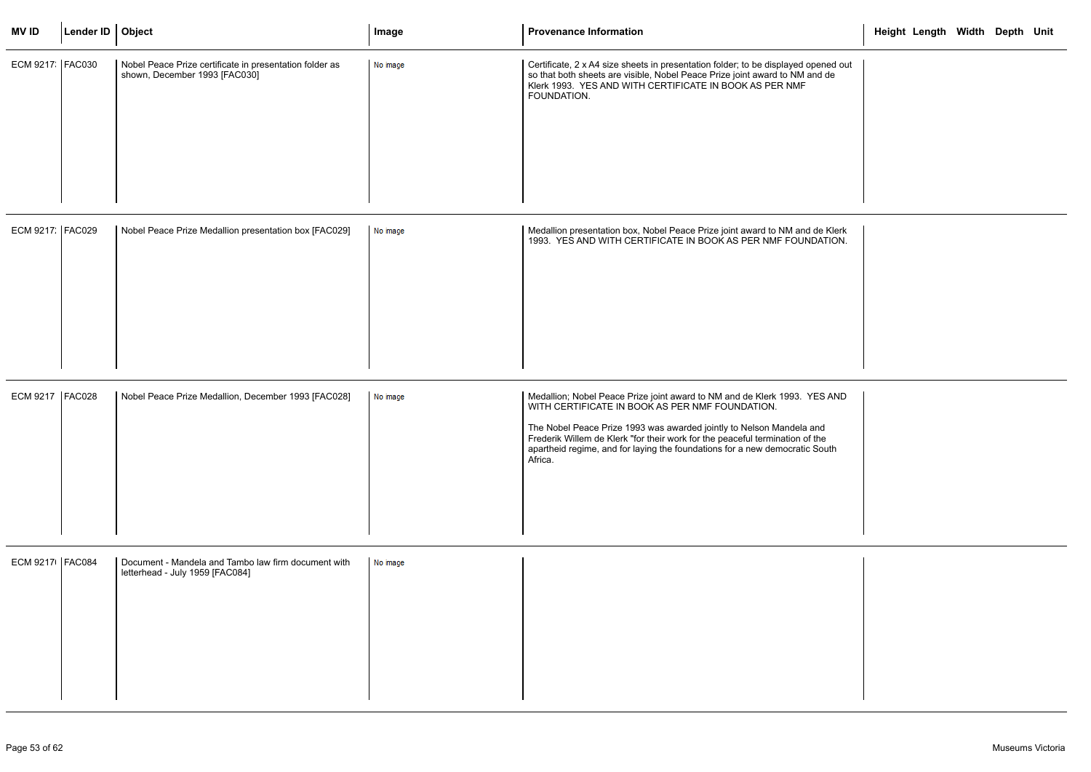| <b>MVID</b>       | Lender ID $\vert$ Object |                                                                                          | Image    | <b>Provenance Information</b>                                                                                                                                                                                                                                                                                                                                                  | Height Length Width Depth Unit |  |  |
|-------------------|--------------------------|------------------------------------------------------------------------------------------|----------|--------------------------------------------------------------------------------------------------------------------------------------------------------------------------------------------------------------------------------------------------------------------------------------------------------------------------------------------------------------------------------|--------------------------------|--|--|
| ECM 9217   FAC030 |                          | Nobel Peace Prize certificate in presentation folder as<br>shown, December 1993 [FAC030] | No image | Certificate, 2 x A4 size sheets in presentation folder; to be displayed opened out<br>so that both sheets are visible, Nobel Peace Prize joint award to NM and de<br>Klerk 1993. YES AND WITH CERTIFICATE IN BOOK AS PER NMF<br>FOUNDATION.                                                                                                                                    |                                |  |  |
| ECM 9217. FAC029  |                          | Nobel Peace Prize Medallion presentation box [FAC029]                                    | No image | Medallion presentation box, Nobel Peace Prize joint award to NM and de Klerk<br>1993. YES AND WITH CERTIFICATE IN BOOK AS PER NMF FOUNDATION.                                                                                                                                                                                                                                  |                                |  |  |
| ECM 9217   FAC028 |                          | Nobel Peace Prize Medallion, December 1993 [FAC028]                                      | No image | Medallion; Nobel Peace Prize joint award to NM and de Klerk 1993. YES AND<br>WITH CERTIFICATE IN BOOK AS PER NMF FOUNDATION.<br>The Nobel Peace Prize 1993 was awarded jointly to Nelson Mandela and<br>Frederik Willem de Klerk "for their work for the peaceful termination of the<br>apartheid regime, and for laying the foundations for a new democratic South<br>Africa. |                                |  |  |
| ECM 9217   FAC084 |                          | Document - Mandela and Tambo law firm document with<br>letterhead - July 1959 [FAC084]   | No image |                                                                                                                                                                                                                                                                                                                                                                                |                                |  |  |

|                                              | Height Length Width Depth Unit |  |  |
|----------------------------------------------|--------------------------------|--|--|
| ed out<br>de                                 |                                |  |  |
| Klerk<br>TION.                               |                                |  |  |
| AND<br>$\overline{\phantom{a}}$<br>P,<br>uth |                                |  |  |
|                                              |                                |  |  |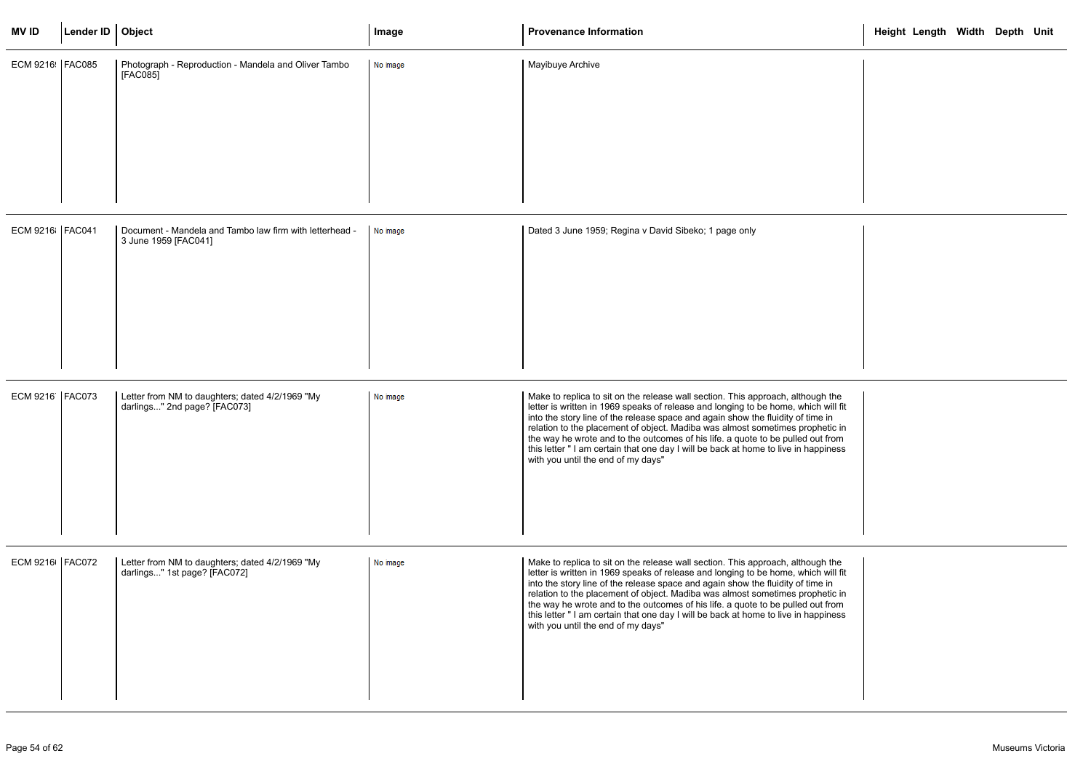| <b>MVID</b>       | Lender ID   Object |                                                                                 | Image    | <b>Provenance Information</b>                                                                                                                                                                                                                                                                                                                                                                                                                                                                                                                             | Height Length Width Depth Unit |
|-------------------|--------------------|---------------------------------------------------------------------------------|----------|-----------------------------------------------------------------------------------------------------------------------------------------------------------------------------------------------------------------------------------------------------------------------------------------------------------------------------------------------------------------------------------------------------------------------------------------------------------------------------------------------------------------------------------------------------------|--------------------------------|
| ECM 9216: FAC085  |                    | Photograph - Reproduction - Mandela and Oliver Tambo<br>[FAC085]                | No image | Mayibuye Archive                                                                                                                                                                                                                                                                                                                                                                                                                                                                                                                                          |                                |
| ECM 9216   FAC041 |                    | Document - Mandela and Tambo law firm with letterhead -<br>3 June 1959 [FAC041] | No image | Dated 3 June 1959; Regina v David Sibeko; 1 page only                                                                                                                                                                                                                                                                                                                                                                                                                                                                                                     |                                |
| ECM 9216   FAC073 |                    | Letter from NM to daughters; dated 4/2/1969 "My<br>darlings" 2nd page? [FAC073] | No image | Make to replica to sit on the release wall section. This approach, although the<br>letter is written in 1969 speaks of release and longing to be home, which will fit<br>into the story line of the release space and again show the fluidity of time in<br>relation to the placement of object. Madiba was almost sometimes prophetic in<br>the way he wrote and to the outcomes of his life. a quote to be pulled out from<br>this letter " I am certain that one day I will be back at home to live in happiness<br>with you until the end of my days" |                                |
| ECM 9216   FAC072 |                    | Letter from NM to daughters; dated 4/2/1969 "My<br>darlings" 1st page? [FAC072] | No image | Make to replica to sit on the release wall section. This approach, although the<br>letter is written in 1969 speaks of release and longing to be home, which will fit<br>into the story line of the release space and again show the fluidity of time in<br>relation to the placement of object. Madiba was almost sometimes prophetic in<br>the way he wrote and to the outcomes of his life. a quote to be pulled out from<br>this letter " I am certain that one day I will be back at home to live in happiness<br>with you until the end of my days" |                                |

|                                                     |  | Height Length Width Depth Unit |  |  |
|-----------------------------------------------------|--|--------------------------------|--|--|
|                                                     |  |                                |  |  |
|                                                     |  |                                |  |  |
| ่ the<br>will fit<br>in<br>etic in<br>from<br>iness |  |                                |  |  |
| ่ the<br>will fit<br>in<br>etic in<br>from<br>iness |  |                                |  |  |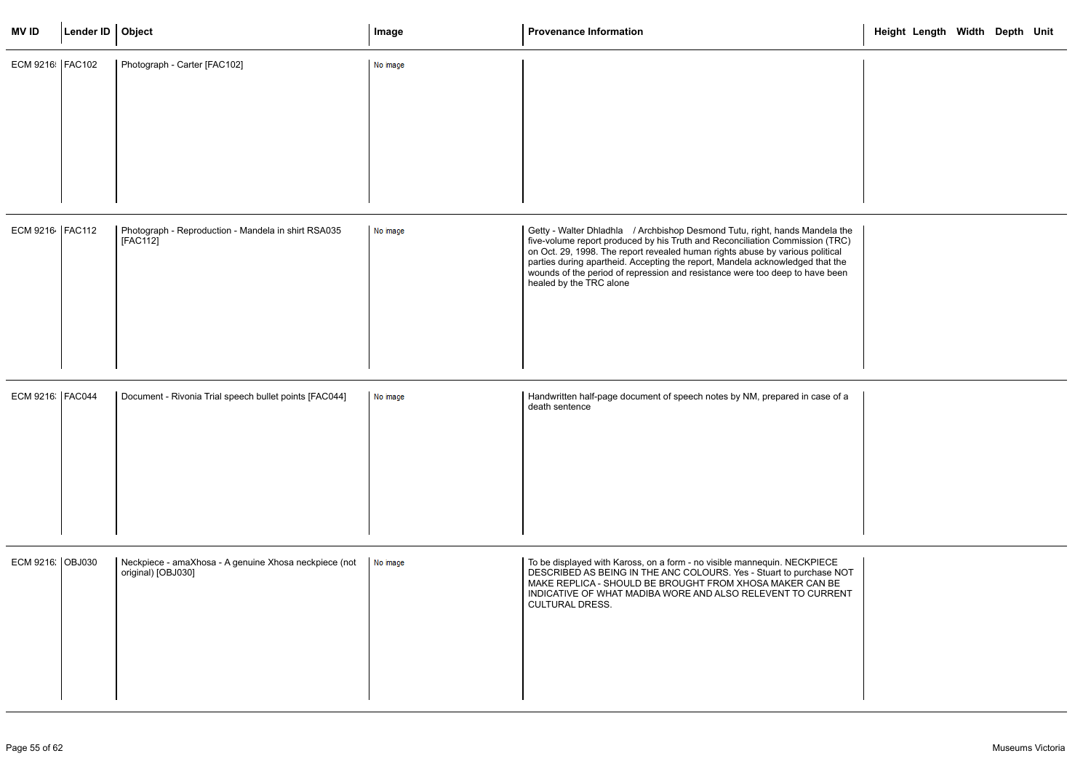| <b>MVID</b>       | Lender ID   Object |                                                                             | Image    | <b>Provenance Information</b>                                                                                                                                                                                                                                                                                                                                                                                                            | Height Length Width Depth Unit |  |  |
|-------------------|--------------------|-----------------------------------------------------------------------------|----------|------------------------------------------------------------------------------------------------------------------------------------------------------------------------------------------------------------------------------------------------------------------------------------------------------------------------------------------------------------------------------------------------------------------------------------------|--------------------------------|--|--|
| ECM 9216   FAC102 |                    | Photograph - Carter [FAC102]                                                | No image |                                                                                                                                                                                                                                                                                                                                                                                                                                          |                                |  |  |
|                   |                    |                                                                             |          |                                                                                                                                                                                                                                                                                                                                                                                                                                          |                                |  |  |
| ECM 9216 FAC112   |                    | Photograph - Reproduction - Mandela in shirt RSA035<br>[FAC112]             | No image | Getty - Walter Dhladhla / Archbishop Desmond Tutu, right, hands Mandela the<br>five-volume report produced by his Truth and Reconciliation Commission (TRC)<br>on Oct. 29, 1998. The report revealed human rights abuse by various political<br>parties during apartheid. Accepting the report, Mandela acknowledged that the<br>wounds of the period of repression and resistance were too deep to have been<br>healed by the TRC alone |                                |  |  |
| ECM 9216: FAC044  |                    | Document - Rivonia Trial speech bullet points [FAC044]                      | No image | Handwritten half-page document of speech notes by NM, prepared in case of a<br>death sentence                                                                                                                                                                                                                                                                                                                                            |                                |  |  |
| ECM 9216: OBJ030  |                    | Neckpiece - amaXhosa - A genuine Xhosa neckpiece (not<br>original) [OBJ030] | No image | To be displayed with Kaross, on a form - no visible mannequin. NECKPIECE<br>DESCRIBED AS BEING IN THE ANC COLOURS. Yes - Stuart to purchase NOT<br>MAKE REPLICA - SHOULD BE BROUGHT FROM XHOSA MAKER CAN BE<br>INDICATIVE OF WHAT MADIBA WORE AND ALSO RELEVENT TO CURRENT<br><b>CULTURAL DRESS.</b>                                                                                                                                     |                                |  |  |

|                                             | Height Length Width Depth Unit |  |  |
|---------------------------------------------|--------------------------------|--|--|
|                                             |                                |  |  |
| ela the<br>(TRC)<br>tical<br>at the<br>been |                                |  |  |
| e of a                                      |                                |  |  |
| CE<br>e NOT<br>BE<br>RENT                   |                                |  |  |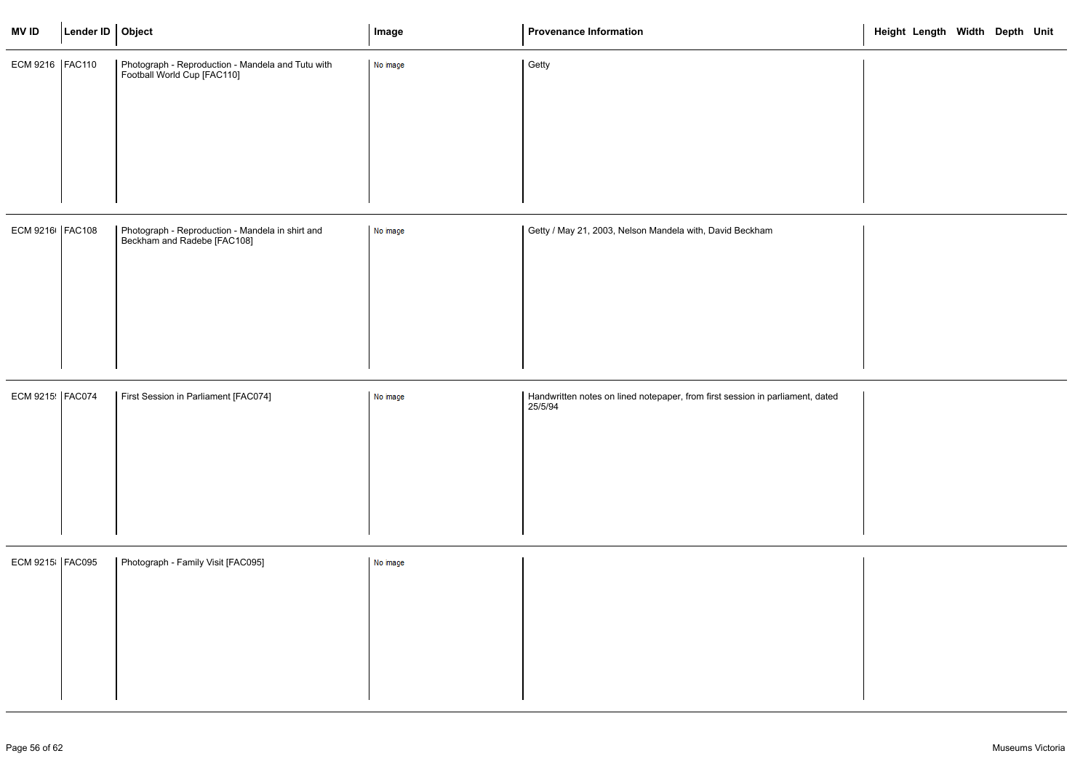| <b>MVID</b>       | Lender ID   Object |                                                                                  | Image    | <b>Provenance Information</b>                                                            | Height Length Width Depth Unit |  |  |
|-------------------|--------------------|----------------------------------------------------------------------------------|----------|------------------------------------------------------------------------------------------|--------------------------------|--|--|
| ECM 9216   FAC110 |                    | Photograph - Reproduction - Mandela and Tutu with<br>Football World Cup [FAC110] | No image | Getty                                                                                    |                                |  |  |
|                   |                    |                                                                                  |          |                                                                                          |                                |  |  |
|                   |                    |                                                                                  |          |                                                                                          |                                |  |  |
|                   |                    |                                                                                  |          |                                                                                          |                                |  |  |
|                   |                    |                                                                                  |          |                                                                                          |                                |  |  |
| ECM 9216   FAC108 |                    | Photograph - Reproduction - Mandela in shirt and<br>Beckham and Radebe [FAC108]  | No image | Getty / May 21, 2003, Nelson Mandela with, David Beckham                                 |                                |  |  |
|                   |                    |                                                                                  |          |                                                                                          |                                |  |  |
|                   |                    |                                                                                  |          |                                                                                          |                                |  |  |
|                   |                    |                                                                                  |          |                                                                                          |                                |  |  |
|                   |                    |                                                                                  |          |                                                                                          |                                |  |  |
| ECM 9215 FAC074   |                    | First Session in Parliament [FAC074]                                             | No image | Handwritten notes on lined notepaper, from first session in parliament, dated<br>25/5/94 |                                |  |  |
|                   |                    |                                                                                  |          |                                                                                          |                                |  |  |
|                   |                    |                                                                                  |          |                                                                                          |                                |  |  |
|                   |                    |                                                                                  |          |                                                                                          |                                |  |  |
| ECM 9215 FAC095   |                    | Photograph - Family Visit [FAC095]                                               | No image |                                                                                          |                                |  |  |
|                   |                    |                                                                                  |          |                                                                                          |                                |  |  |
|                   |                    |                                                                                  |          |                                                                                          |                                |  |  |
|                   |                    |                                                                                  |          |                                                                                          |                                |  |  |
|                   |                    |                                                                                  |          |                                                                                          |                                |  |  |

|       | Height Length Width Depth Unit |  |  |
|-------|--------------------------------|--|--|
|       |                                |  |  |
|       |                                |  |  |
|       |                                |  |  |
|       |                                |  |  |
| lated |                                |  |  |
|       |                                |  |  |
|       |                                |  |  |
|       |                                |  |  |
|       |                                |  |  |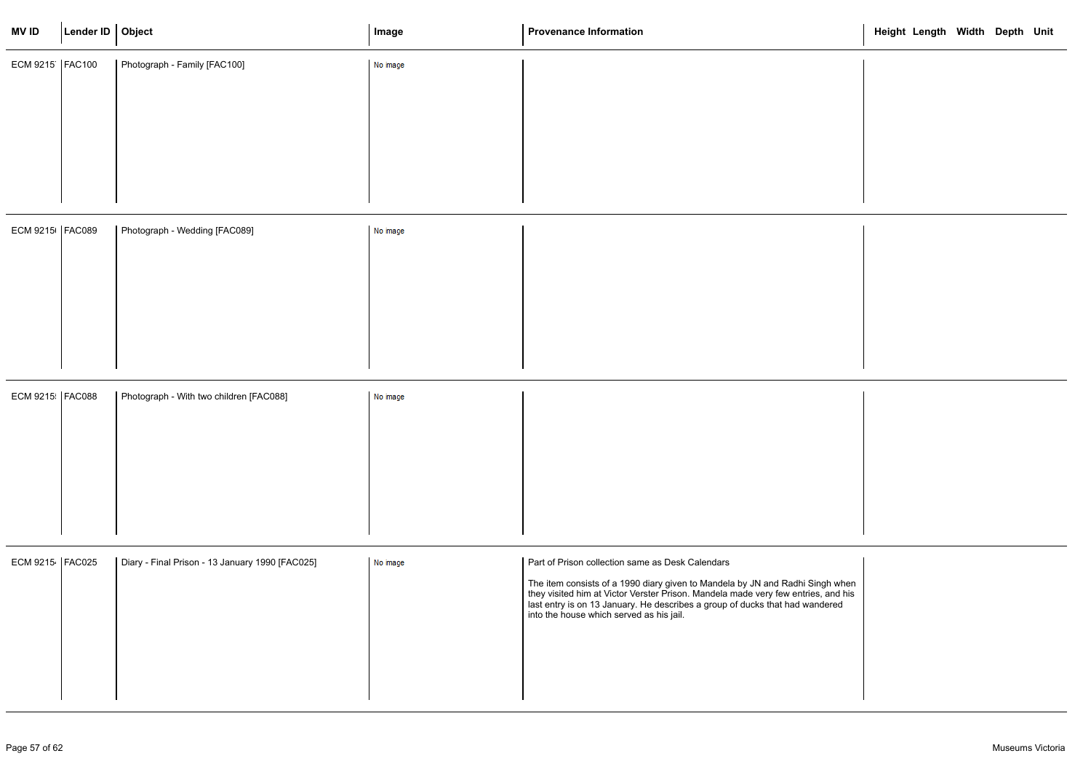| <b>MVID</b>       | Lender ID   Object |                                                 | Image    | <b>Provenance Information</b>                                                                                                                                                                                                                                                                                                                      | Height Length Width Depth Unit |  |  |
|-------------------|--------------------|-------------------------------------------------|----------|----------------------------------------------------------------------------------------------------------------------------------------------------------------------------------------------------------------------------------------------------------------------------------------------------------------------------------------------------|--------------------------------|--|--|
| ECM 9215   FAC100 |                    | Photograph - Family [FAC100]                    | No image |                                                                                                                                                                                                                                                                                                                                                    |                                |  |  |
|                   |                    |                                                 |          |                                                                                                                                                                                                                                                                                                                                                    |                                |  |  |
| ECM 9215   FAC089 |                    | Photograph - Wedding [FAC089]                   | No image |                                                                                                                                                                                                                                                                                                                                                    |                                |  |  |
| ECM 9215   FAC088 |                    | Photograph - With two children [FAC088]         | No image |                                                                                                                                                                                                                                                                                                                                                    |                                |  |  |
| ECM 9215   FAC025 |                    | Diary - Final Prison - 13 January 1990 [FAC025] | No image | Part of Prison collection same as Desk Calendars<br>The item consists of a 1990 diary given to Mandela by JN and Radhi Singh when<br>they visited him at Victor Verster Prison. Mandela made very few entries, and his<br>last entry is on 13 January. He describes a group of ducks that had wandered<br>into the house which served as his jail. |                                |  |  |

|                                         | Height Length Width Depth Unit |  |  |
|-----------------------------------------|--------------------------------|--|--|
|                                         |                                |  |  |
|                                         |                                |  |  |
|                                         |                                |  |  |
|                                         |                                |  |  |
|                                         |                                |  |  |
|                                         |                                |  |  |
| gh when<br>$\mathsf{a}$ nd his<br>lered |                                |  |  |
|                                         |                                |  |  |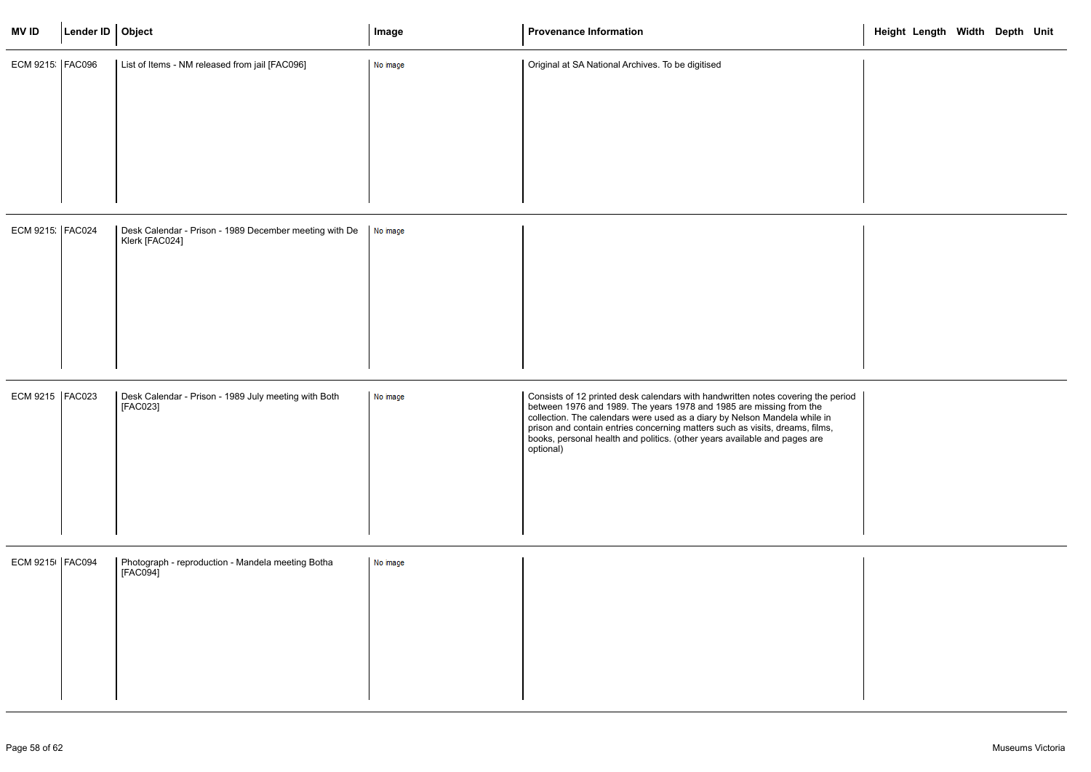| <b>MVID</b>       | Lender ID   Object |                                                                          | Image    | <b>Provenance Information</b>                                                                                                                                                                                                                                                                                                                                                                                  | Height Length Width Depth Unit |  |  |
|-------------------|--------------------|--------------------------------------------------------------------------|----------|----------------------------------------------------------------------------------------------------------------------------------------------------------------------------------------------------------------------------------------------------------------------------------------------------------------------------------------------------------------------------------------------------------------|--------------------------------|--|--|
| ECM 9215 FAC096   |                    | List of Items - NM released from jail [FAC096]                           | No image | Original at SA National Archives. To be digitised                                                                                                                                                                                                                                                                                                                                                              |                                |  |  |
| ECM 9215 FAC024   |                    | Desk Calendar - Prison - 1989 December meeting with De<br>Klerk [FAC024] | No image |                                                                                                                                                                                                                                                                                                                                                                                                                |                                |  |  |
| ECM 9215   FAC023 |                    | Desk Calendar - Prison - 1989 July meeting with Both<br>[FAC023]         | No image | Consists of 12 printed desk calendars with handwritten notes covering the period<br>between 1976 and 1989. The years 1978 and 1985 are missing from the<br>collection. The calendars were used as a diary by Nelson Mandela while in<br>prison and contain entries concerning matters such as visits, dreams, films,<br>books, personal health and politics. (other years available and pages are<br>optional) |                                |  |  |
| ECM 9215   FAC094 |                    | Photograph - reproduction - Mandela meeting Botha<br>[FACO94]            | No image |                                                                                                                                                                                                                                                                                                                                                                                                                |                                |  |  |

|           | Height Length Width Depth Unit |  |  |
|-----------|--------------------------------|--|--|
|           |                                |  |  |
|           |                                |  |  |
|           |                                |  |  |
|           |                                |  |  |
|           |                                |  |  |
|           |                                |  |  |
|           |                                |  |  |
|           |                                |  |  |
|           |                                |  |  |
|           |                                |  |  |
| e period  |                                |  |  |
| in<br>ıs, |                                |  |  |
|           |                                |  |  |
|           |                                |  |  |
|           |                                |  |  |
|           |                                |  |  |
|           |                                |  |  |
|           |                                |  |  |
|           |                                |  |  |
|           |                                |  |  |
|           |                                |  |  |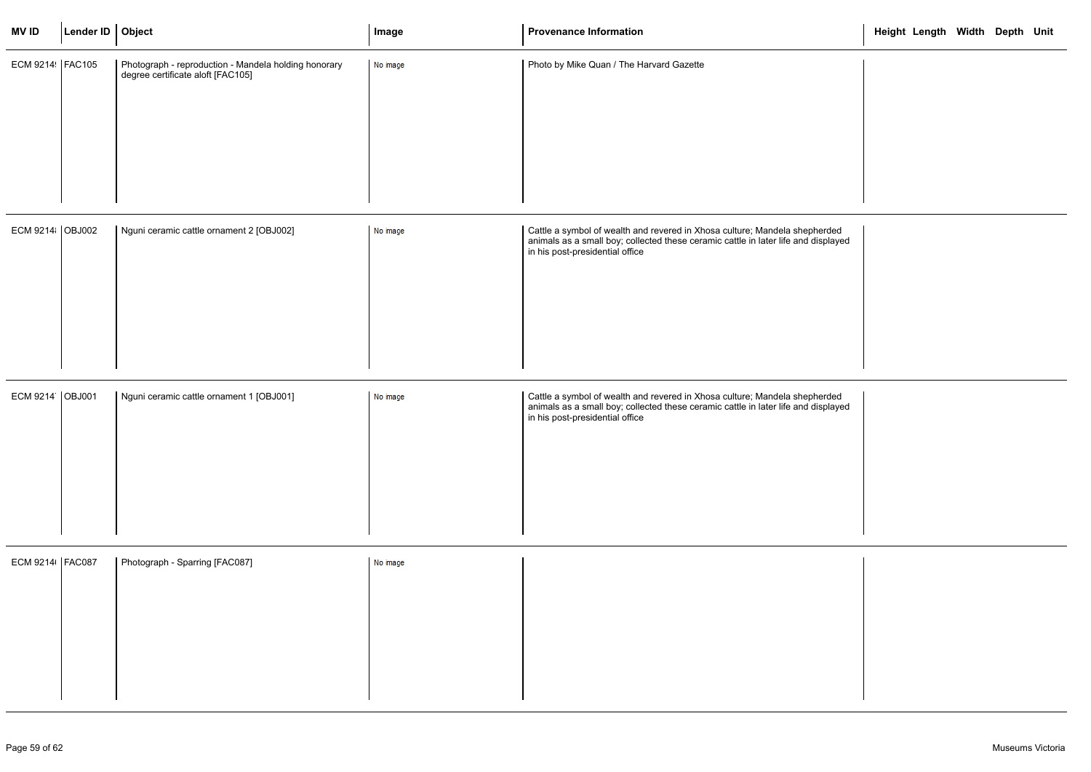| <b>MVID</b>       | Lender ID   Object |                                                                                           | Image    | <b>Provenance Information</b>                                                                                                                                                                       | Height Length Width Depth Unit |  |  |
|-------------------|--------------------|-------------------------------------------------------------------------------------------|----------|-----------------------------------------------------------------------------------------------------------------------------------------------------------------------------------------------------|--------------------------------|--|--|
| ECM 9214   FAC105 |                    | Photograph - reproduction - Mandela holding honorary<br>degree certificate aloft [FAC105] | No image | Photo by Mike Quan / The Harvard Gazette                                                                                                                                                            |                                |  |  |
| ECM 9214 OBJ002   |                    | Nguni ceramic cattle ornament 2 [OBJ002]                                                  | No image | Cattle a symbol of wealth and revered in Xhosa culture; Mandela shepherded<br>animals as a small boy; collected these ceramic cattle in later life and displayed<br>in his post-presidential office |                                |  |  |
| ECM 9214 OBJ001   |                    | Nguni ceramic cattle ornament 1 [OBJ001]                                                  | No image | Cattle a symbol of wealth and revered in Xhosa culture; Mandela shepherded<br>animals as a small boy; collected these ceramic cattle in later life and displayed<br>in his post-presidential office |                                |  |  |
| ECM 9214   FAC087 |                    | Photograph - Sparring [FAC087]                                                            | No image |                                                                                                                                                                                                     |                                |  |  |

|               | Height Length Width Depth Unit |  |  |
|---------------|--------------------------------|--|--|
|               |                                |  |  |
|               |                                |  |  |
|               |                                |  |  |
| ded<br>blayed |                                |  |  |
|               |                                |  |  |
|               |                                |  |  |
| ded<br>blayed |                                |  |  |
|               |                                |  |  |
|               |                                |  |  |
|               |                                |  |  |
|               |                                |  |  |
|               |                                |  |  |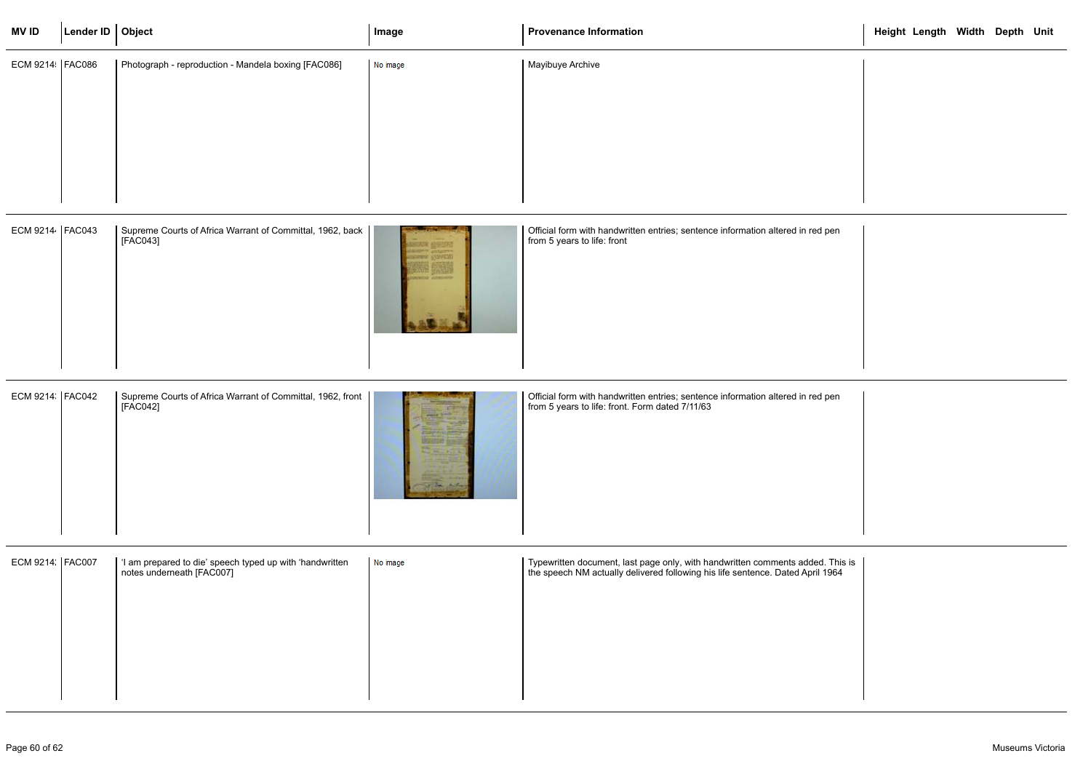| <b>MVID</b>      | Lender ID   Object |                                                                                       | Image    | <b>Provenance Information</b>                                                                                                                                    | Height Length Width Depth Unit |  |  |
|------------------|--------------------|---------------------------------------------------------------------------------------|----------|------------------------------------------------------------------------------------------------------------------------------------------------------------------|--------------------------------|--|--|
| ECM 9214 FAC086  |                    | Photograph - reproduction - Mandela boxing [FAC086]                                   | No image | Mayibuye Archive                                                                                                                                                 |                                |  |  |
| ECM 9214 FAC043  |                    | Supreme Courts of Africa Warrant of Committal, 1962, back<br>[FAC043]                 |          | Official form with handwritten entries; sentence information altered in red pen<br>from 5 years to life: front                                                   |                                |  |  |
| ECM 9214 FAC042  |                    | Supreme Courts of Africa Warrant of Committal, 1962, front  <br>[FAC042]              |          | Official form with handwritten entries; sentence information altered in red pen<br>from 5 years to life: front. Form dated 7/11/63                               |                                |  |  |
| ECM 9214. FAC007 |                    | 'I am prepared to die' speech typed up with 'handwritten<br>notes underneath [FAC007] | No image | Typewritten document, last page only, with handwritten comments added. This is<br>the speech NM actually delivered following his life sentence. Dated April 1964 |                                |  |  |

|                    | Height Length Width Depth Unit |  |  |
|--------------------|--------------------------------|--|--|
|                    |                                |  |  |
|                    |                                |  |  |
|                    |                                |  |  |
|                    |                                |  |  |
|                    |                                |  |  |
| d pen              |                                |  |  |
|                    |                                |  |  |
|                    |                                |  |  |
|                    |                                |  |  |
|                    |                                |  |  |
| d pen              |                                |  |  |
|                    |                                |  |  |
|                    |                                |  |  |
|                    |                                |  |  |
|                    |                                |  |  |
| d. This is<br>1964 |                                |  |  |
|                    |                                |  |  |
|                    |                                |  |  |
|                    |                                |  |  |
|                    |                                |  |  |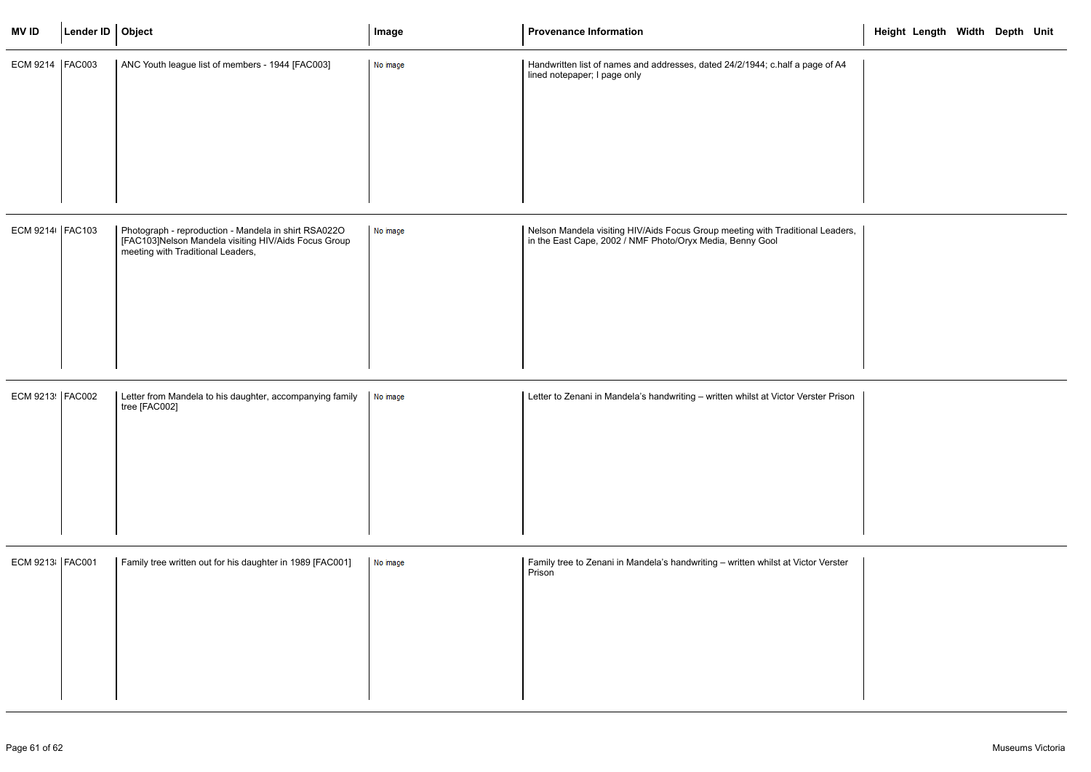| <b>MVID</b>       | Lender ID $\vert$ Object |                                                                                                                                                   | Image    | <b>Provenance Information</b>                                                                                                               | Height Length Width Depth Unit |
|-------------------|--------------------------|---------------------------------------------------------------------------------------------------------------------------------------------------|----------|---------------------------------------------------------------------------------------------------------------------------------------------|--------------------------------|
| ECM 9214   FAC003 |                          | ANC Youth league list of members - 1944 [FAC003]                                                                                                  | No image | Handwritten list of names and addresses, dated 24/2/1944; c.half a page of A4<br>lined notepaper; I page only                               |                                |
| ECM 9214 FAC103   |                          | Photograph - reproduction - Mandela in shirt RSA022O<br>[FAC103]Nelson Mandela visiting HIV/Aids Focus Group<br>meeting with Traditional Leaders, | No image | Nelson Mandela visiting HIV/Aids Focus Group meeting with Traditional Leaders,<br>in the East Cape, 2002 / NMF Photo/Oryx Media, Benny Gool |                                |
| ECM 9213 FAC002   |                          | Letter from Mandela to his daughter, accompanying family<br>tree [FAC002]                                                                         | No image | Letter to Zenani in Mandela's handwriting - written whilst at Victor Verster Prison                                                         |                                |
| ECM 9213 FAC001   |                          | Family tree written out for his daughter in 1989 [FAC001]                                                                                         | No image | Family tree to Zenani in Mandela's handwriting - written whilst at Victor Verster<br>Prison                                                 |                                |

|          | Height Length Width Depth Unit |  |  |
|----------|--------------------------------|--|--|
| of A4    |                                |  |  |
|          |                                |  |  |
|          |                                |  |  |
|          |                                |  |  |
|          |                                |  |  |
| .eaders, |                                |  |  |
|          |                                |  |  |
|          |                                |  |  |
|          |                                |  |  |
|          |                                |  |  |
| r Prison |                                |  |  |
|          |                                |  |  |
|          |                                |  |  |
|          |                                |  |  |
|          |                                |  |  |
| 'erster  |                                |  |  |
|          |                                |  |  |
|          |                                |  |  |
|          |                                |  |  |
|          |                                |  |  |